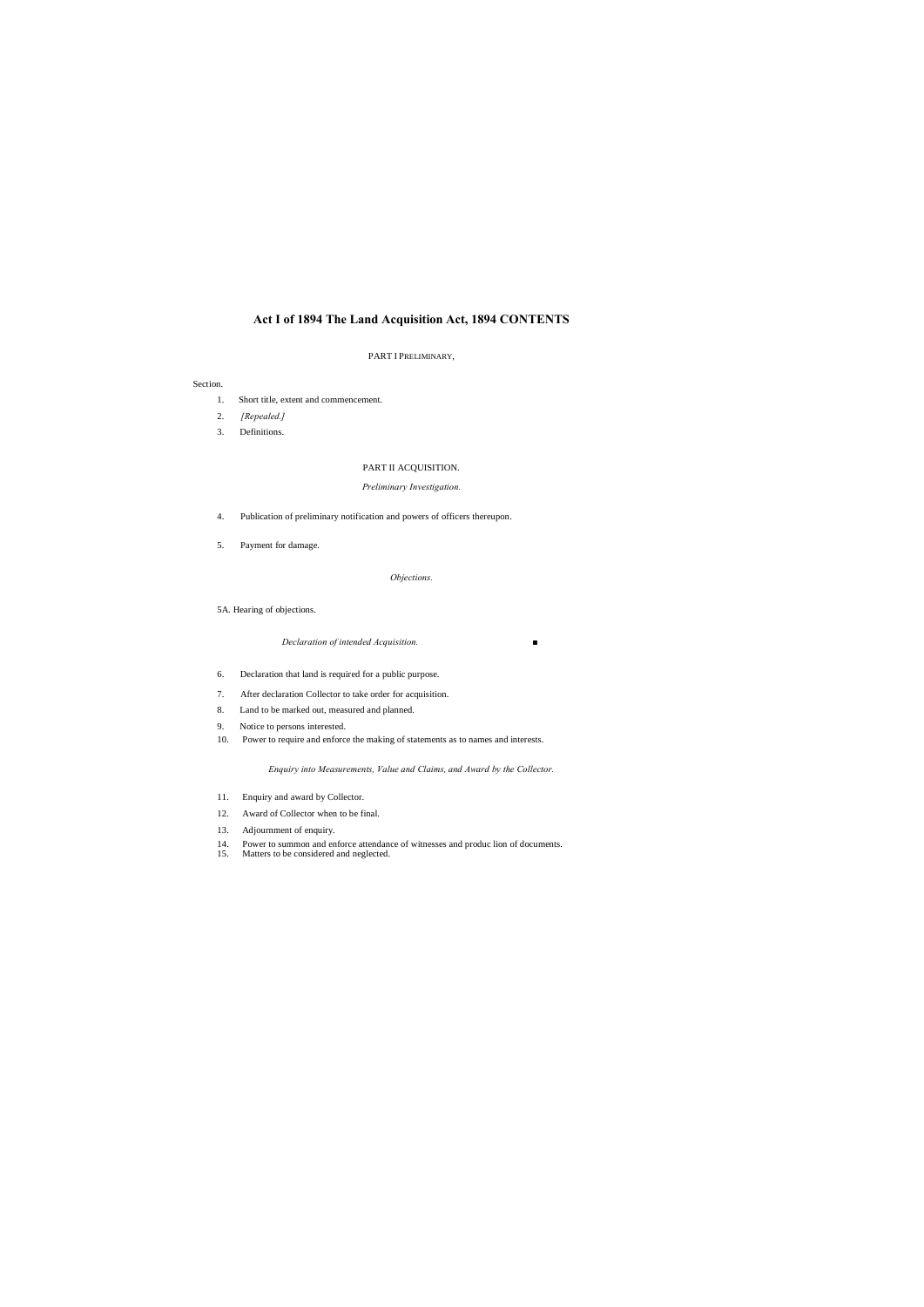# **Act I of 1894 The Land Acquisition Act, 1894 CONTENTS**

### PART I PRELIMINARY,

### Section.

- 1. Short title, extent and commencement.
- 2. *[Repealed.]*
- 3. Definitions.

# PART II ACQUISITION.

### *Preliminary Investigation.*

- 4. Publication of preliminary notification and powers of officers thereupon.
- 5. Payment for damage.

# *Objections.*

# 5A. Hearing of objections.

*Declaration of intended Acquisition. ■*

- 6. Declaration that land is required for a public purpose.
- 7. After declaration Collector to take order for acquisition.
- 8. Land to be marked out, measured and planned.
- 9. Notice to persons interested.
- 10. Power to require and enforce the making of statements as to names and interests.

*Enquiry into Measurements, Value and Claims, and Award by the Collector.*

- 11. Enquiry and award by Collector.
- 12. Award of Collector when to be final.
- 13. Adjournment of enquiry.
- 14. Power to summon and enforce attendance of witnesses and produc lion of documents.
- 15. Matters to be considered and neglected.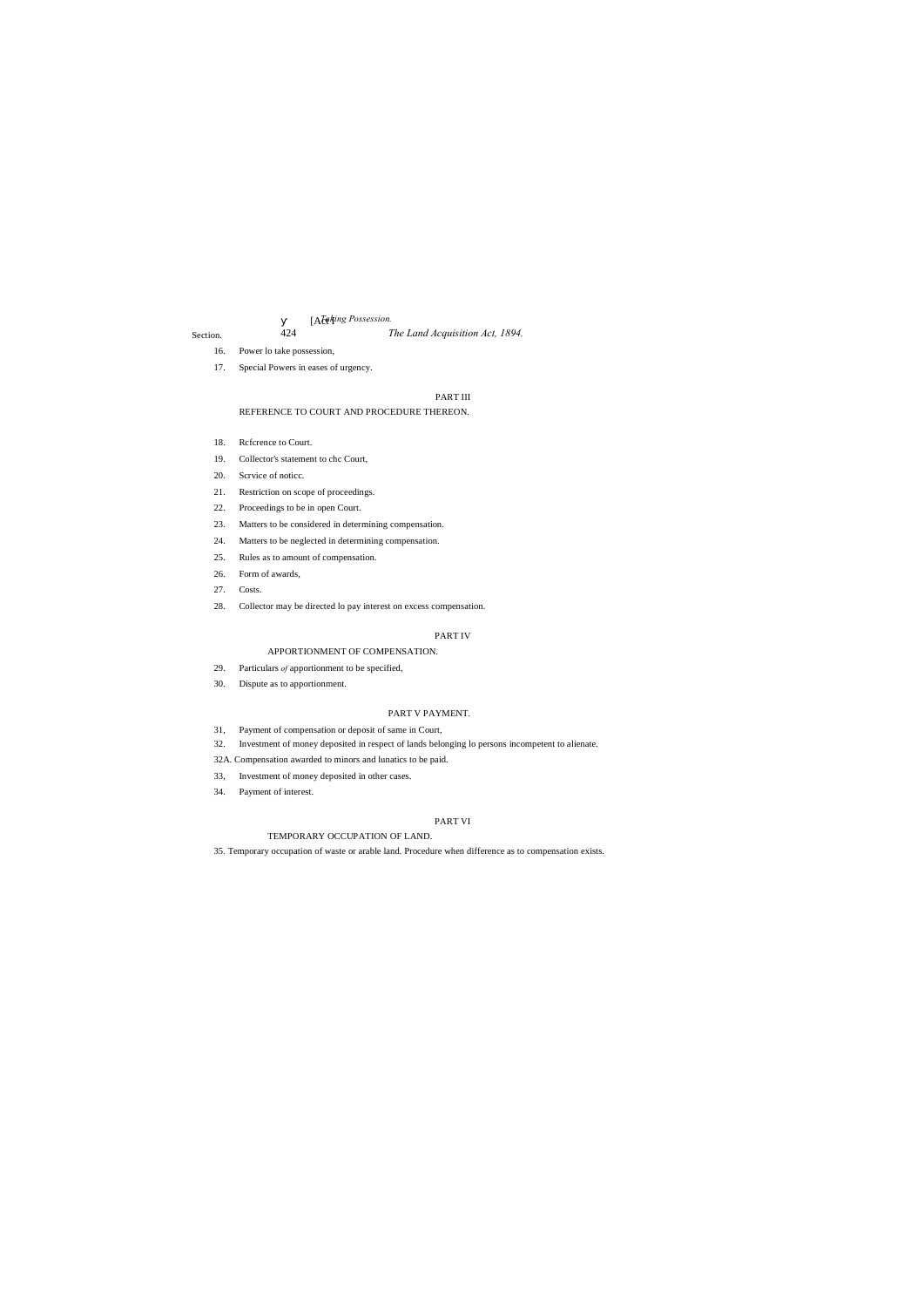# 424 *The Land Acquisition Act, 1894.*

## [Act I *Taking Possession.*

### Section.

- 16. Power lo take possession,
- 17. Special Powers in eases of urgency.

# PART III

### REFERENCE TO COURT AND PROCEDURE THEREON.

- 18. Reference to Court.
- 19. Collector's statement to chc Court,
- 20. Scrvice of noticc.
- 21. Restriction on scope of proceedings.
- 22. Proceedings to be in open Court.
- 23. Matters to be considered in determining compensation.
- 24. Matters to be neglected in determining compensation.
- 25. Rules as to amount of compensation.
- 26. Form of awards,
- 27. Costs.
- 28. Collector may be directed lo pay interest on excess compensation.

# PART IV

### APPORTIONMENT OF COMPENSATION.

- 29. Particulars *of* apportionment to be specified,
- 30. Dispute as to apportionment.

# PART V PAYMENT.

- 31, Payment of compensation or deposit of same in Court,
- 32. Investment of money deposited in respect of lands belonging lo persons incompetent to alienate.
- 32A. Compensation awarded to minors and lunatics to be paid.
- 33, Investment of money deposited in other cases.
- 34. Payment of interest.

## PART VI

# TEMPORARY OCCUPATION OF LAND.

35. Temporary occupation of waste or arable land. Procedure when difference as to compensation exists.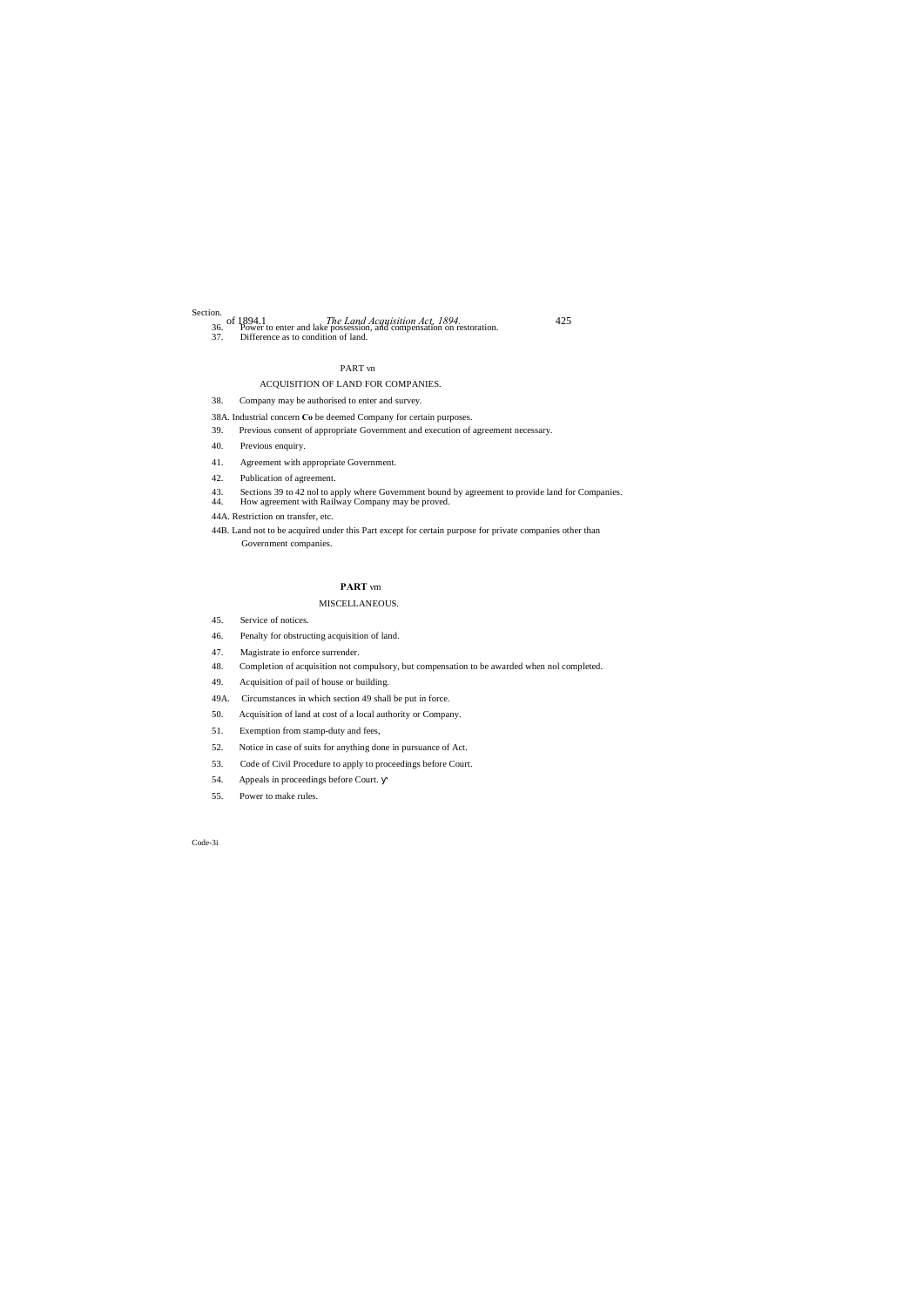## Section.

of 1894.1 *The Land Acquisition Act, 1894.* 425 36. Power to enter and lake possession, and compensation on restoration.

37. Difference as to condition of land.

### PART vn

# ACQUISITION OF LAND FOR COMPANIES.

38. Company may be authorised to enter and survey.

38A. Industrial concern **Co** be deemed Company for certain purposes.

- 39. Previous consent of appropriate Government and execution of agreement necessary.
- 40. Previous enquiry.
- 41. Agreement with appropriate Government.
- 42. Publication of agreement.
- 43. Sections 39 to 42 nol to apply where Government bound by agreement to provide land for Companies.
- How agreement with Railway Company may be proved.
- 44A. Restriction on transfer, etc.
- 44B. Land not to be acquired under this Part except for certain purpose for private companies other than Government companies.

## **PART** vm

## MISCELLANEOUS.

- 45. Service of notices.
- 46. Penalty for obstructing acquisition of land.
- 47. Magistrate io enforce surrender.
- 48. Completion of acquisition not compulsory, but compensation to be awarded when nol completed.
- 49. Acquisition of pail of house or building.
- 49A. Circumstances in which section 49 shall be put in force.
- 50. Acquisition of land at cost of a local authority or Company.
- 51. Exemption from stamp-duty and fees,
- 52. Notice in case of suits for anything done in pursuance of Act.
- 53. Code of Civil Procedure to apply to proceedings before Court.
- 54. Appeals in proceedings before Court.
- 55. Power to make rules.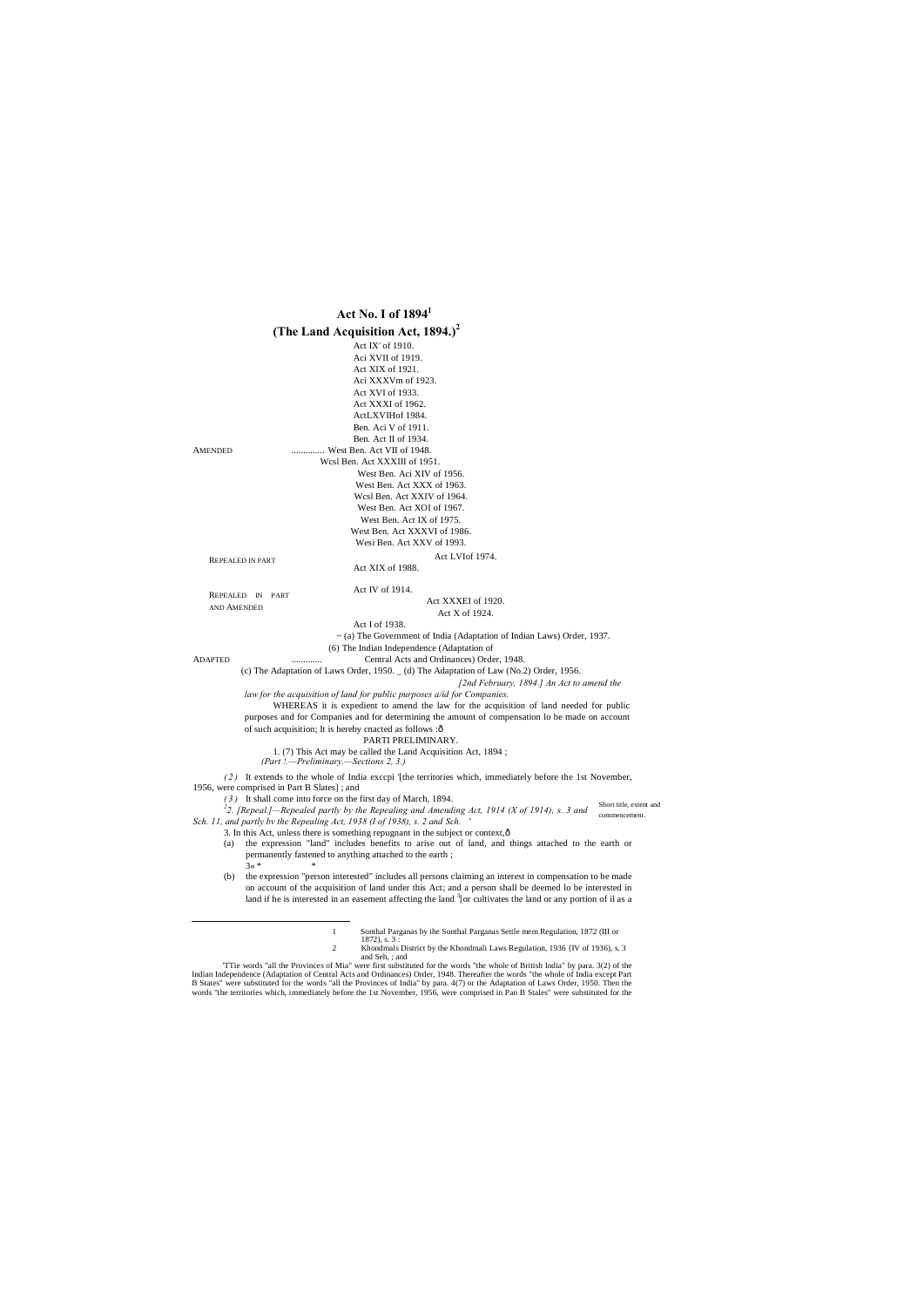

<sup>1</sup> Sonthal Parganas by ihe Sonthal Parganas Settle mem Regulation, 1872 (III or

words "the territories which, immediately before the 1st November, 1956, were comprised in Pan B Stales" were substituted for the

and Seh, ; and<br>The words "all the Provinces of Mia" were first substituted for the words "the whole of British India" by para. 3(2) of the Indian Independence (Adaptation of Central Acts and Ordinances) Order, 1948. Thereafter the words "the whole of India except Part B States" were substituted for the words "all the Provinces of India" by para. 4(7) or the Adaptation of Laws Order, 1950. Then the

<sup>1872),</sup> s. 3 : 2 Khondmals District by the Khondmali Laws Regulation, 1936 {IV of 1936), s. 3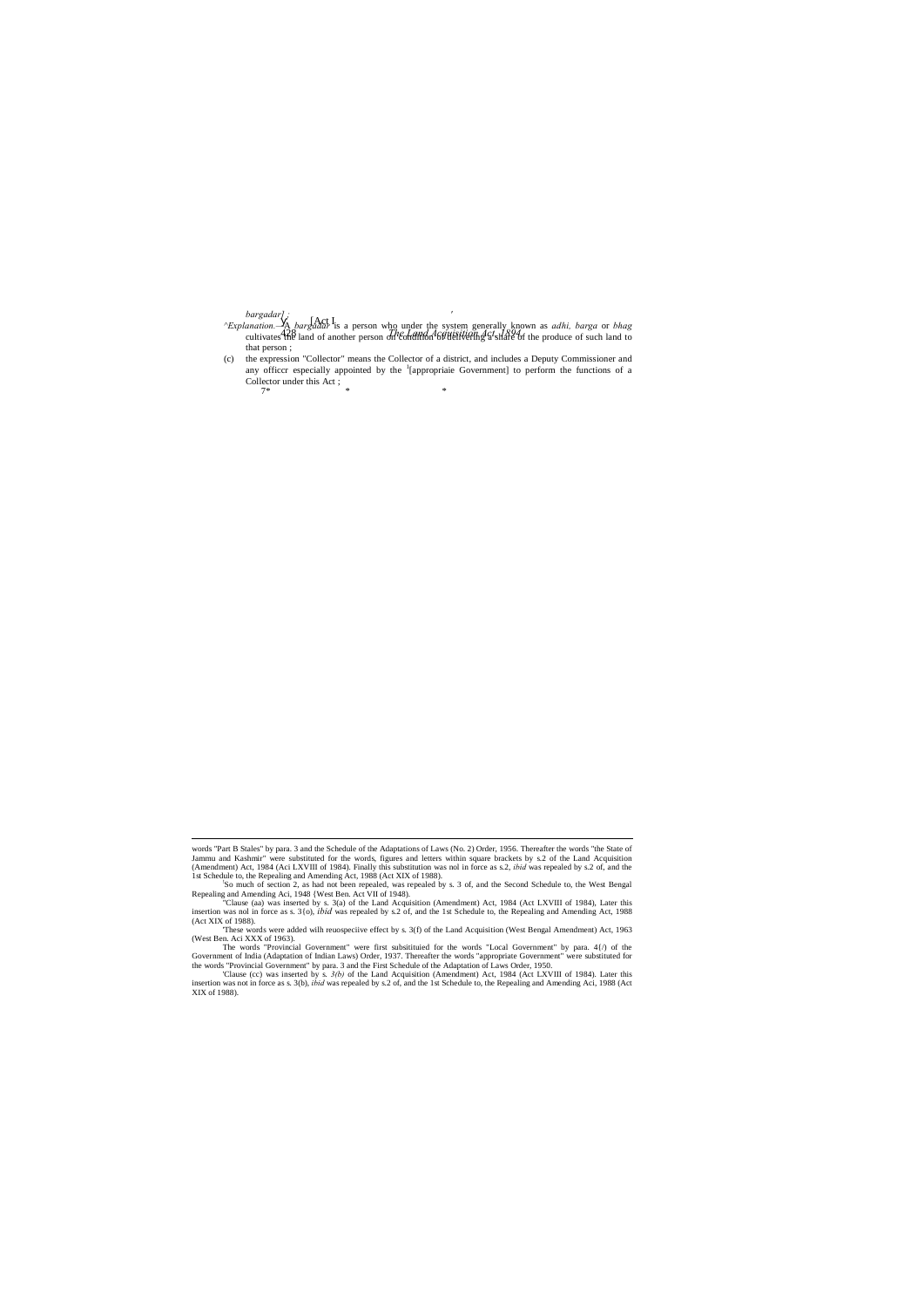*bargadar] ; '*

- [Act I 428 *The Land Acquisition Act, 1894. ^Explanation.—*A *bargadar* is a person who under the system generally known as *adhi, barga* or *bhag* cultivates the land of another person on  $\frac{d^n \xi}{d^n}$  of  $\frac{d^n \xi}{d^n}$  and  $\frac{d^n \xi}{d^n}$  and  $\frac{d^n \xi}{d^n}$  for the produce of such land to that person ;
- (c) the expression "Collector" means the Collector of a district, and includes a Deputy Commissioner and any officer especially appointed by the <sup>1</sup>[appropriaie Government] to perform the functions of a Collector under this Act ;  $7*$  \* \* \*

XIX of 1988).

words "Part B Stales" by para. 3 and the Schedule of the Adaptations of Laws (No. 2) Order, 1956. Thereafter the words "the State of Jammu and Kashmir" were substituted for the words, figures and letters within square brackets by s.2 of the Land Acquisition (Amendment) Act, 1984 (Aci LXVIII of 1984). Finally this substitution was nol in force as s.2, *ibid* was repealed by s.2 of, and the 1st Schedule to, the Repealing and Amending Act, 1988 (Act XIX of 1988).

<sup>&</sup>quot;Clause (aa) was inserted by s. 3(a) of the Land Acquisition (Amendment) Act, 1984 (Act LXVIII of 1984), Later this insertion was nol in force as s. 3(o), *ibid* was repealed by s.2 of, and the 1st Schedule to, the Repeali (Act XIX of 1988).

So much of section 2, as had not been repealed, was repealed by s. 3 of, and the Second Schedule to, the West Bengal Repealing and Amending Aci, 1948 {West Ben. Act VII of 1948).

<sup>&#</sup>x27;These words were added wilh reuospeciive effect by s. 3(f) of the Land Acquisition (West Bengal Amendment) Act, 1963 (West Ben. Aci XXX of 1963).

The words "Provincial Government" were first subsitituied for the words "Local Government" by para. 4{/) of the Government of India (Adaptation of Indian Laws) Order, 1937. Thereafter the words "appropriate Government" were substituted for the words "Provincial Government" by para. 3 and the First Schedule of the Adaptation of Laws Order, 1950.

<sup>&#</sup>x27;Clause (cc) was inserted by s. *3(b)* of the Land Acquisition (Amendment) Act, 1984 (Act LXVIII of 1984). Later this insertion was not in force as s. 3(b), *ibid* was repealed by s.2 of, and the 1st Schedule to, the Repealing and Amending Aci, 1988 (Act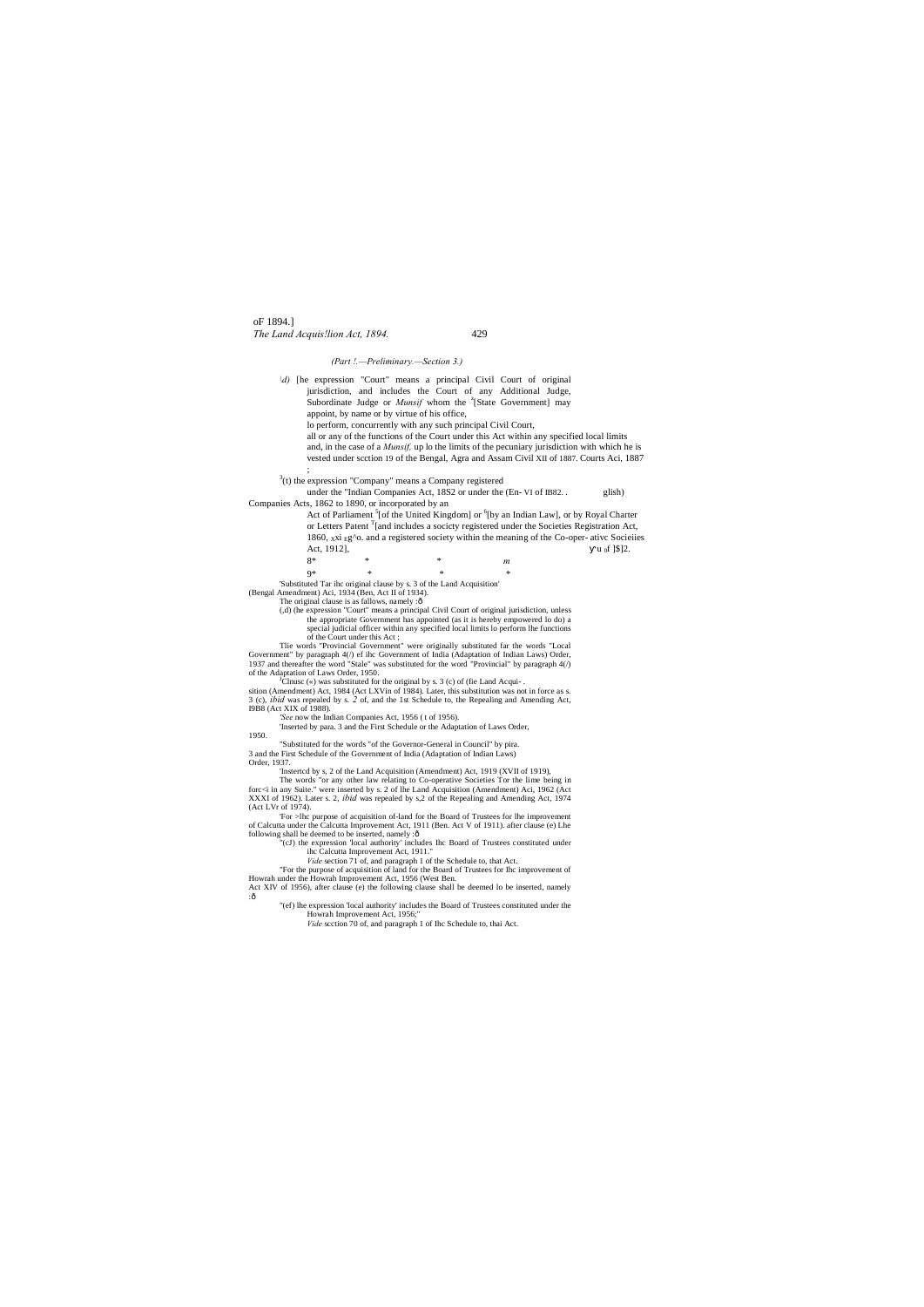oF 1894.] *The Land Acquis!lion Act, 1894.* 429

### *(Part !.—Preliminary.—Section 3.)*

*\d)* [he expression "Court" means a principal Civil Court of original jurisdiction, and includes the Court of any Additional Judge, Subordinate Judge or *Munsif* whom the <sup>z</sup>[State Government] may appoint, by name or by virtue of his office, lo perform, concurrently with any such principal Civil Court, all or any of the functions of the Court under this Act within any specified local limits

and, in the case of a *Munsif,* up lo the limits of the pecuniary jurisdiction with which he is vested under scction 19 of the Bengal, Agra and Assam Civil XII of 1887. Courts Aci, 1887 ;

 $3$ (t) the expression "Company" means a Company registered

under the "Indian Companies Act, 18S2 or under the (En- VI of IB82. . glish) Companies Acts, 1862 to 1890, or incorporated by an

Act of Parliament <sup>5</sup>[of the United Kingdom] or <sup>6</sup>[by an Indian Law], or by Royal Charter or Letters Patent  $T$ [and includes a socicty registered under the Societies Registration Act, 1860, xxi  $Eg$ <sup>o</sup>. and a registered society within the meaning of the Co-oper- ativc Socieiies Act, 1912],  $u_0 f$  [\$]2.

of the Court under this Act ; Tlie words "Provincial Government" were originally substituted far the words "Local Government" by paragraph 4(/) ef ihc Government of India (Adaptation of Indian Laws) Order, 1937 and thereafter the word "Stale" was substituted for the word "Provincial" by paragraph 4(/) of the Adaptation of Laws Order, 1950.

 ${}^{J}$ Clnusc («) was substituted for the original by s. 3 (c) of (fie Land Acquisition (Amendment) Act, 1984 (Act LXVin of 1984). Later, this substitution was not in force as s. 3 (c), *ibid* was repealed by s. *2* of, and the 1st Schedule to, the Repealing and Amending Act,

8\* \* \* *m* 9\* \* \* \* 'Substituted Tar ihc original clause by s. 3 of the Land Acquisition'

(Bengal Amendment) Aci, 1934 (Ben, Act II of 1934).

The original clause is as fallows, namely :ô

'For >lhc purpose of acquisition of-land for the Board of Trustees for lhe improvement of Calcutta under the Calcutta Improvement Act, 1911 (Ben. Act V of 1911). after clause (e) Lhe following shall be deemed to be inserted, namely :ô

(,d) (he expression "Court" means a principal Civil Court of original jurisdiction, unless the appropriate Government has appointed (as it is hereby empowered lo do) a special judicial officer within any specified local limits lo perform lhe functions

"(ef) lhe expression 'local authority' includes the Board of Trustees constituted under the Howrah Improvement Act, 1956;"

I9B8 (Act XIX of 1988). *'See* now the Indian Companies Act, 1956 ( t of 1956).

'Inserted by para. 3 and the First Schedule or the Adaptation of Laws Order,

1950.

"Substituted for the words "of the Governor-General in Council" by pira. 3 and the First Schedule of the Government of India (Adaptation of Indian Laws)

Order, 1937.

'Instertcd by s, 2 of the Land Acquisition (Amendment) Act, 1919 (XVII of 1919),

The words "or any other law relating to Co-operative Societies Tor the lime being in forc<i in any Suite." were inserted by s. 2 of lhe Land Acquisition (Amendment) Aci, 1962 (Act XXXI of 1962). Later s. 2, *ibid* was repealed by s,2 of the Repealing and Amending Act, 1974 (Act LVr of 1974).

"(cJ) the expression 'local authority' includes Ihc Board of Trustees constituted under ihc Calcutta Improvement Act, 1911."

*Vide* section 71 of, and paragraph 1 of the Schedule to, that Act.

"For the purpose of acquisition of land for the Board of Trustees for Ihc improvement of

Howrah under the Howrah Improvement Act, 1956 (West Ben. Act XIV of 1956), after clause (e) the following clause shall be deemed lo be inserted, namely :—

*Vide* scction 70 of, and paragraph 1 of Ihc Schedule to, thai Act.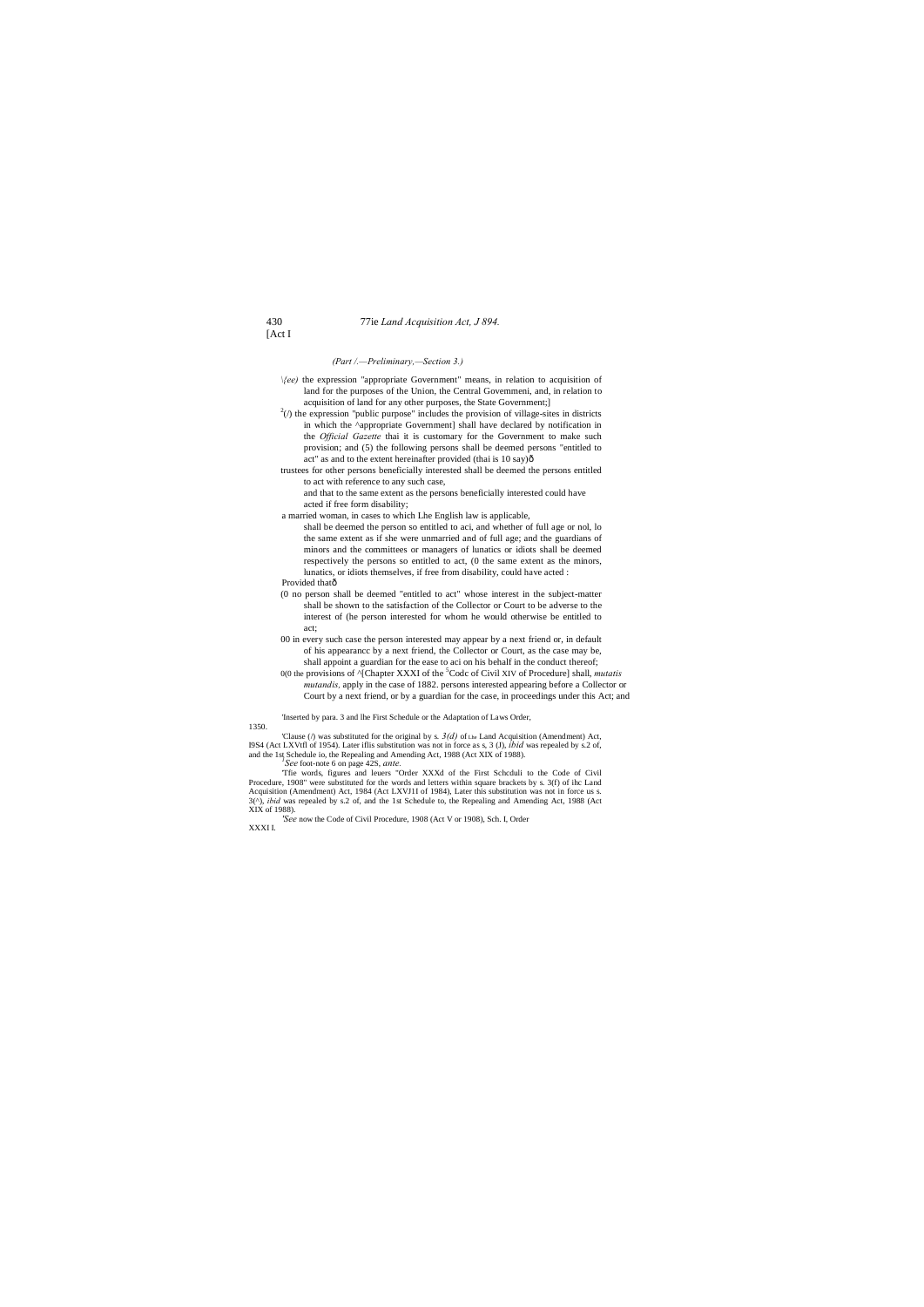### 430 77ie *Land Acquisition Act, J 894.*

[Act I

### *(Part /.—Preliminary,—Section 3.)*

- *\{ee)* the expression "appropriate Government" means, in relation to acquisition of land for the purposes of the Union, the Central Govemmeni, and, in relation to acquisition of land for any other purposes, the State Government;]
- $^{2}$ ( $\prime$ ) the expression "public purpose" includes the provision of village-sites in districts in which the ^appropriate Government] shall have declared by notification in the *Official Gazette* thai it is customary for the Government to make such provision; and (5) the following persons shall be deemed persons "entitled to act" as and to the extent hereinafter provided (thai is 10 say) $\hat{o}$
- trustees for other persons beneficially interested shall be deemed the persons entitled to act with reference to any such case,
	- and that to the same extent as the persons beneficially interested could have acted if free form disability;
- a married woman, in cases to which Lhe English law is applicable,
	- shall be deemed the person so entitled to aci, and whether of full age or nol, lo the same extent as if she were unmarried and of full age; and the guardians of minors and the committees or managers of lunatics or idiots shall be deemed respectively the persons so entitled to act, (0 the same extent as the minors, lunatics, or idiots themselves, if free from disability, could have acted :
- Provided thatô
- (0 no person shall be deemed "entitled to act" whose interest in the subject-matter shall be shown to the satisfaction of the Collector or Court to be adverse to the interest of (he person interested for whom he would otherwise be entitled to act;
- 00 in every such case the person interested may appear by a next friend or, in default of his appearancc by a next friend, the Collector or Court, as the case may be, shall appoint a guardian for the ease to aci on his behalf in the conduct thereof;
- 0(0 the provisions of <sup>^</sup>[Chapter XXXI of the <sup>5</sup>Codc of Civil XIV of Procedure] shall, *mutatis mutandis,* apply in the case of 1882. persons interested appearing before a Collector or Court by a next friend, or by a guardian for the case, in proceedings under this Act; and

'Inserted by para. 3 and lhe First Schedule or the Adaptation of Laws Order,

### 1350.

'Clause ( $\ell$ ) was substituted for the original by s.  $3(d)$  of the Land Acquisition (Amendment) Act, I9S4 (Act LXVtfl of 1954). Later iflis substitution was not in force as s, 3 (J), *ibid* was repealed by s.2 of, and the 1st Schedule io, the Repealing and Amending Act, 1988 (Act XIX of 1988).

*See* foot-note 6 on page 42S, *ante.*

'Tfie words, figures and leuers "Order XXXd of the First Schcduli to the Code of Civil Procedure, 1908" were substituted for the words and letters within square brackets by s. 3(f) of ihc Land Acquisition (Amendment) Act, 1984 (Act LXVJ1I of 1984), Later this substitution was not in force us s. 3(^), *ibid* was repealed by s.2 of, and the 1st Schedule to, the Repealing and Amending Act, 1988 (Act XIX of 1988).

*'See* now the Code of Civil Procedure, 1908 (Act V or 1908), Sch. I, Order

XXXI I.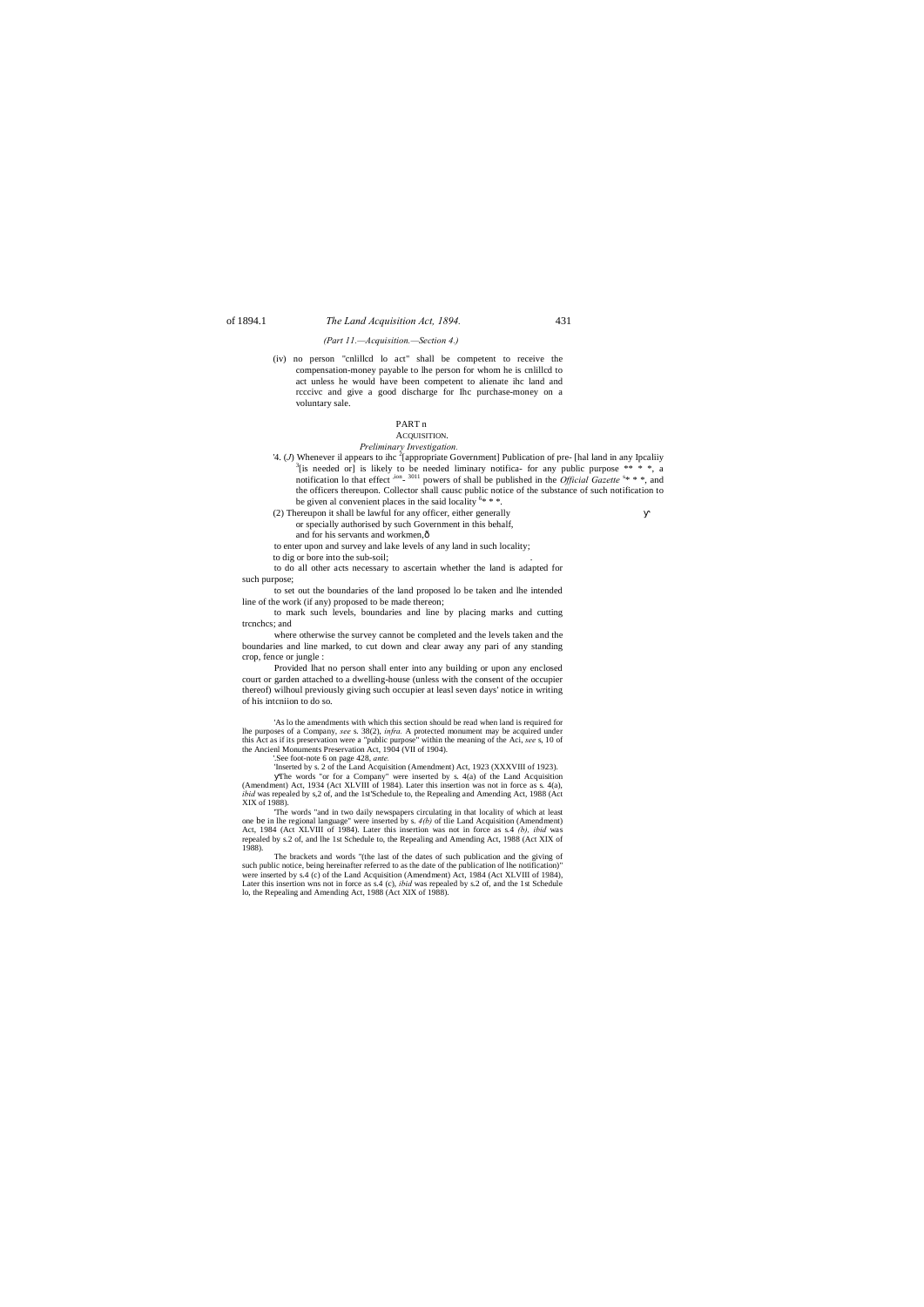# of 1894.1 *The Land Acquisition Act, 1894.* 431

### *(Part 11.—Acquisition.—Section 4.)*

- *Preliminary Investigation.*
- 4. (*J*) Whenever il appears to ihc <sup>2</sup> [appropriate Government] Publication of pre- [hal land in any Ipcaliiy  $\frac{3\text{Li}}{2}$  and  $\frac{3\text{Li}}{2}$  and  $\frac{3\text{Li}}{2}$  and  $\frac{3\text{Li}}{2}$  and  $\frac{3\text{Li}}{2}$  and  $\frac{3\text{Li}}{2}$  [is needed or] is likely to be needed liminary notifica- for any public purpose  $** * *$ , a notification lo that effect <sup>,ion</sup>- <sup>3011</sup> powers of shall be published in the *Official Gazette* <sup>s\*</sup> \* \*, and the officers thereupon. Collector shall causc public notice of the substance of such notification to be given al convenient places in the said locality  $6***$ .
	-
- (2) Thereupon it shall be lawful for any officer, either generally
	- or specially authorised by such Government in this behalf,
	- and for his servants and workmen, $\hat{o}$
- to enter upon and survey and lake levels of any land in such locality;
- to dig or bore into the sub-soil:

(iv) no person "cnlillcd lo act" shall be competent to receive the compensation-money payable to lhe person for whom he is cnlillcd to act unless he would have been competent to alienate ihc land and rcccivc and give a good discharge for Ihc purchase-money on a voluntary sale.

### PART n

# ACQUISITION.

to do all other acts necessary to ascertain whether the land is adapted for such purpose;

to set out the boundaries of the land proposed lo be taken and lhe intended line of the work (if any) proposed to be made thereon;

to mark such levels, boundaries and line by placing marks and cutting trcnchcs; and

where otherwise the survey cannot be completed and the levels taken and the boundaries and line marked, to cut down and clear away any pari of any standing crop, fence or jungle :

Provided lhat no person shall enter into any building or upon any enclosed court or garden attached to a dwelling-house (unless with the consent of the occupier thereof) wilhoul previously giving such occupier at leasl seven days' notice in writing of his intcniion to do so.

'As lo the amendments with which this section should be read when land is required for lhe purposes of a Company, *see* s. 38(2), *infra.* A protected monument may be acquired under this Act as if its preservation were a "public purpose" within the meaning of the Aci, *see* s, 10 of the Ancienl Monuments Preservation Act, 1904 (VII of 1904).

'.See foot-note 6 on page 428, *ante.*

'Inserted by s. 2 of the Land Acquisition (Amendment) Act, 1923 (XXXVIII of 1923). The words "or for a Company" were inserted by s. 4(a) of the Land Acquisition (Amendment) Act, 1934 (Act XLVIII of 1984). Later this insertion was not in force as s. 4(a), *ibid* was repealed by s,2 of, and the 1st'Schedule to, the Repealing and Amending Act, 1988 (Act XIX of 1988).

'The words "and in two daily newspapers circulating in that locality of which at least one be in lhe regional language" were inserted by s. *4(b)* of tlie Land Acquisition (Amendment) Act, 1984 (Act XLVIII of 1984). Later this insertion was not in force as s.4 *(b), ibid* was repealed by s.2 of, and lhe 1st Schedule to, the Repealing and Amending Act, 1988 (Act XIX of 1988).

The brackets and words "(the last of the dates of such publication and the giving of such public notice, being hereinafter referred to as the date of the publication of lhe notification)" were inserted by s.4 (c) of the Land Acquisition (Amendment) Act, 1984 (Act XLVIII of 1984), Later this insertion wns not in force as s.4 (c), *ibid* was repealed by s.2 of, and the 1st Schedule lo, the Repealing and Amending Act, 1988 (Act XIX of 1988).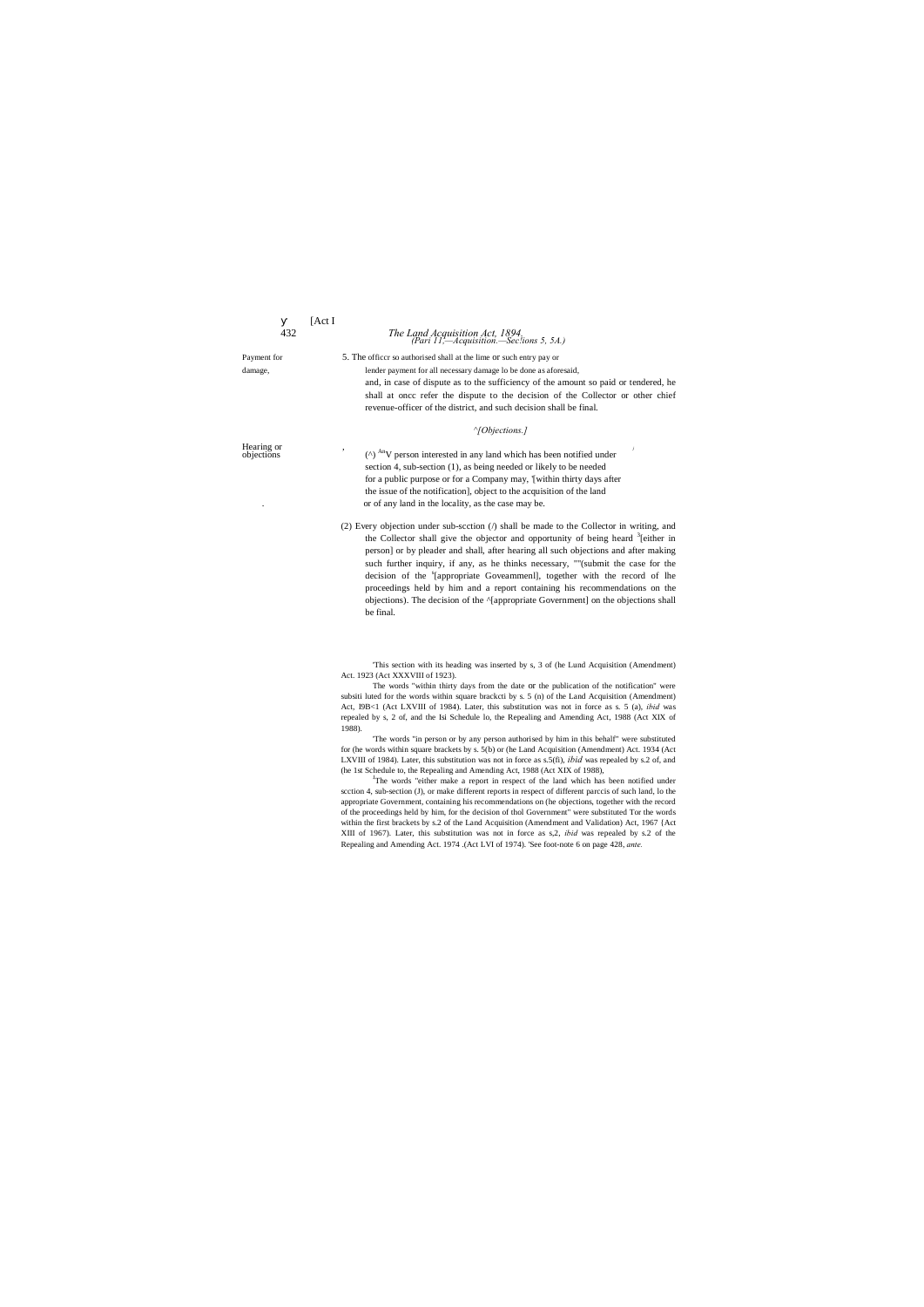|             | [Act]                                                                                                                                                                                              |
|-------------|----------------------------------------------------------------------------------------------------------------------------------------------------------------------------------------------------|
| 432         | The Land Acquisition Act, 1894,<br>(Pari 11,—Acquisition.—Seclions 5, 5A.)                                                                                                                         |
| Payment for | 5. The officer so authorised shall at the lime or such entry pay or                                                                                                                                |
| damage,     | lender payment for all necessary damage lo be done as aforesaid,                                                                                                                                   |
|             | and, in case of dispute as to the sufficiency of the amount so paid or tendered, he                                                                                                                |
|             | shall at once refer the dispute to the decision of the Collector or other chief                                                                                                                    |
|             | revenue-officer of the district, and such decision shall be final.                                                                                                                                 |
|             | $\gamma$ Objections.]                                                                                                                                                                              |
| Hearing or  | $(\wedge)$ <sup>An</sup> V person interested in any land which has been notified under                                                                                                             |
| objections  | section 4, sub-section (1), as being needed or likely to be needed                                                                                                                                 |
|             | for a public purpose or for a Company may, '[within thirty days after                                                                                                                              |
|             | the issue of the notification, object to the acquisition of the land                                                                                                                               |
|             | or of any land in the locality, as the case may be.                                                                                                                                                |
|             |                                                                                                                                                                                                    |
|             | (2) Every objection under sub-section $($ ) shall be made to the Collector in writing, and<br>the Collector shall give the objector and opportunity of being heard <sup>3</sup> [either in         |
|             | person] or by pleader and shall, after hearing all such objections and after making                                                                                                                |
|             | such further inquiry, if any, as he thinks necessary, ""(submit the case for the                                                                                                                   |
|             | decision of the '[appropriate Goveammenl], together with the record of lhe                                                                                                                         |
|             | proceedings held by him and a report containing his recommendations on the                                                                                                                         |
|             | objections). The decision of the ^[appropriate Government] on the objections shall                                                                                                                 |
|             | be final.                                                                                                                                                                                          |
|             |                                                                                                                                                                                                    |
|             | This section with its heading was inserted by s, 3 of (he Lund Acquisition (Amendment)<br>Act. 1923 (Act XXXVIII of 1923).                                                                         |
|             | The words "within thirty days from the date or the publication of the notification" were                                                                                                           |
|             | subsiti luted for the words within square bracketi by s. 5 (n) of the Land Acquisition (Amendment)                                                                                                 |
|             | Act, I9B<1 (Act LXVIII of 1984). Later, this substitution was not in force as s. 5 (a), <i>ibid</i> was                                                                                            |
|             | repealed by s, 2 of, and the Isi Schedule lo, the Repealing and Amending Act, 1988 (Act XIX of<br>1988).                                                                                           |
|             | The words "in person or by any person authorised by him in this behalf" were substituted                                                                                                           |
|             | for (he words within square brackets by s. 5(b) or (he Land Acquisition (Amendment) Act. 1934 (Act                                                                                                 |
|             | LXVIII of 1984). Later, this substitution was not in force as $s.5(fi)$ , <i>ibid</i> was repealed by $s.2$ of, and                                                                                |
|             | (he 1st Schedule to, the Repealing and Amending Act, 1988 (Act XIX of 1988),                                                                                                                       |
|             | The words "either make a report in respect of the land which has been notified under<br>scction 4, sub-section (J), or make different reports in respect of different parccis of such land, lo the |
|             | appropriate Government, containing his recommendations on (he objections, together with the record                                                                                                 |
|             | of the proceedings held by him, for the decision of thol Government" were substituted Tor the words                                                                                                |
|             | within the first brackets by s.2 of the Land Acquisition (Amendment and Validation) Act, 1967 {Act                                                                                                 |

XIII of 1967). Later, this substitution was not in force as s,2, *ibid* was repealed by s.2 of the Repealing and Amending Act. 1974 .(Act LVI of 1974). 'See foot-note 6 on page 428, *ante.*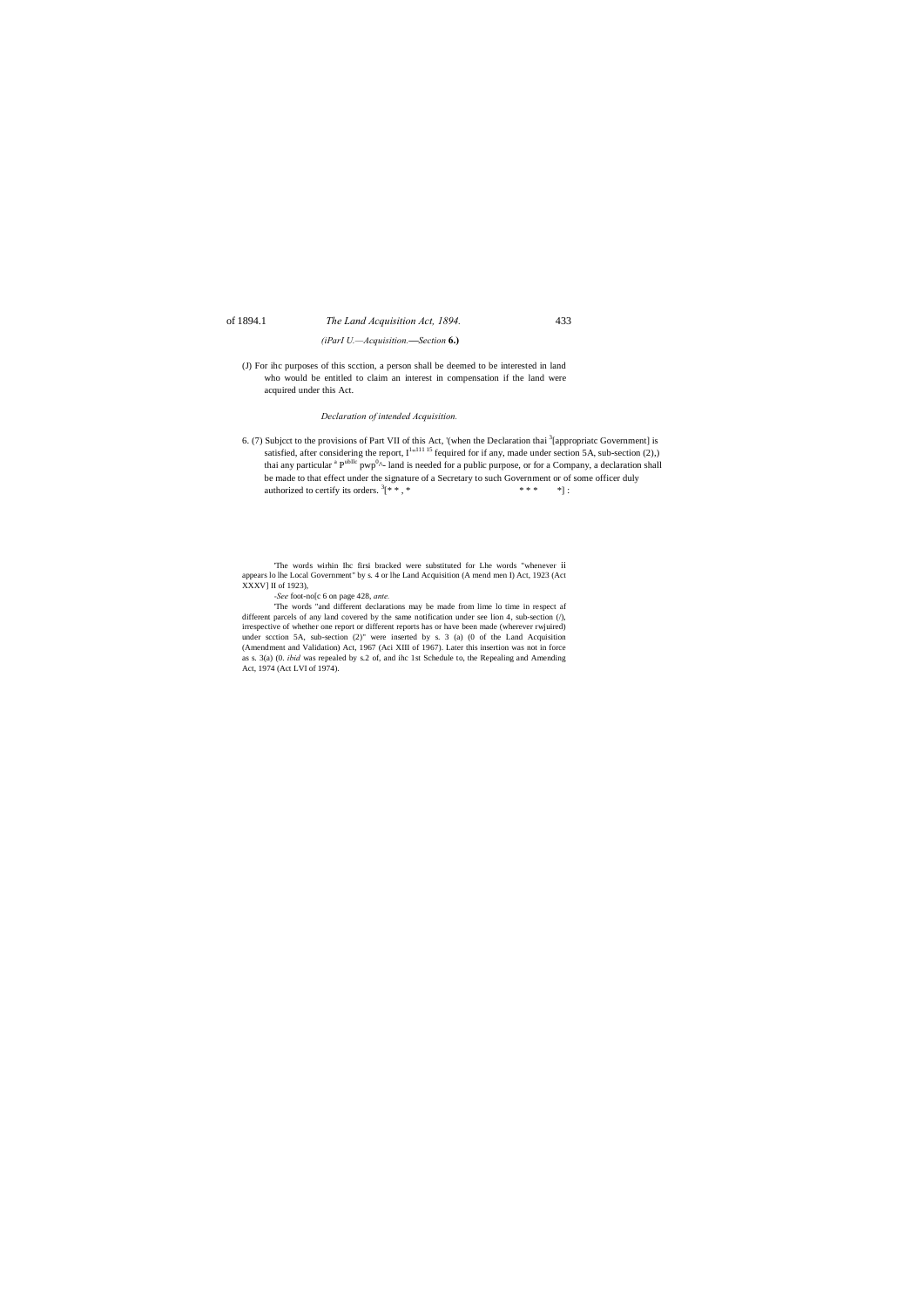# of 1894.1 *The Land Acquisition Act, 1894.* 433

*(iParI U.—Acquisition.***—***Section* **6.)**

6. (7) Subjcct to the provisions of Part VII of this Act, '(when the Declaration thai <sup>3</sup> [appropriatc Government] is satisfied, after considering the report,  $I^{1,111115}$  fequired for if any, made under section 5A, sub-section (2),) thai any particular <sup>a</sup> P<sup>ubIlc</sup> pwp<sup>0</sup>^- land is needed for a public purpose, or for a Company, a declaration shall be made to that effect under the signature of a Secretary to such Government or of some officer duly authorized to certify its orders.  $3$ [\* \*, \*  $* * * * * * *$  :

(J) For ihc purposes of this scction, a person shall be deemed to be interested in land who would be entitled to claim an interest in compensation if the land were acquired under this Act.

# *Declaration of intended Acquisition.*

'The words wirhin Ihc firsi bracked were substituted for Lhe words "whenever ii appears lo lhe Local Government" by s. 4 or lhe Land Acquisition (A mend men I) Act, 1923 (Act XXXV] II of 1923),

*-See* foot-no[c 6 on page 428, *ante.*

'The words "and different declarations may be made from lime lo time in respect af different parcels of any land covered by the same notification under see lion 4, sub-section (/), irrespective of whether one report or different reports has or have been made (wherever rwjuired) under scction 5A, sub-section (2)" were inserted by s. 3 (a) (0 of the Land Acquisition (Amendment and Validation) Act, 1967 (Aci XIII of 1967). Later this insertion was not in force as s. 3(a) (0. *ibid* was repealed by s.2 of, and ihc 1st Schedule to, the Repealing and Amending Act, 1974 (Act LVI of 1974).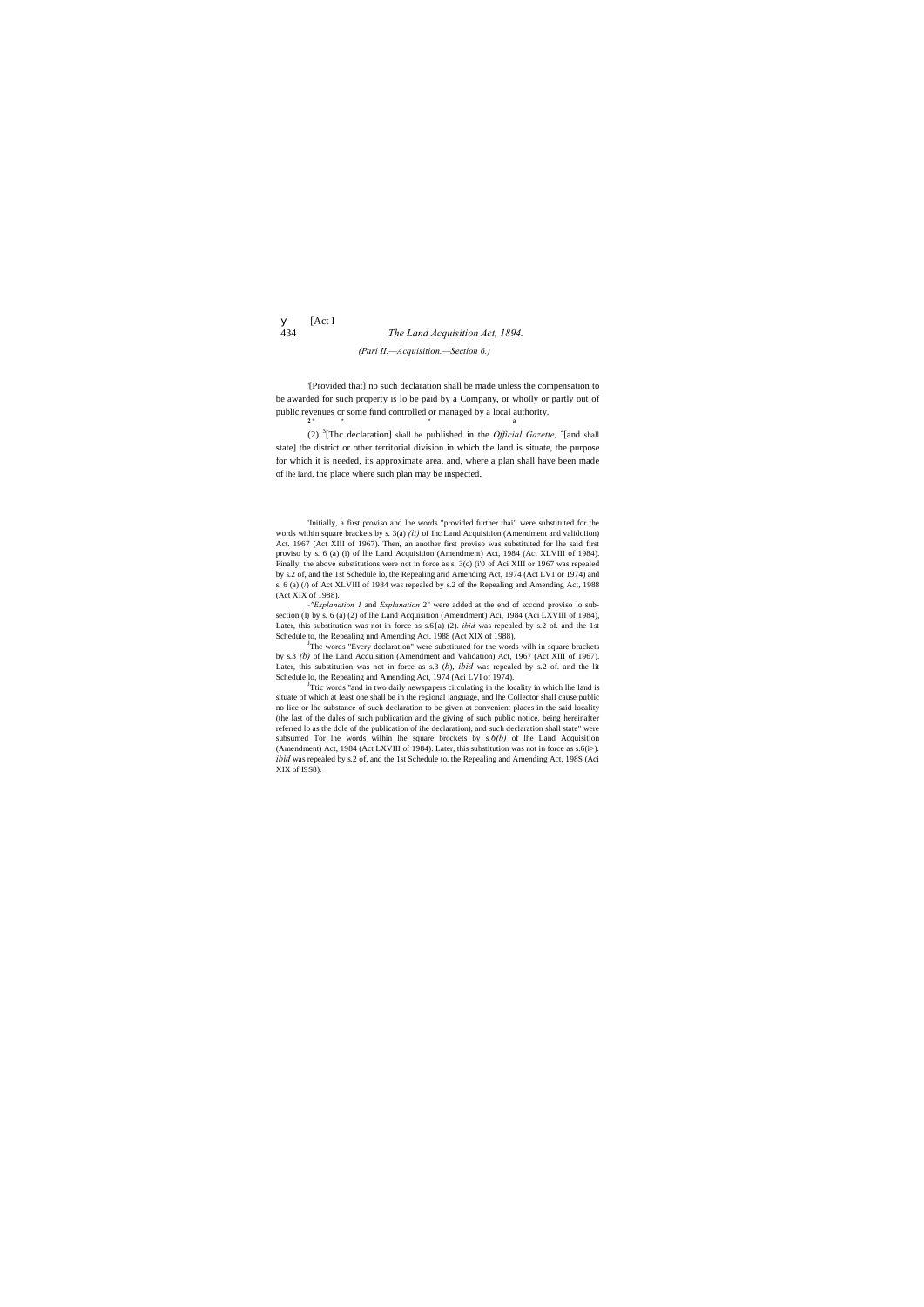[Act I

# 434 *The Land Acquisition Act, 1894. (Pari II.—Acquisition.—Section 6.)*

'[Provided that] no such declaration shall be made unless the compensation to be awarded for such property is lo be paid by a Company, or wholly or partly out of public revenues or some fund controlled or managed by a local authority. **2 \*** \* \* a

(2) <sup>3</sup> [Thc declaration] shall be published in the *Official Gazette,* <sup>4</sup> [and shall state] the district or other territorial division in which the land is situate, the purpose for which it is needed, its approximate area, and, where a plan shall have been made of lhe land, the place where such plan may be inspected.

'Initially, a first proviso and lhe words "provided further thai" were substituted for the words within square brackets by s. 3(a) *(it)* of Ihc Land Acquisition (Amendment and validoiion) Act. 1967 (Act XIII of 1967). Then, an another first proviso was substituted for lhe said first proviso by s. 6 (a) (i) of lhe Land Acquisition (Amendment) Act, 1984 (Act XLVIII of 1984). Finally, the above substitutions were not in force as s. 3(c) (i'0 of Aci XIII or 1967 was repealed by s.2 of, and the 1st Schedule lo, the Repealing arid Amending Act, 1974 (Act LV1 or 1974) and s. 6 (a) (/) of Act XLVIII of 1984 was repealed by s.2 of the Repealing and Amending Act, 1988 (Act XIX of 1988).

<sup>J</sup>Thc words "Every declaration" were substituted for the words wilh in square brackets by s.3 *(b)* of lhe Land Acquisition (Amendment and Validation) Act, 1967 (Act XIII of 1967). Later, this substitution was not in force as s.3 (*b*), *ibid* was repealed by s.2 of. and the lit Schedule lo, the Repealing and Amending Act, 1974 (Aci LVI of 1974).

<sup>J</sup>Ttic words "and in two daily newspapers circulating in the locality in which lhe land is situate of which at least one shall be in the regional language, and lhe Collector shall cause public no lice or lhe substance of such declaration to be given at convenient places in the said locality (the last of the dales of such publication and the giving of such public notice, being hereinafter referred lo as the dole of the publication of ihe declaration), and such declaration shall state" were subsumed Tor lhe words wilhin lhe square brockets by s*.6(b)* of lhe Land Acquisition (Amendment) Act, 1984 (Act LXVIII of 1984). Later, this substitution was not in force as  $s.6(i-)$ . *ibid* was repealed by s.2 of, and the 1st Schedule to. the Repealing and Amending Act, 198S (Aci XIX of I9S8).

*-"Explanation 1* and *Explanation* 2" were added at the end of sccond proviso lo subsection (I) by s. 6 (a) (2) of lhe Land Acquisition (Amendment) Aci, 1984 (Aci LXVIII of 1984), Later, this substitution was not in force as s.6{a) (2). *ibid* was repealed by s.2 of. and the 1st Schedule to, the Repealing nnd Amending Act. 1988 (Act XIX of 1988).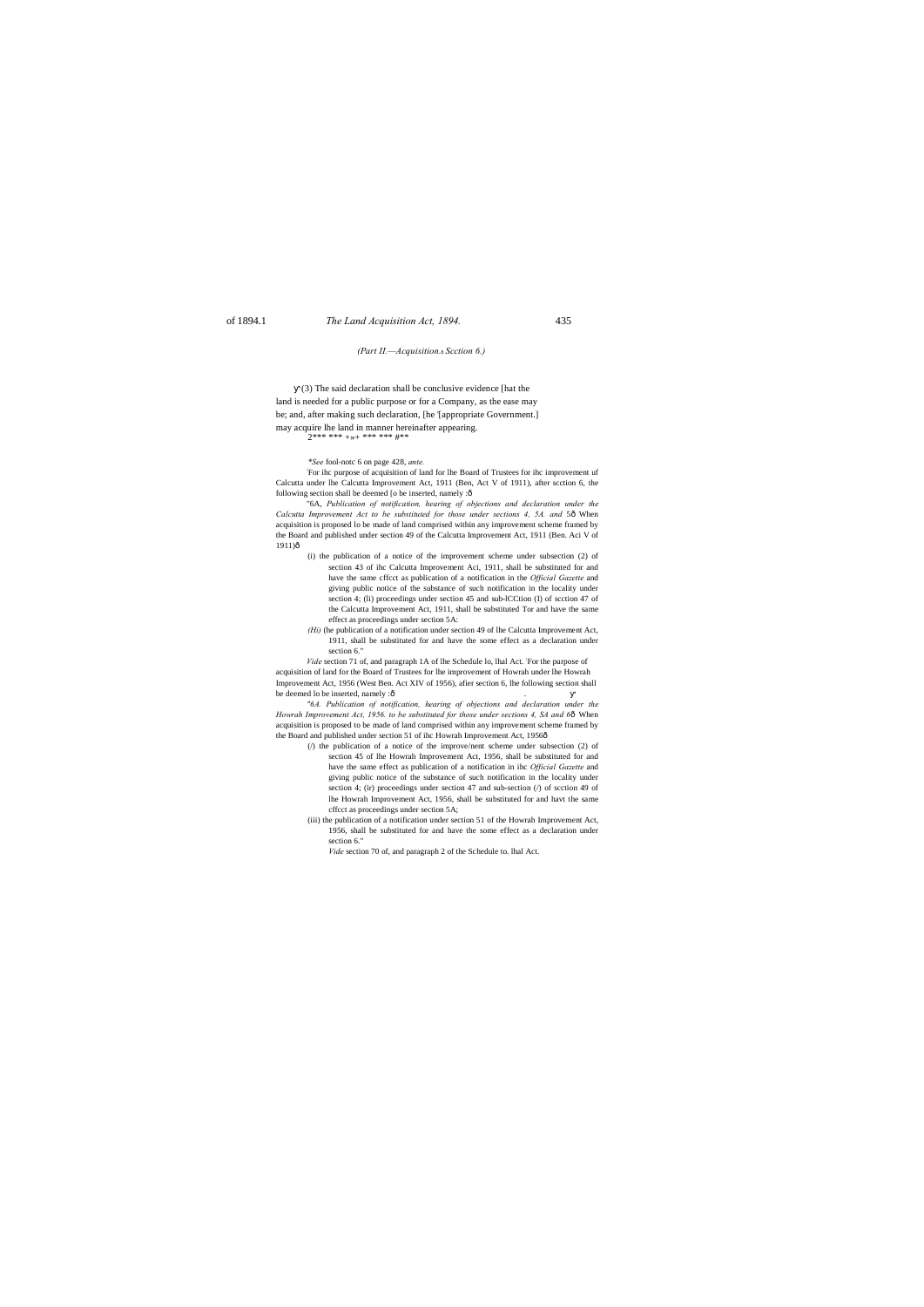# of 1894.1 *The Land Acquisition Act, 1894.* 435

### *(Part II.—Acquisition.*—*Scction 6.)*

; For ihc purpose of acquisition of land for lhe Board of Trustees for ihc improvement uf Calcutta under lhe Calcutta Improvement Act, 1911 (Ben, Act V of 1911), after scction 6, the following section shall be deemed [o be inserted, namely : $\hat{o}$ 

(3) The said declaration shall be conclusive evidence [hat the land is needed for a public purpose or for a Company, as the ease may be; and, after making such declaration, [he '[appropriate Government.] may acquire lhe land in manner hereinafter appearing. 2\*\*\* \*\*\* +»+ \*\*\* \*\*\* #\*\*

"6A, *Publication of notification, hearing of objections and declaration under the Calcutta Improvement Act to be substituted for those under sections 4, 5A. and 56 When* acquisition is proposed lo be made of land comprised within any improvement scheme framed by the Board and published under section 49 of the Calcutta Improvement Act, 1911 (Ben. Aci V of 1911)ô

### *\*See* fool-notc 6 on page 428, *ante.*

*"6A. Publication of notification, hearing of objections and declaration under the Howrah Improvement Act, 1956. to be substituted for those under sections 4, SA and 66* When acquisition is proposed to be made of land comprised within any improvement scheme framed by the Board and published under section 51 of ihc Howrah Improvement Act, 1956ô

- (i) the publication of a notice of the improvement scheme under subsection (2) of section 43 of ihc Calcutta Improvement Aci, 1911, shall be substituted for and have the same cffcct as publication of a notification in the *Official Gazette* and giving public notice of the substance of such notification in the locality under section 4; (li) proceedings under section 45 and sub-lCCtion (I) of scction 47 of the Calcutta Improvement Act, 1911, shall be substituted Tor and have the same effect as proceedings under section 5A:
- *(Hi)* (he publication of a notification under section 49 of lhe Calcutta Improvement Act, 1911, shall be substituted for and have the some effect as a declaration under section 6."

Vide section 71 of, and paragraph 1A of lhe Schedule lo, lhal Act. For the purpose of acquisition of land for the Board of Trustees for lhe improvement of Howrah under lhe Howrah Improvement Act, 1956 (West Ben. Act XIV of 1956), afier section 6, lhe following section shall be deemed lo be inserted, namely :ô

- (/) the publication of a notice of the improve/nent scheme under subsection (2) of section 45 of lhe Howrah Improvement Act, 1956, shall be substituted for and have the same effect as publication of a notification in ihc *Official Gazette* and giving public notice of the substance of such notification in the locality under section 4; (ir) proceedings under section 47 and sub-section (/) of scction 49 of lhe Howrah Improvement Act, 1956, shall be substituted for and havt the same cffcct as proceedings under section 5A;
- (iii) the publication of a notification under section 51 of the Howrah Improvement Act, 1956, shall be substituted for and have the some effect as a declaration under section 6."

*Vide* section 70 of, and paragraph 2 of the Schedule to. lhal Act.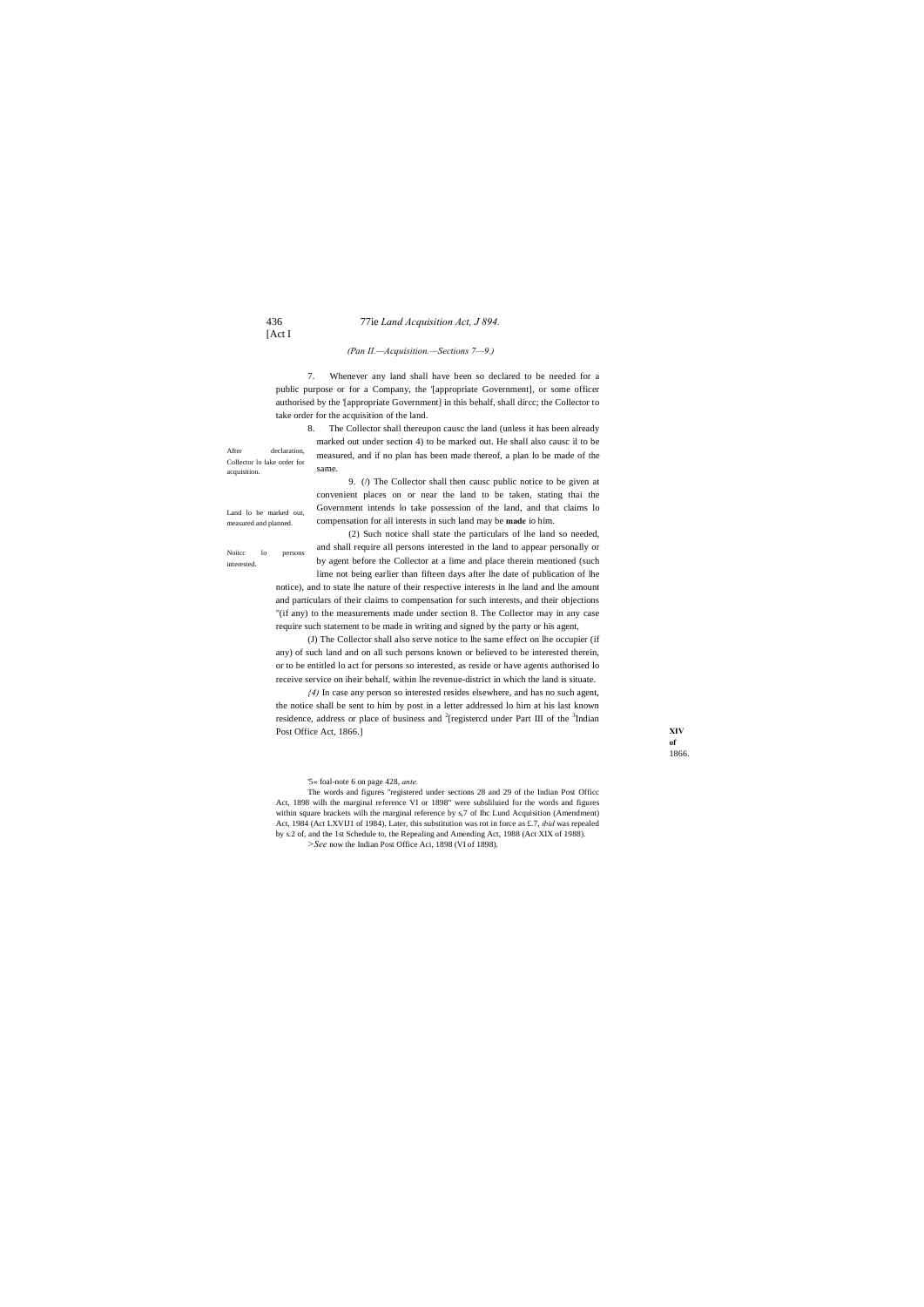### 436 77ie *Land Acquisition Act, J 894.*

# [Act I

**XIV of**  1866.

Noiicc lo persons interested.

acquisition.

### *(Pan II.—Acquisition.—Sections 7—9.)*

7. Whenever any land shall have been so declared to be needed for a public purpose or for a Company, the '[appropriate Government], or some officer authorised by the '[appropriate Government] in this behalf, shall dircc; the Collector to take order for the acquisition of the land.

After declaration, Collector lo lake order for 8. The Collector shall thereupon causc the land (unless it has been already marked out under section 4) to be marked out. He shall also causc il to be measured, and if no plan has been made thereof, a plan lo be made of the same.

Land lo be marked out, measured and planned. Government intends lo take possession of the land, and that claims lo compensation for all interests in such land may be **made** io him.

9. (/) The Collector shall then causc public notice to be given at convenient places on or near the land to be taken, stating thai the

(2) Such notice shall state the particulars of lhe land so needed, and shall require all persons interested in the land to appear personally or by agent before the Collector at a lime and place therein mentioned (such

lime not being earlier than fifteen days after lhe date of publication of lhe notice), and to state lhe nature of their respective interests in lhe land and lhe amount and particulars of their claims to compensation for such interests, and their objections "(if any) to the measurements made under section 8. The Collector may in any case require such statement to be made in writing and signed by the party or his agent,

(J) The Collector shall also serve notice to lhe same effect on lhe occupier (if any) of such land and on all such persons known or believed to be interested therein, or to be entitled lo act for persons so interested, as reside or have agents authorised lo receive service on iheir behalf, within lhe revenue-district in which the land is situate.

*{4)* In case any person so interested resides elsewhere, and has no such agent, the notice shall be sent to him by post in a letter addressed lo him at his last known residence, address or place of business and  $2$ [registercd under Part III of the  $3$ Indian Post Office Act, 1866.]

'5« foal-note 6 on page 428, *ante.*

The words and figures "registered under sections 28 and 29 of the Indian Post Officc Act, 1898 wilh the marginal reference VI or 1898" were subsliluied for the words and figures within square brackets wilh the marginal reference by s,7 of Ihc Lund Acquisition (Amendment) Act, 1984 (Act LXVIJ1 of 1984). Later, this substitution was rot in force as £.7, *ibid* was repealed by s.2 of, and the 1st Schedule to, the Repealing and Amending Act, 1988 (Act XIX of 1988).

*>See* now the Indian Post Office Aci, 1898 (VI of 1898).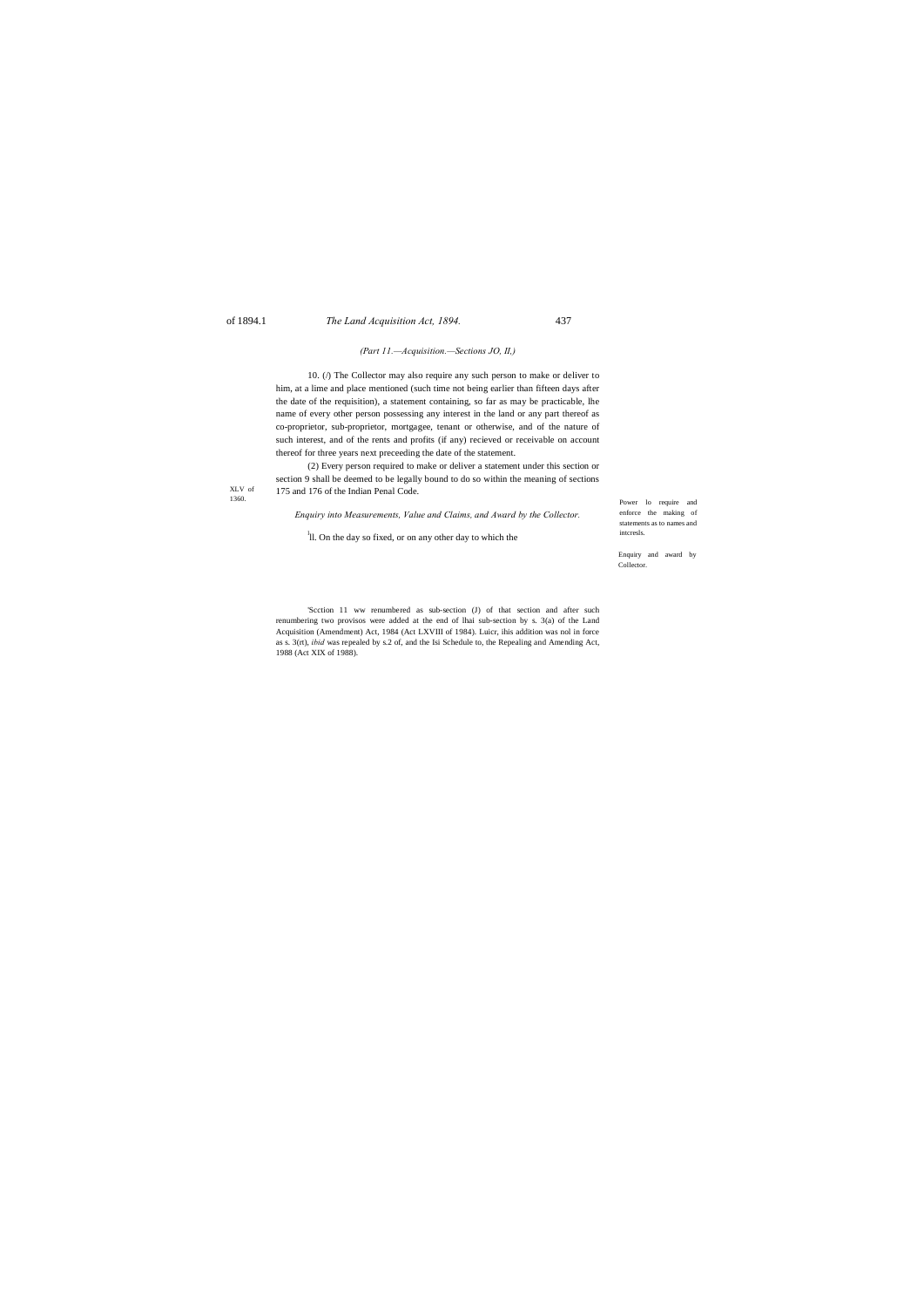# of 1894.1 *The Land Acquisition Act, 1894.* 437

Power lo require and enforce the making of statements as to names and intcresls.

XLV of 1360.

> Enquiry and award by Collector.

### *(Part 11.—Acquisition.—Sections JO, II,)*

10. (/) The Collector may also require any such person to make or deliver to him, at a lime and place mentioned (such time not being earlier than fifteen days after the date of the requisition), a statement containing, so far as may be practicable, lhe name of every other person possessing any interest in the land or any part thereof as co-proprietor, sub-proprietor, mortgagee, tenant or otherwise, and of the nature of such interest, and of the rents and profits (if any) recieved or receivable on account thereof for three years next preceeding the date of the statement.

(2) Every person required to make or deliver a statement under this section or section 9 shall be deemed to be legally bound to do so within the meaning of sections 175 and 176 of the Indian Penal Code.

*Enquiry into Measurements, Value and Claims, and Award by the Collector.*

<sup>1</sup>ll. On the day so fixed, or on any other day to which the

'Scction 11 ww renumbered as sub-section (J) of that section and after such renumbering two provisos were added at the end of lhai sub-section by s. 3(a) of the Land Acquisition (Amendment) Act, 1984 (Act LXVIII of 1984). Luicr, ihis addition was nol in force as s. 3(rt), *ibid* was repealed by s.2 of, and the Isi Schedule to, the Repealing and Amending Act, 1988 (Act XIX of 1988).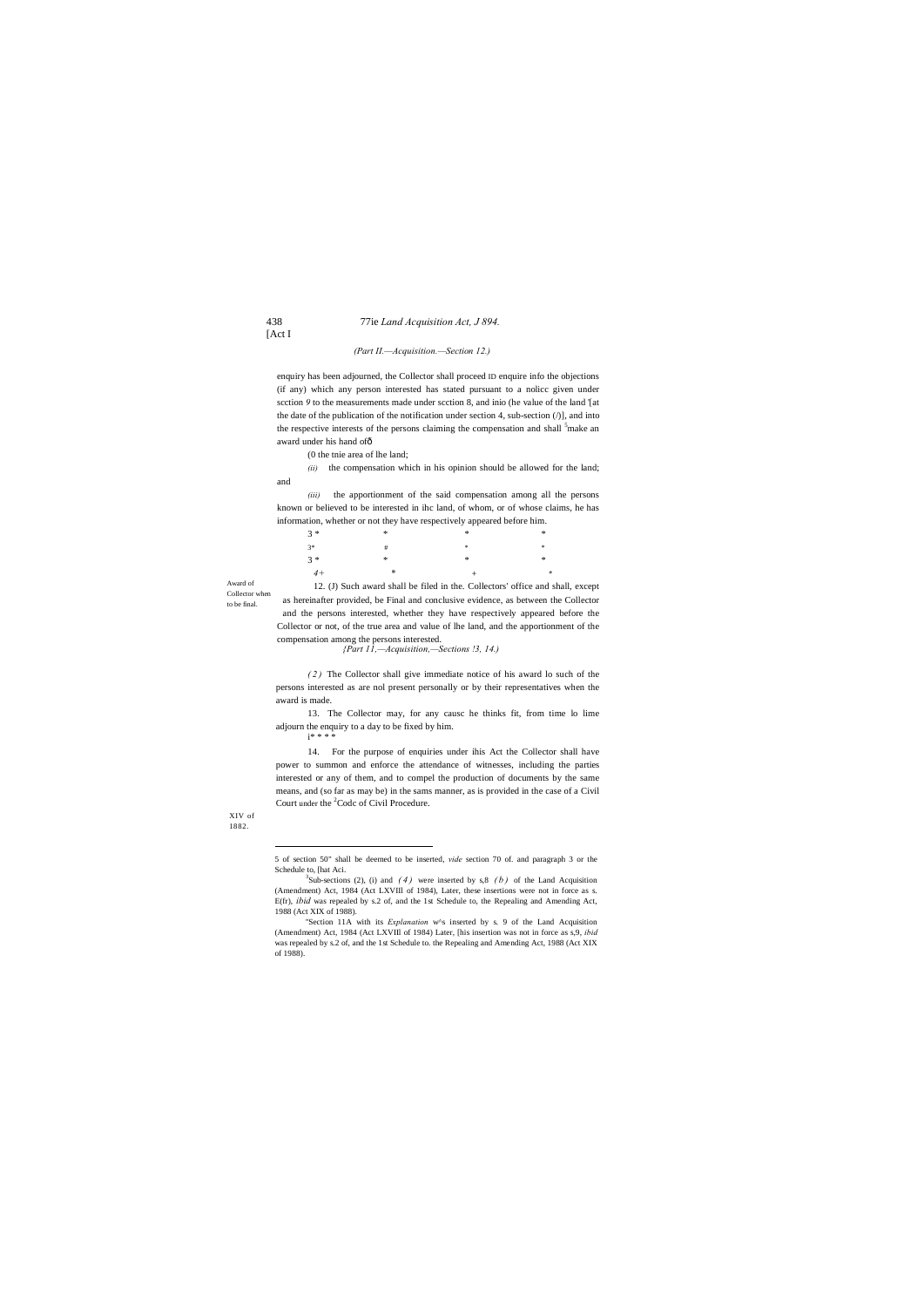### 438 77ie *Land Acquisition Act, J 894.*

[Act I

Award of Collector when to be final.

enquiry has been adjourned, the Collector shall proceed ID enquire info the objections (if any) which any person interested has stated pursuant to a nolicc given under scction *9* to the measurements made under scction 8, and inio (he value of the land '[at the date of the publication of the notification under section 4, sub-section  $($ )], and into the respective interests of the persons claiming the compensation and shall <sup>5</sup>make an award under his hand ofô

XIV of 1882.

### *(Part II.—Acquisition.—Section 12.)*

(0 the tnie area of lhe land;

*(ii)* the compensation which in his opinion should be allowed for the land; and

*(iii)* the apportionment of the said compensation among all the persons known or believed to be interested in ihc land, of whom, or of whose claims, he has information, whether or not they have respectively appeared before him.

14. For the purpose of enquiries under ihis Act the Collector shall have power to summon and enforce the attendance of witnesses, including the parties interested or any of them, and to compel the production of documents by the same means, and (so far as may be) in the sams manner, as is provided in the case of a Civil Court under the <sup>2</sup>Codc of Civil Procedure.

| $3 *$ | $\ast$ | $*$    | $*$           |
|-------|--------|--------|---------------|
| $3*$  | #      | - 宋    | *             |
| $3 *$ | $*$    | $\ast$ | $\ast$        |
| $4+$  | $\ast$ |        | $\mathcal{R}$ |

12. (J) Such award shall be filed in the. Collectors' office and shall, except as hereinafter provided, be Final and conclusive evidence, as between the Collector and the persons interested, whether they have respectively appeared before the Collector or not, of the true area and value of lhe land, and the apportionment of the compensation among the persons interested.

*{Part 11,—Acquisition,—Sections !3, 14.)*

*( 2 )* The Collector shall give immediate notice of his award lo such of the persons interested as are nol present personally or by their representatives when the award is made.

13. The Collector may, for any causc he thinks fit, from time lo lime adjourn the enquiry to a day to be fixed by him. i\* \* \* \*

<sup>&</sup>lt;sup>3</sup>Sub-sections (2), (i) and  $(4)$  were inserted by s,8  $(b)$  of the Land Acquisition (Amendment) Act, 1984 (Act LXVIIl of 1984), Later, these insertions were not in force as s. E(fr), *ibid* was repealed by s.2 of, and the 1st Schedule to, the Repealing and Amending Act, 1988 (Act XIX of 1988).

 <sup>5</sup> of section 50" shall be deemed to be inserted, *vide* section 70 of. and paragraph 3 or the Schedule to, [hat Aci.

<sup>&#</sup>x27;'Section 11A with its *Explanation* w^s inserted by s. 9 of the Land Acquisition (Amendment) Act, 1984 (Act LXVIIl of 1984) Later, [his insertion was not in force as s,9, *ibid* was repealed by s.2 of, and the 1st Schedule to. the Repealing and Amending Act, 1988 (Act XIX of 1988).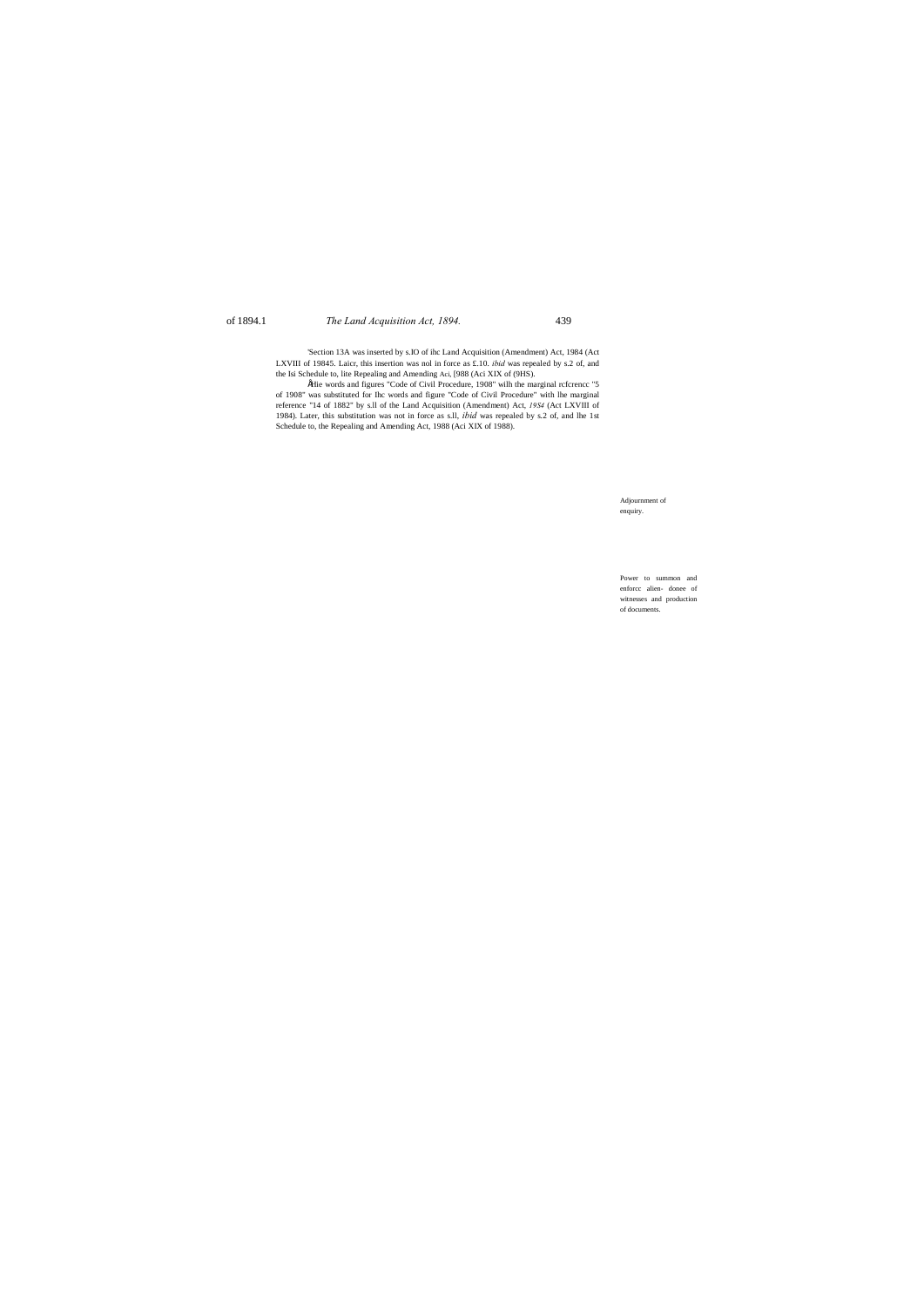# of 1894.1 *The Land Acquisition Act, 1894.* 439

Adjournment of enquiry.

Power to summon and enforcc alien- donee of witnesses and production of documents.

'Section 13A was inserted by s.IO of ihc Land Acquisition (Amendment) Act, 1984 (Act LXVIII of 19845. Laicr, this insertion was nol in force as £.10. *ibid* was repealed by s.2 of, and the Isi Schedule to, lite Repealing and Amending Aci, [988 (Aci XIX of (9HS).

•Hie words and figures "Code of Civil Procedure, 1908" wilh the marginal rcfcrencc "5 of 1908" was substituted for Ihc words and figure "Code of Civil Procedure" with lhe marginal reference "14 of 1882" by s.ll of the Land Acquisition (Amendment) Act, *19S4* (Act LXVIII of 1984). Later, this substitution was not in force as s.ll, *ibid* was repealed by s.2 of, and lhe 1st Schedule to, the Repealing and Amending Act, 1988 (Aci XIX of 1988).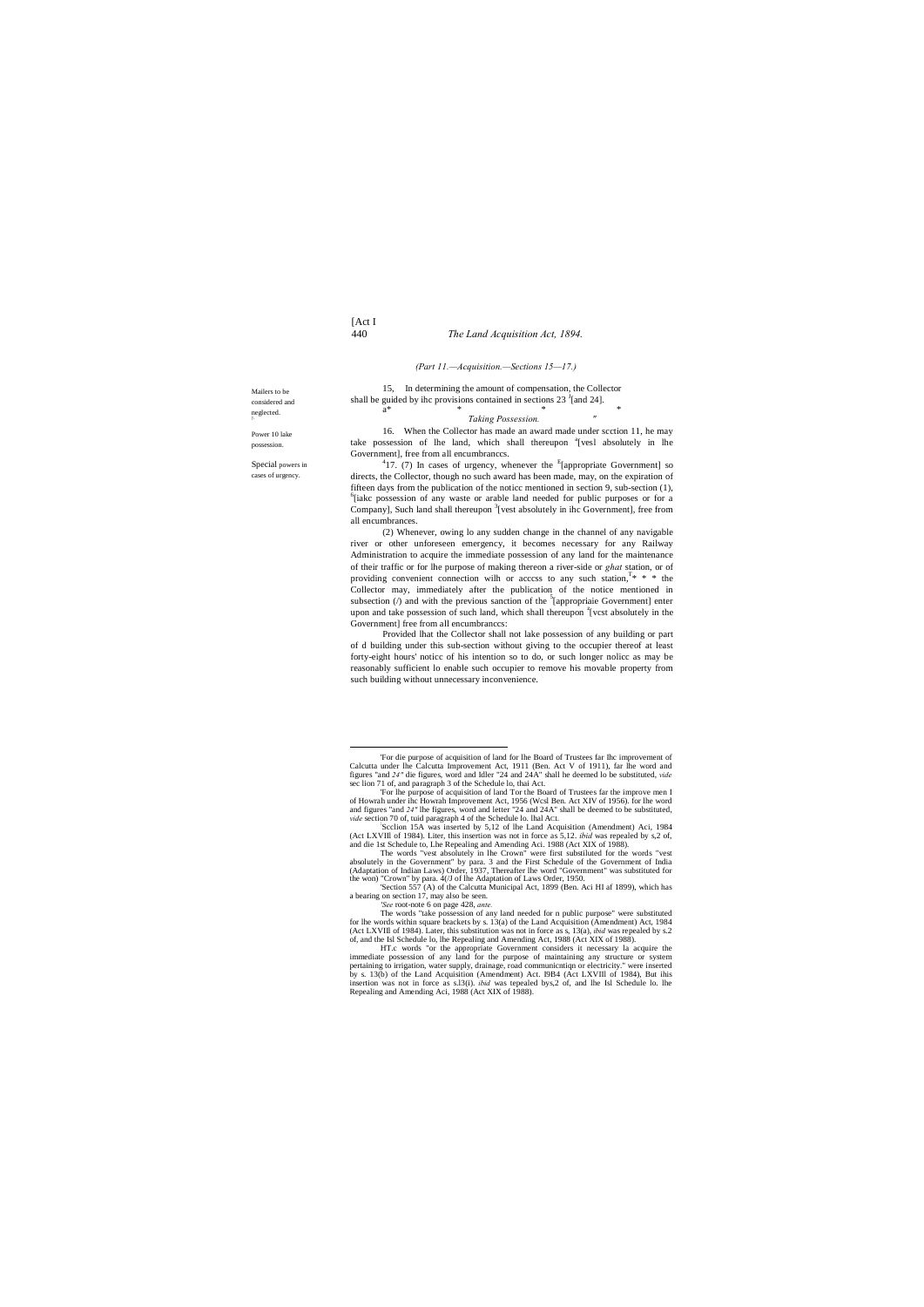[Act I

# 440 *The Land Acquisition Act, 1894.*

Mailers to be considered and neglected. T'-

15, In determining the amount of compensation, the Collector shall be guided by ihc provisions contained in sections  $23<sup>J</sup>$  [and 24].  $a^*$  \* \* \* \*

 $Taking$  *Possession.* 

Power 10 lake possession.

Special powers in cases of urgency.

### *(Part 11.—Acquisition.—Sections 15—17.)*

16. When the Collector has made an award made under scction 11, he may take possession of lhe land, which shall thereupon <sup>a</sup>[vesl absolutely in lhe Government], free from all encumbranccs.

 $^{4}$ 17. (7) In cases of urgency, whenever the <sup>E</sup>[appropriate Government] so directs, the Collector, though no such award has been made, may, on the expiration of fifteen days from the publication of the noticc mentioned in section 9, sub-section (1),  $6$ [iakc possession of any waste or arable land needed for public purposes or for a Company], Such land shall thereupon <sup>3</sup>[vest absolutely in ihc Government], free from all encumbrances.

(2) Whenever, owing lo any sudden change in the channel of any navigable river or other unforeseen emergency, it becomes necessary for any Railway Administration to acquire the immediate possession of any land for the maintenance of their traffic or for lhe purpose of making thereon a river-side or *ghat* station, or of providing convenient connection wilh or acccss to any such station,  $T^* * *$  the Collector may, immediately after the publication of the notice mentioned in subsection  $($ ) and with the previous sanction of the  $5$ [appropriaie Government] enter upon and take possession of such land, which shall thereupon <sup>z</sup>[vcst absolutely in the Government] free from all encumbranccs:

Provided lhat the Collector shall not lake possession of any building or part of d building under this sub-section without giving to the occupier thereof at least forty-eight hours' noticc of his intention so to do, or such longer nolicc as may be reasonably sufficient lo enable such occupier to remove his movable property from such building without unnecessary inconvenience.

*'See* root-note 6 on page 428, *ante.*

 <sup>&#</sup>x27;For die purpose of acquisition of land for lhe Board of Trustees far Ihc improvement of Calcutta under lhe Calcutta Improvement Act, 1911 (Ben. Act V of 1911), far lhe word and figures "and *24"* die figures, word and Idler "24 and 24A" shall he deemed lo be substituted, *vide* sec lion 71 of, and paragraph 3 of the Schedule lo, thai Act.

<sup>&#</sup>x27;For lhe purpose of acquisition of land Tor the Board of Trustees far the improve men I of Howrah under ihc Howrah Improvement Act, 1956 (Wcsl Ben. Act XIV of 1956). for lhe word and figures "and *24"* lhe figures, word and letter "24 and 24A" shall be deemed to be substituted, *vide* section 70 of, tuid paragraph 4 of the Schedule lo. lhal ACL : Scclion 15A was inserted by 5,12 of lhe Land Acquisition (Amendment) Aci, 1984

<sup>(</sup>Act LXVIII of 1984). Liter, this insertion was not in force as 5,12. *ibid* was repealed by s,2 of, and die 1st Schedule to, Lhe Repealing and Amending Aci. 1988 (Act XIX of 1988). The words "vest absolutely in lhe Crown"

absolutely in the Government" by para. 3 and the First Schedule of the Government of India (Adaptation of Indian Laws) Order, 1937, Thereafter lhe word "Government" was substituted for the won) "Crown" by para.  $4/J$  of lhe

<sup>&#</sup>x27;Section 557 (A) of the Calcutta Municipal Act, 1899 (Ben. Aci HI af 1899), which has a bearing on section 17, may also be seen.

The words "take possession of any land needed for n public purpose" were substituted for lhe words within square brackets by s. 13(a) of the Land Acquisition (Amendment) Act, 1984 (Act LXVIIl of 1984). Later, this substitution was not in force as s, 13(a), *ibid* was repealed by s.2 of, and the Isl Schedule lo, lhe Repealing and Amending Act, 1988 (Act XIX of 1988).

HT.c words "or the appropriate Government considers it necessary la acquire the immediate possession of any land for the purpose of maintaining any structure or system pertaining to irrigation, water supply, drainage, road communicntiqn or electricity." were inserted by s. 13(b) of the Land Acquisition (Amendment) Act. I9B4 (Act LXVIIl of 1984), But ihis insertion was not in force as s.l3(i). *ibid* was tepealed bys,2 of, and lhe Isl Schedule lo. lhe Repealing and Amending Aci, 1988 (Act XIX of 1988).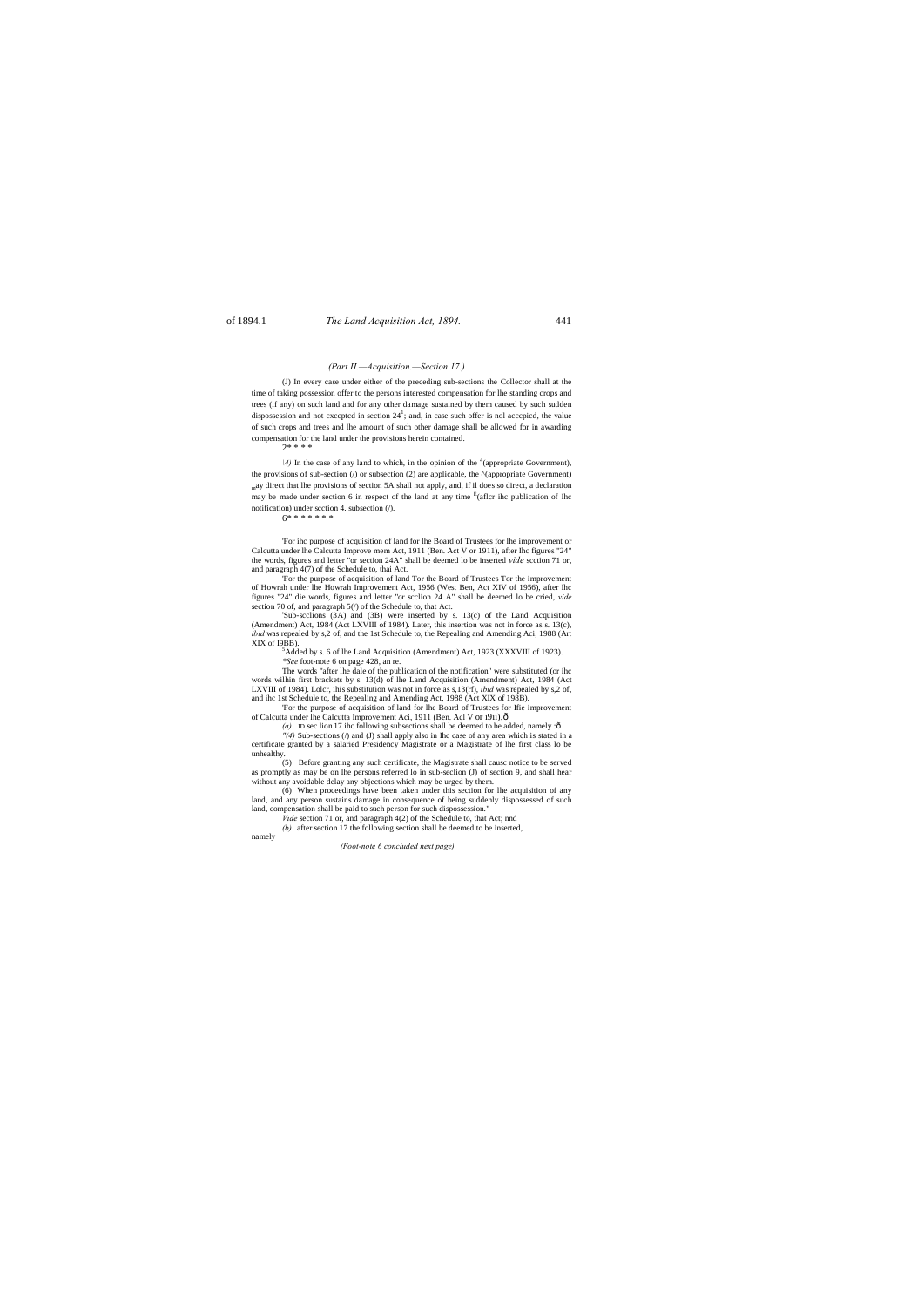# of 1894.1 *The Land Acquisition Act, 1894.* 441

### *(Part II.—Acquisition.—Section 17.)*

(J) In every case under either of the preceding sub-sections the Collector shall at the time of taking possession offer to the persons interested compensation for lhe standing crops and trees (if any) on such land and for any other damage sustained by them caused by such sudden dispossession and not cxccptcd in section  $24^1$ ; and, in case such offer is nol acccpicd, the value of such crops and trees and lhe amount of such other damage shall be allowed for in awarding compensation for the land under the provisions herein contained.

 $2***$ 

 $\frac{4}{9}$  In the case of any land to which, in the opinion of the <sup>4</sup> (appropriate Government), the provisions of sub-section ( $\ell$ ) or subsection (2) are applicable, the  $\Lambda$ (appropriate Government) may direct that lhe provisions of section 5A shall not apply, and, if il does so direct, a declaration may be made under section 6 in respect of the land at any time  $E$ (aflcr ihc publication of Ihc notification) under scction 4. subsection  $($ <sup> $/$ </sup>).

# $6* * * * * * *$

'For the purpose of acquisition of land Tor the Board of Trustees Tor the improvement of Howrah under lhe Howrah Improvement Act, 1956 (West Ben, Act XIV of 1956), after Ihc figures "24" die words, figures and letter "or scclion 24 A" shall be deemed lo be cried, *vide* section 70 of, and paragraph  $5$  ( $\prime$ ) of the Schedule to, that Act.

Sub-scclions (3A) and (3B) were inserted by s. 13(c) of the Land Acquisition (Amendment) Act, 1984 (Act LXVIII of 1984). Later, this insertion was not in force as s. 13(c), *ibid* was repealed by s,2 of, and the 1st Schedule to, the Repealing and Amending Aci, 1988 (Art XIX of I9BB).

 ${}^5$ Added by s. 6 of lhe Land Acquisition (Amendment) Act, 1923 (XXXVIII of 1923).

'For ihc purpose of acquisition of land for lhe Board of Trustees for lhe improvement or Calcutta under lhe Calcutta Improve mem Act, 1911 (Ben. Act V or 1911), after Ihc figures "24" the words, figures and letter "or section 24A" shall be deemed lo be inserted *vide* scction 71 or, and paragraph 4(7) of the Schedule to, thai Act.

of Calcutta under lhe Calcutta Improvement Aci, 1911 (Ben. Acl V or i9ii),— *(a)* ID sec lion 17 ihc following subsections shall be deemed to be added, namely : $\hat{o}$ 

*\*See* foot-note 6 on page 428, an re.

The words "after lhe dale of the publication of the notification" were substituted (or ihc words wilhin first brackets by s. 13(d) of lhe Land Acquisition (Amendment) Act, 1984 (Act LXVIII of 1984). Lolcr, ihis substitution was not in force as s,13(rf), *ibid* was repealed by s,2 of, and ihc 1st Schedule to, the Repealing and Amending Act, 1988 (Act XIX of 198B). 'For the purpose of acquisition of land for lhe Board of Trustees for Ifie improvement

*"(4)* Sub-sections (/) and (J) shall apply also in Ihc case of any area which is stated in a certificate granted by a salaried Presidency Magistrate or a Magistrate of lhe first class lo be unhealthy.

(5) Before granting any such certificate, the Magistrate shall causc notice to be served as promptly as may be on lhe persons referred lo in sub-seclion (J) of section 9, and shall hear without any avoidable delay any objections which may be urged by them.

(6) When proceedings have been taken under this section for lhe acquisition of any land, and any person sustains damage in consequence of being suddenly dispossessed of such land, compensation shall be paid to such person for such dispossession."

*Vide* section 71 or, and paragraph 4(2) of the Schedule to, that Act; nnd

*(b)* after section 17 the following section shall be deemed to be inserted, namely

*(Foot-note 6 concluded next page)*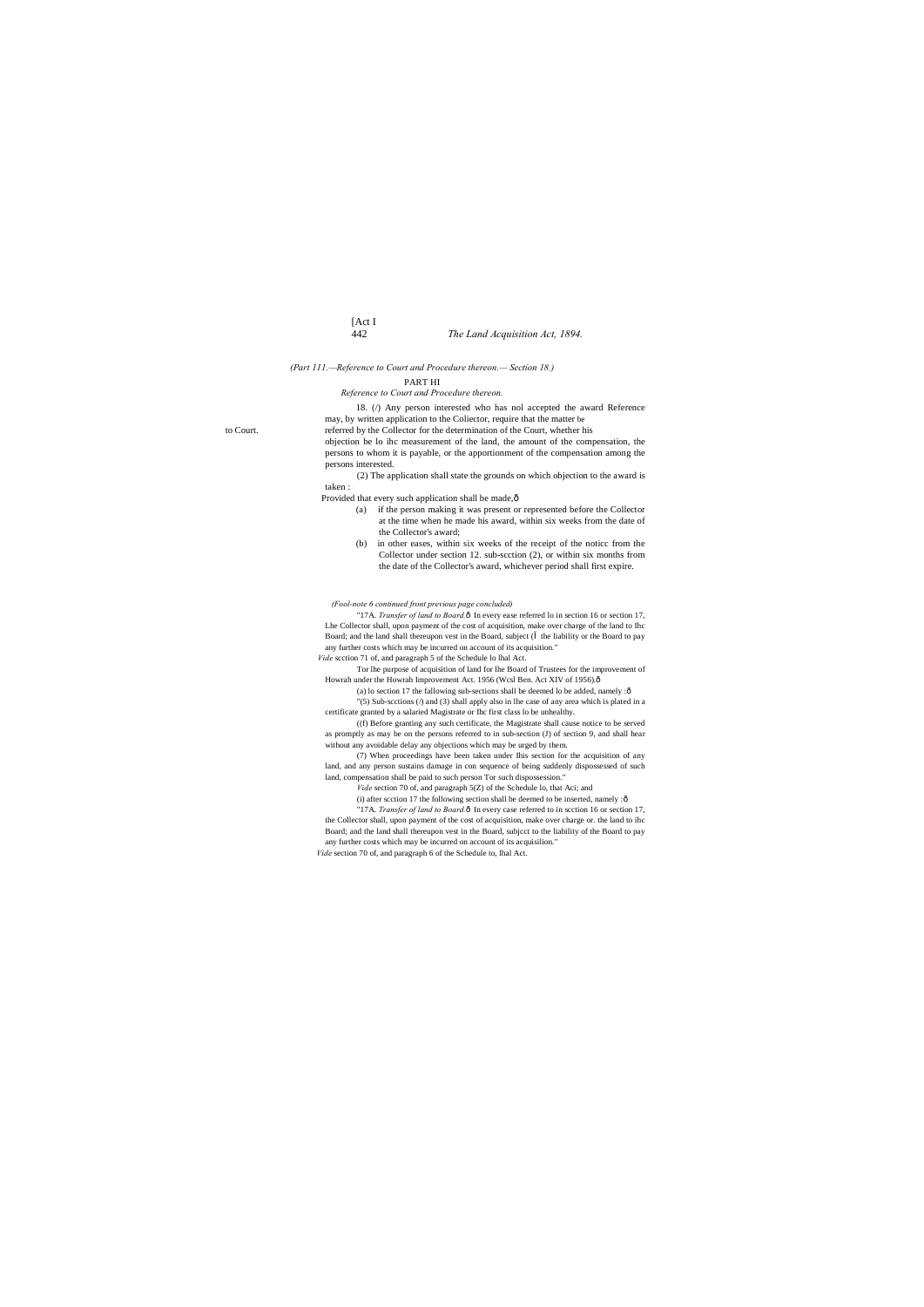# [Act I 442 *The Land Acquisition Act, 1894.*

*(Part 111.—Reference to Court and Procedure thereon.— Section 18.)*

PART HI

*Reference to Court and Procedure thereon.*

18. (/) Any person interested who has nol accepted the award Reference

may, by written application to the Coliector, require that the matter be to Court. referred by the Collector for the determination of the Court, whether his objection be lo ihc measurement of the land, the amount of the compensation, the persons to whom it is payable, or the apportionment of the compensation among the persons interested.

> (2) The application shall state the grounds on which objection to the award is taken :

Provided that every such application shall be made, $\hat{o}$ 

"17A. *Transfer of land to Board*.ô In every ease referred lo in section 16 or section 17, Lhe Collector shall, upon payment of the cost of acquisition, make over charge of the land to Ihc Board; and the land shall thereupon vest in the Board, subject ( the liability or the Board to pay any further costs which may be incurred on account of its acquisition." *Vide* scction 71 of, and paragraph 5 of the Schedule lo lhal Act.

Tor lhe purpose of acquisition of land for lhe Board of Trustees for the improvement of Howrah under the Howrah Improvement Act. 1956 (Wcsl Ben. Act XIV of 1956). $\hat{\text{o}}$ 

- (a) if the person making it was present or represented before the Collector at the time when he made his award, within six weeks from the date of the Collector's award;
- (b) in other eases, within six weeks of the receipt of the noticc from the Collector under section 12. sub-scction (2), or within six months from the date of the Collector's award, whichever period shall first expire.

(a) lo section 17 the fallowing sub-sections shall be deemed lo be added, namely : $\hat{o}$ "(5) Sub-scctions (/) and (3) shall apply also in lhe case of any area which is plated in a certificate granted by a salaried Magistrate or Ihc first class lo be unhealthy.

*(Fool-note 6 continued front previous page concluded)*

"17A. *Transfer of land to Board*. $\hat{o}$  In every case referred to in scction 16 or section 17, the Collector shall, upon payment of the cost of acquisition, make over charge or. the land to ihc Board; and the land shall thereupon vest in the Board, subjcct to the liability of the Board to pay any further costs which may be incurred on account of its acquisilion." *Vide* section 70 of, and paragraph 6 of the Schedule to, lhal Act.

((f) Before granting any such certificate, the Magistrate shall cause notice to be served as promptly as may be on the persons referred to in sub-section (J) of section 9, and shall hear without any avoidable delay any objections which may be urged by them.

(7) When proceedings have been taken under Ihis section for the acquisition of any land, and any person sustains damage in con sequence of being suddenly dispossessed of such land, compensation shall be paid to such person Tor such dispossession."

*Vide* section 70 of, and paragraph 5(Z) of the Schedule lo, that Aci; and

(i) after scction 17 the following section shall be deemed to be inserted, namely : $\hat{o}$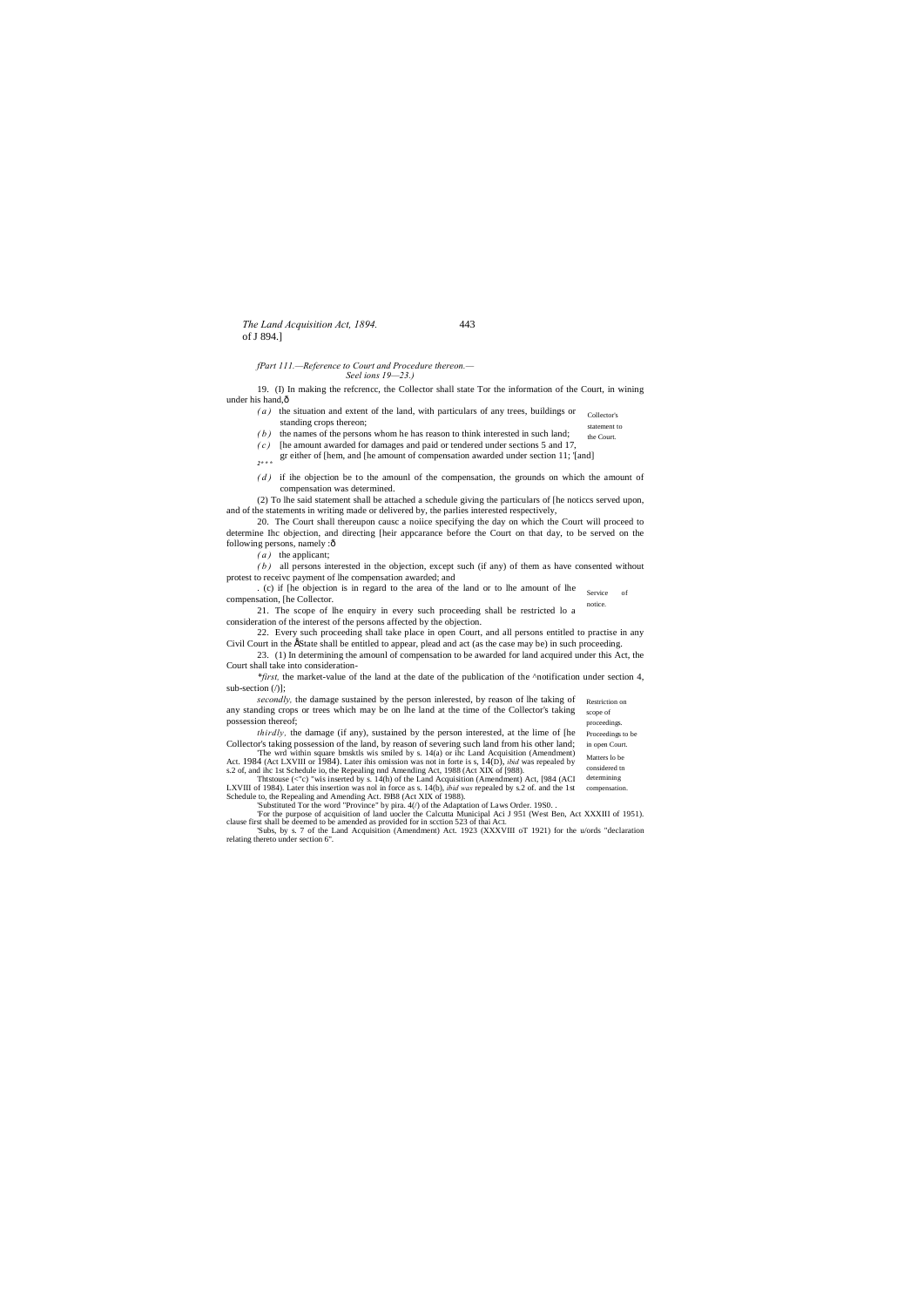*The Land Acquisition Act, 1894.* 443 of J 894.]

Proceedings to be

Matters lo be considered tn

*fPart 111.—Reference to Court and Procedure thereon.—*

*Seel ions 19—23.)*

19. (I) In making the refcrencc, the Collector shall state Tor the information of the Court, in wining under his hand,—

- Collector's statement to *( a )* the situation and extent of the land, with particulars of any trees, buildings or standing crops thereon;
- the Court. *( b )* the names of the persons whom he has reason to think interested in such land;
- *( c )* [he amount awarded for damages and paid or tendered under sections 5 and 17,
- gr either of [hem, and [he amount of compensation awarded under section 11; '[and] *2\* \* \**
- (*d*) if ihe objection be to the amounl of the compensation, the grounds on which the amount of compensation was determined.

20. The Court shall thereupon causc a noiice specifying the day on which the Court will proceed to determine Ihc objection, and directing [heir appcarance before the Court on that day, to be served on the following persons, namely :ô

 $\overline{\text{S}}$ . (c) if [he objection is in regard to the area of the land or to lhe amount of lhe service of notice. compensation, [he Collector.

22. Every such proceeding shall take place in open Court, and all persons entitled to practise in any Civil Court in the EState shall be entitled to appear, plead and act (as the case may be) in such proceeding.

(2) To lhe said statement shall be attached a schedule giving the particulars of [he noticcs served upon, and of the statements in writing made or delivered by, the parlies interested respectively,

*\*first,* the market-value of the land at the date of the publication of the ^notification under section 4, sub-section  $($ )];

secondly, the damage sustained by the person inlerested, by reason of lhe taking of Restriction on scope of proceedings. any standing crops or trees which may be on lhe land at the time of the Collector's taking possession thereof;

*( a )* the applicant;

in open Court. *thirdly,* the damage (if any), sustained by the person interested, at the lime of [he Collector's taking possession of the land, by reason of severing such land from his other land;

*( b )* all persons interested in the objection, except such (if any) of them as have consented without protest to receivc payment of lhe compensation awarded; and

determining compensation. Thtstouse (<"c) "wis inserted by s. 14(h) of the Land Acquisition (Amendment) Act, [984 (ACI LXVIII of 1984). Later this insertion was nol in force as s. 14(b), *ibid was* repealed by s.2 of. and the 1st Schedule to, the Repealing and Amending Act. I9B8 (Act XIX of 1988).

21. The scope of lhe enquiry in every such proceeding shall be restricted lo a consideration of the interest of the persons affected by the objection.

23. (1) In determining the amounl of compensation to be awarded for land acquired under this Act, the Court shall take into consideration-

'The wrd within square bmsktls wis smiled by s. 14(a) or ihc Land Acquisition (Amendment) Act. 1984 (Act LXVIII or 1984). Later ihis omission was not in forte is s, 14(D), *ibid* was repealed by s.2 of, and ihc 1st Schedule io, the Repealing nnd Amending Act, 1988 (Act XIX of [988).

'Substituted Tor the word "Province" by pira. 4(/) of the Adaptation of Laws Order. 19S0. . 'For the purpose of acquisition of land uocler the Calcutta Municipal Aci J 951 (West Ben, Act XXXIII of 1951). clause first shall be deemed to be amended as provided for in scction 523 of thai ACL 'Subs, by s. 7 of the Land Acquisition (Amendment) Act. 1923 (XXXVIII oT 1921) for the u/ords "declaration

relating thereto under section 6".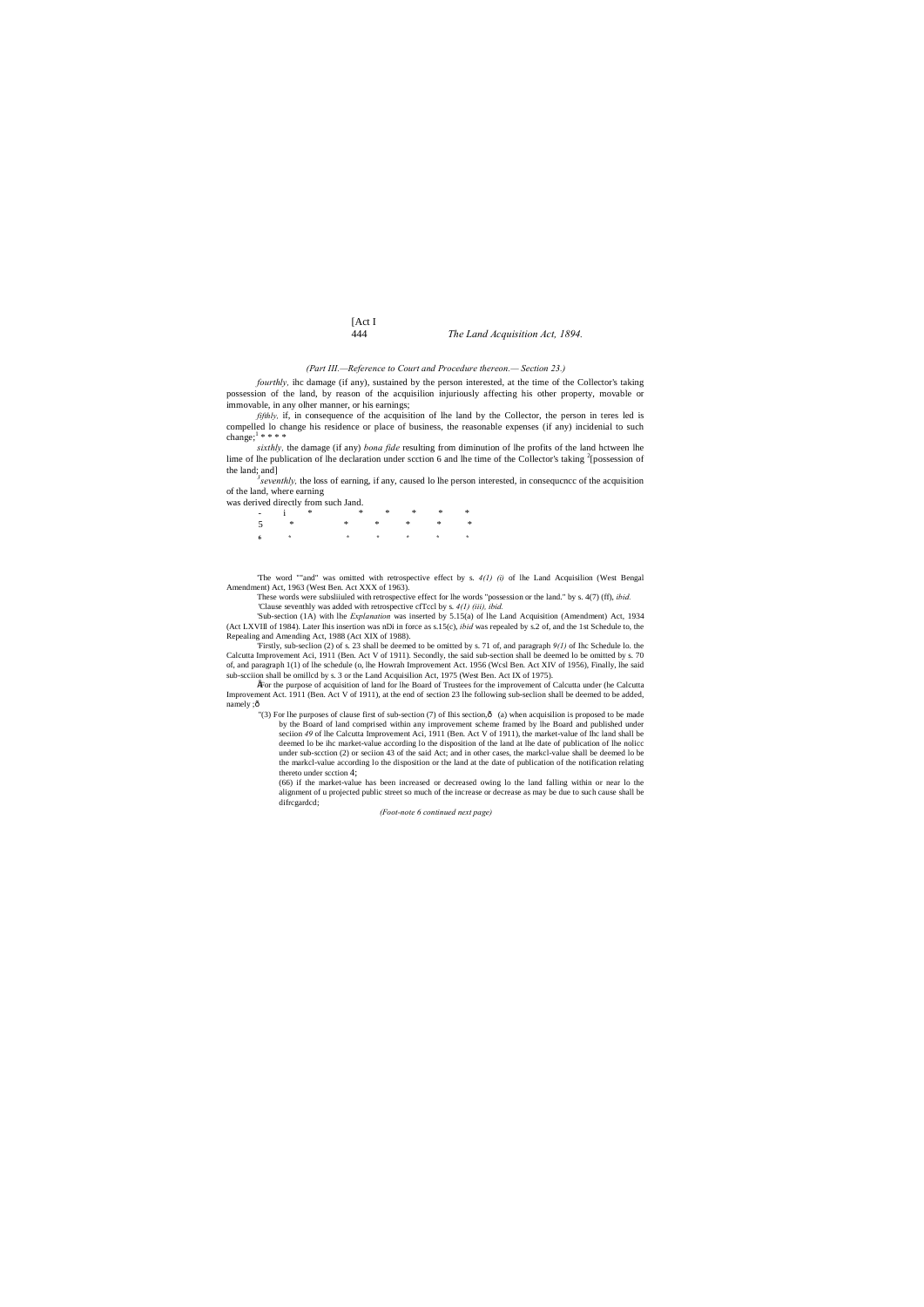# [Act I<br>444

### 444 *The Land Acquisition Act, 1894.*

### *(Part III.—Reference to Court and Procedure thereon.— Section 23.)*

*fourthly,* ihc damage (if any), sustained by the person interested, at the time of the Collector's taking possession of the land, by reason of the acquisilion injuriously affecting his other property, movable or immovable, in any olher manner, or his earnings;

*fifthly*, if, in consequence of the acquisition of lhe land by the Collector, the person in teres led is compelled lo change his residence or place of business, the reasonable expenses (if any) incidenial to such change; $1**$ 

*sixthly,* the damage (if any) *bona fide* resulting from diminution of lhe profits of the land hctween lhe lime of lhe publication of lhe declaration under scction 6 and lhe time of the Collector's taking  $\frac{2}{2}$  [possession of the land; and]

*seventhly,* the loss of earning, if any, caused lo lhe person interested, in consequcncc of the acquisition of the land, where earning

was derived directly from such Jand.

| $\frac{1}{2}$ $\frac{1}{2}$ $\frac{1}{2}$ | $\begin{array}{ccccccccccccccccc} * & * & * & * & * & * & * \end{array}$ |  |  |
|-------------------------------------------|--------------------------------------------------------------------------|--|--|
|                                           | $5 \times$ * * * * * *                                                   |  |  |
|                                           |                                                                          |  |  |

•For the purpose of acquisition of land for lhe Board of Trustees for the improvement of Calcutta under (he Calcutta Improvement Act. 1911 (Ben. Act V of 1911), at the end of section 23 lhe following sub-seclion shall be deemed to be added, namely ;ô

'The word ""and" was omitted with retrospective effect by s. *4(1) (i)* of lhe Land Acquisilion (West Bengal Amendment) Act, 1963 (West Ben. Act XXX of 1963).

These words were subsliiuled with retrospective effect for lhe words "possession or the land." by s. 4(7) (ff), *ibid.* 'Clause seventhly was added with retrospective cfTccl by s. *4(1) (iii), ibid.*

'Sub-section (1A) with lhe *Explanation* was inserted by 5.15(a) of lhe Land Acquisition (Amendment) Act, 1934 (Act LXVIIl of 1984). Later Ihis insertion was nDi in force as s.15(c), *ibid* was repealed by s.2 of, and the 1st Schedule to, the Repealing and Amending Act, 1988 (Act XIX of 1988).

"(3) For lhe purposes of clause first of sub-section (7) of Ihis section, $\hat{o}$  (a) when acquisilion is proposed to be made by the Board of land comprised within any improvement scheme framed by lhe Board and published under seciion *49* of lhe Calcutta Improvement Aci, 1911 (Ben. Act V of 1911), the market-value of Ihc land shall be deemed lo be ihc market-value according lo the disposition of the land at lhe date of publication of lhe nolicc under sub-scction (2) or seciion 43 of the said Act; and in other cases, the markcl-value shall be deemed lo be the markcl-value according lo the disposition or the land at the date of publication of the notification relating thereto under scction 4;

'Firstly, sub-seclion (2) of s. 23 shall be deemed to be omitted by s. 71 of, and paragraph *9(1)* of Ihc Schedule lo. the Calcutta Improvement Aci, 1911 (Ben. Act V of 1911). Secondly, the said sub-section shall be deemed lo be omitted by s. 70 of, and paragraph 1(1) of lhe schedule (o, lhe Howrah Improvement Act. 1956 (Wcsl Ben. Act XIV of 1956), Finally, lhe said sub-scciion shall be omillcd by s. 3 or the Land Acquisilion Act, 1975 (West Ben. Act IX of 1975).

> (66) if the market-value has been increased or decreased owing lo the land falling within or near lo the alignment of u projected public street so much of the increase or decrease as may be due to such cause shall be difrcgardcd;

*(Foot-note 6 continued next page)*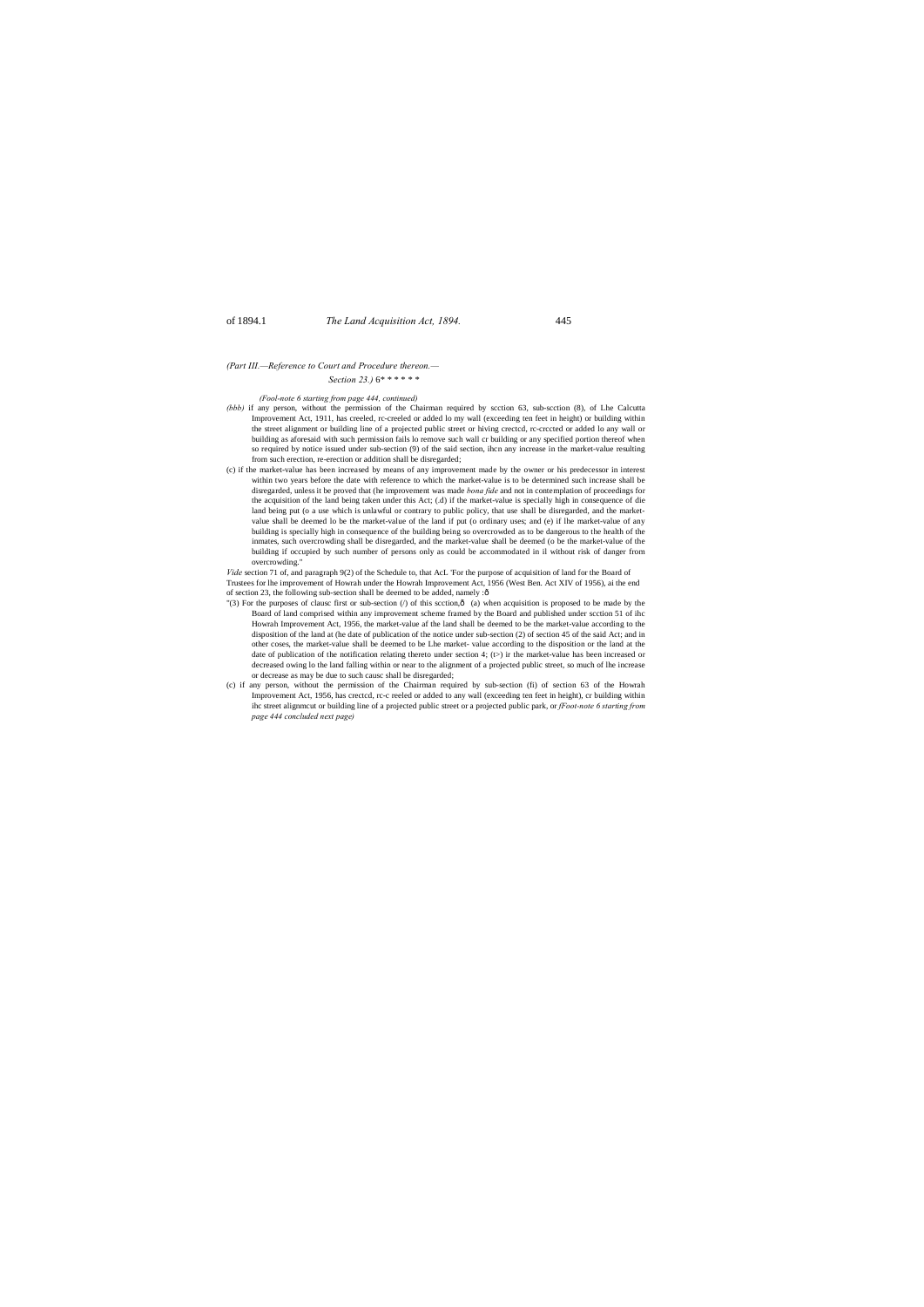# of 1894.1 *The Land Acquisition Act, 1894.* 445

*(Part III.—Reference to Court and Procedure thereon.— Section 23.)* 6\* \* \* \* \* \*

*(Fool-note 6 starting from page 444, continued)*

*Vide* section 71 of, and paragraph 9(2) of the Schedule to, that AcL 'For the purpose of acquisition of land for the Board of Trustees for lhe improvement of Howrah under the Howrah Improvement Act, 1956 (West Ben. Act XIV of 1956), ai the end of section 23, the following sub-section shall be deemed to be added, namely : $\hat{o}$ 

- *(bbb)* if any person, without the permission of the Chairman required by scction 63, sub-scction (8), of Lhe Calcutta Improvement Act, 1911, has creeled, rc-creeled or added lo my wall (exceeding ten feet in height) or building within the street alignment or building line of a projected public street or hiving crectcd, rc-crccted or added lo any wall or building as aforesaid with such permission fails lo remove such wall cr building or any specified portion thereof when so required by notice issued under sub-section (9) of the said section, ihcn any increase in the market-value resulting from such erection, re-erection or addition shall be disregarded;
- (c) if the market-value has been increased by means of any improvement made by the owner or his predecessor in interest within two years before the date with reference to which the market-value is to be determined such increase shall be disregarded, unless it be proved that (he improvement was made *bona fide* and not in contemplation of proceedings for the acquisition of the land being taken under this Act; (.d) if the market-value is specially high in consequence of die land being put (o a use which is unlawful or contrary to public policy, that use shall be disregarded, and the marketvalue shall be deemed lo be the market-value of the land if put (o ordinary uses; and (e) if lhe market-value of any building is specially high in consequence of the building being so overcrowded as to be dangerous to the health of the inmates, such overcrowding shall be disregarded, and the market-value shall be deemed (o be the market-value of the building if occupied by such number of persons only as could be accommodated in il without risk of danger from overcrowding."

- "(3) For the purposes of clausc first or sub-section (/) of this scction, $\hat{\text{o}}$  (a) when acquisition is proposed to be made by the Board of land comprised within any improvement scheme framed by the Board and published under scction 51 of ihc Howrah Improvement Act, 1956, the market-value af the land shall be deemed to be the market-value according to the disposition of the land at (he date of publication of the notice under sub-section (2) of section 45 of the said Act; and in other coses, the market-value shall be deemed to be Lhe market- value according to the disposition or the land at the date of publication of the notification relating thereto under section 4; (t>) ir the market-value has been increased or decreased owing lo the land falling within or near to the alignment of a projected public street, so much of lhe increase or decrease as may be due to such causc shall be disregarded;
- (c) if any person, without the permission of the Chairman required by sub-section (fi) of section 63 of the Howrah Improvement Act, 1956, has crectcd, rc-c reeled or added to any wall (exceeding ten feet in height), cr building within ihc street alignmcut or building line of a projected public street or a projected public park, or *fFoot-note 6 starting from page 444 concluded next page)*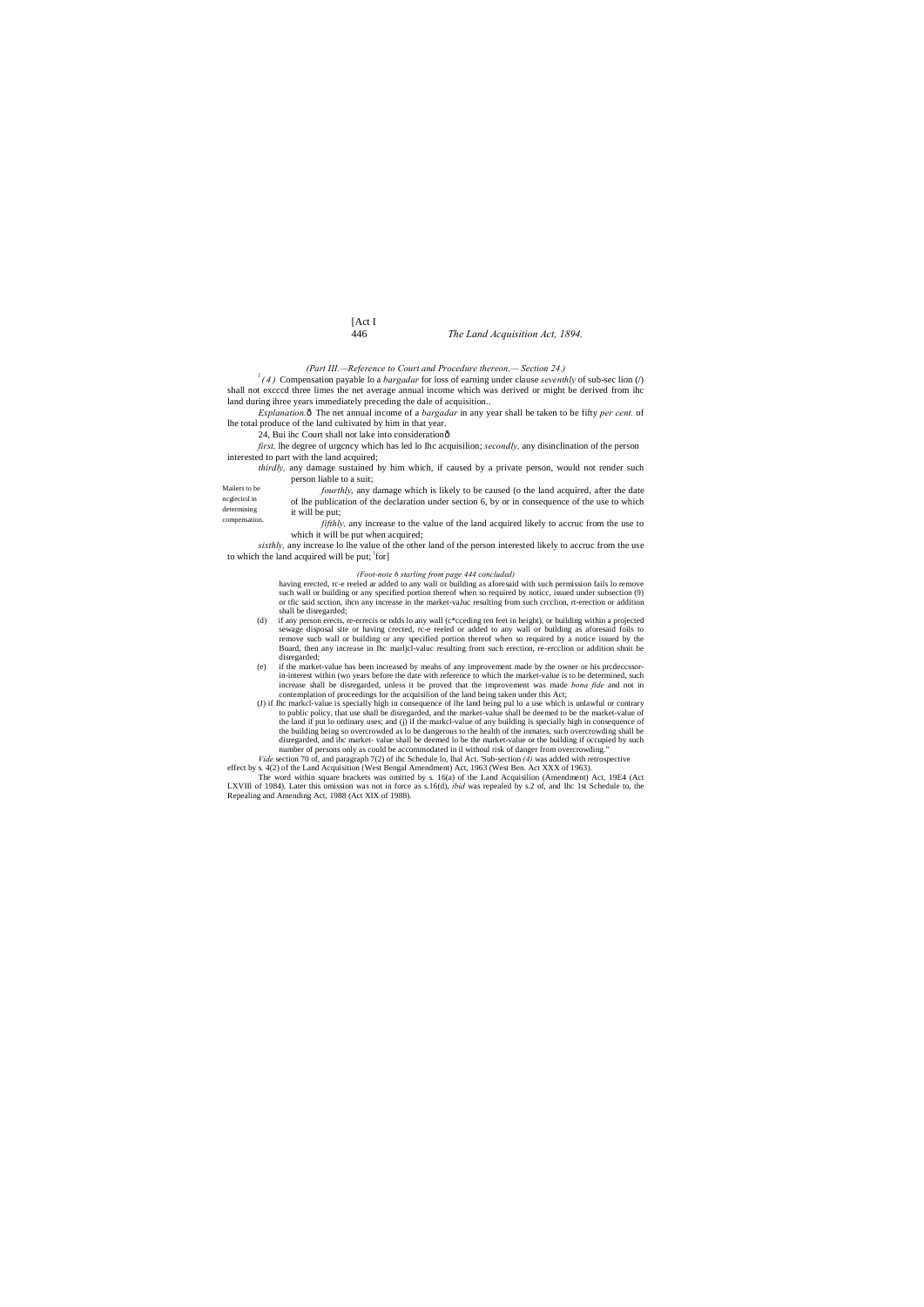# [Act I

# 446 *The Land Acquisition Act, 1894.*

Mailers to be ncglecicd in determining compensation. *(Part III.—Reference to Court and Procedure thereon,— Section 24.)*

 $\int$ <sup>*l*</sup>(4) Compensation payable lo a *bargadar* for loss of earning under clause *seventhly* of sub-sec lion (/) shall not excccd three limes the net average annual income which was derived or might be derived from ihc land during ihree years immediately preceding the dale of acquisition..

*first*, lhe degree of urgcncy which has led lo Ihc acquisilion; *secondly*, any disinclination of the person interested to part with the land acquired;

*Explanation.*—The net annual income of a *bargadar* in any year shall be taken to be fifty *per cent.* of lhe total produce of the land cultivated by him in that year.

> it will be put; *fifthly,* any increase to the value of the land acquired likely to accruc from the use to which it will be put when acquired;

*sixthly,* any increase lo lhe value of the other land of the person interested likely to accruc from the use to which the land acquired will be put; for]

24, Bui ihc Court shall not lake into consideration—

*thirdly,* any damage sustained by him which, if caused by a private person, would not render such person liable to a suit;

> having erected, rc-e reeled ar added to any wall or building as aforesaid with such permission fails lo remove such wall or building or any specified portion thereof when so required by noticc, issued under subsection (9) or tfic said scction, ihcn any increase in the market-vaJuc resulting from such crcclion, rt-erection or addition shall be disregarded;

*fourthly,* any damage which is likely to be caused (o the land acquired, after the date of lhe publication of the declaration under section 6, by or in consequence of the use to which

### *(Foot-note 6 starling from page 444 concluded)*

- (d) if any person erects, re-errecis or ndds lo any wall (c\*cceding ten feet in height), or building within a projected sewage disposal site or having crected, rc-e reeled or added to any wall or building as aforesaid foils to remove sucb wall or building or any specified portion thereof when so required by a notice issued by the Board, then any increase in Ihc marljcl-valuc resulting from such erection, re-ercclion or addition shnit be disregarded;
- (e) if the market-value has been increased by meahs of any improvement made by the owner or his prcdeccssorin-interest within (wo years before the date with reference to which the market-value is to be determined, such increase shall be disregarded, unless it be proved that the improvement was made *bona fide* and not in contemplation of proceedings for the acquisilion of the land being taken under this Act;
- (J) if Ihc markcl-value is specially high in consequence of lhe land being pul lo a use which is unlawful or contrary to public policy, that use shall be disregarded, and the market-value shall be deemed to be the market-value of the land if put lo ordinary uses; and (j) if the markcl-value of any building is specially high in consequence of the building being so overcrowded as lo be dangerous to the health of the inmates, such overcrowding shall be disregarded, and ihc market- value shall be deemed lo be the market-value or the building if occupied by such number of persons only as could be accommodated in il withoul risk of danger from overcrowding." *Vide* section 70 of, and paragraph 7(2) of ihc Schedule lo, lhal Act. 'Sub-section *(4)* was added with retrospective
- effect by s. 4(2) of the Land Acquisition (West Bengal Amendment) Act, 1963 (West Ben. Act XXX of 1963).

The word within square brackets was omitted by s. 16(a) of the Land Acquisilion (Amendment) Act, 19E4 (Act LXVIIl of 1984). Later this omission was not in force as s.16(d), *ibid* was repealed by s.2 of, and Ihc 1st Schedule to, the Repealing and Amending Act, 1988 (Act XIX of 1988).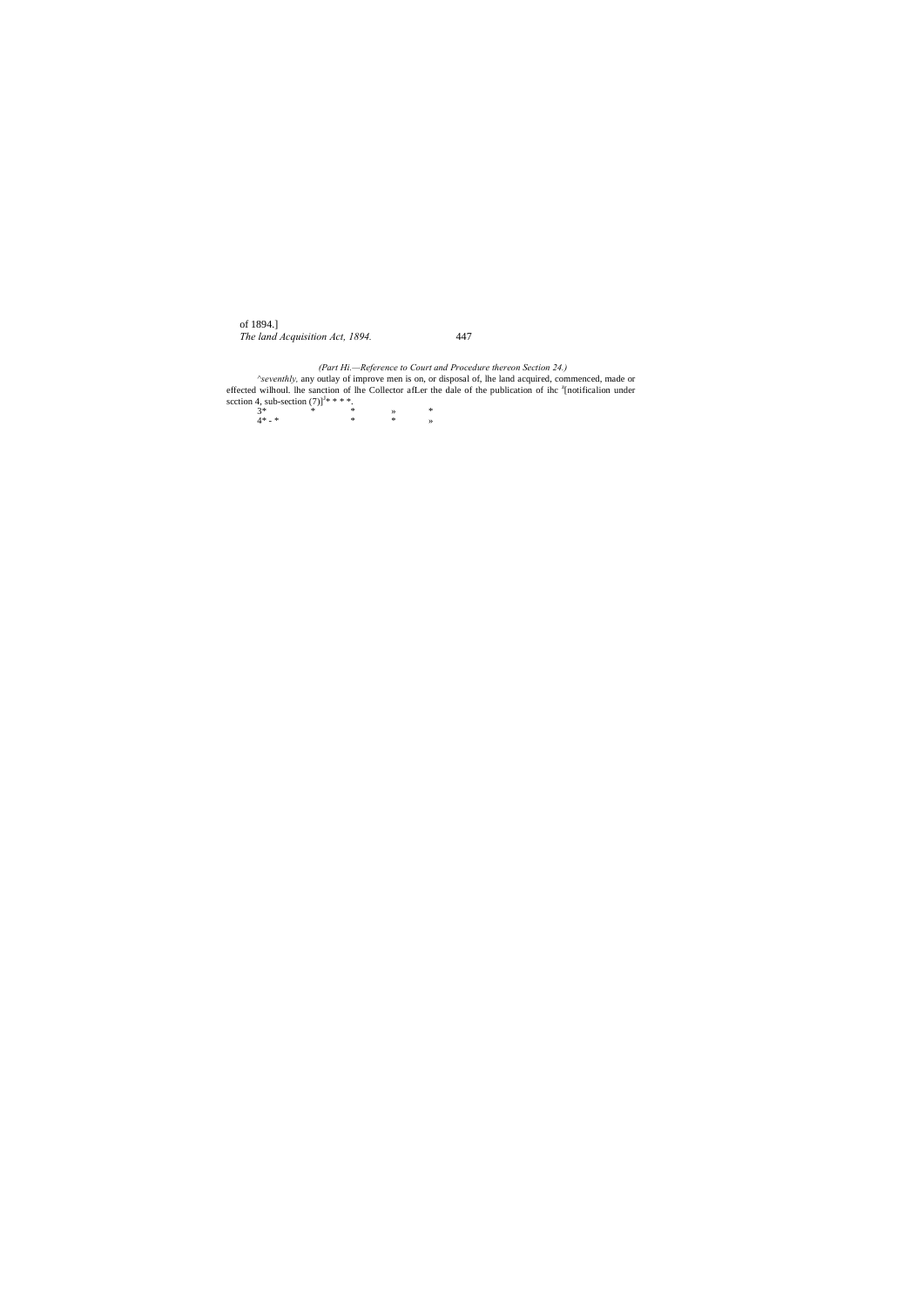of 1894.] *The land Acquisition Act, 1894.* 447

*(Part Hi.—Reference to Court and Procedure thereon Section 24.) ^seventhly,* any outlay of improve men is on, or disposal of, lhe land acquired, commenced, made or effected wilhoul. Ihe sanction of lhe Collector afLer the dale of the publication of ihc <sup>z</sup>[notificalion under scction 4, sub-section  $(7)$ ]<sup>J</sup>\* \* \* \*.

3\* \* \* » \* 4\* - \* \* \* »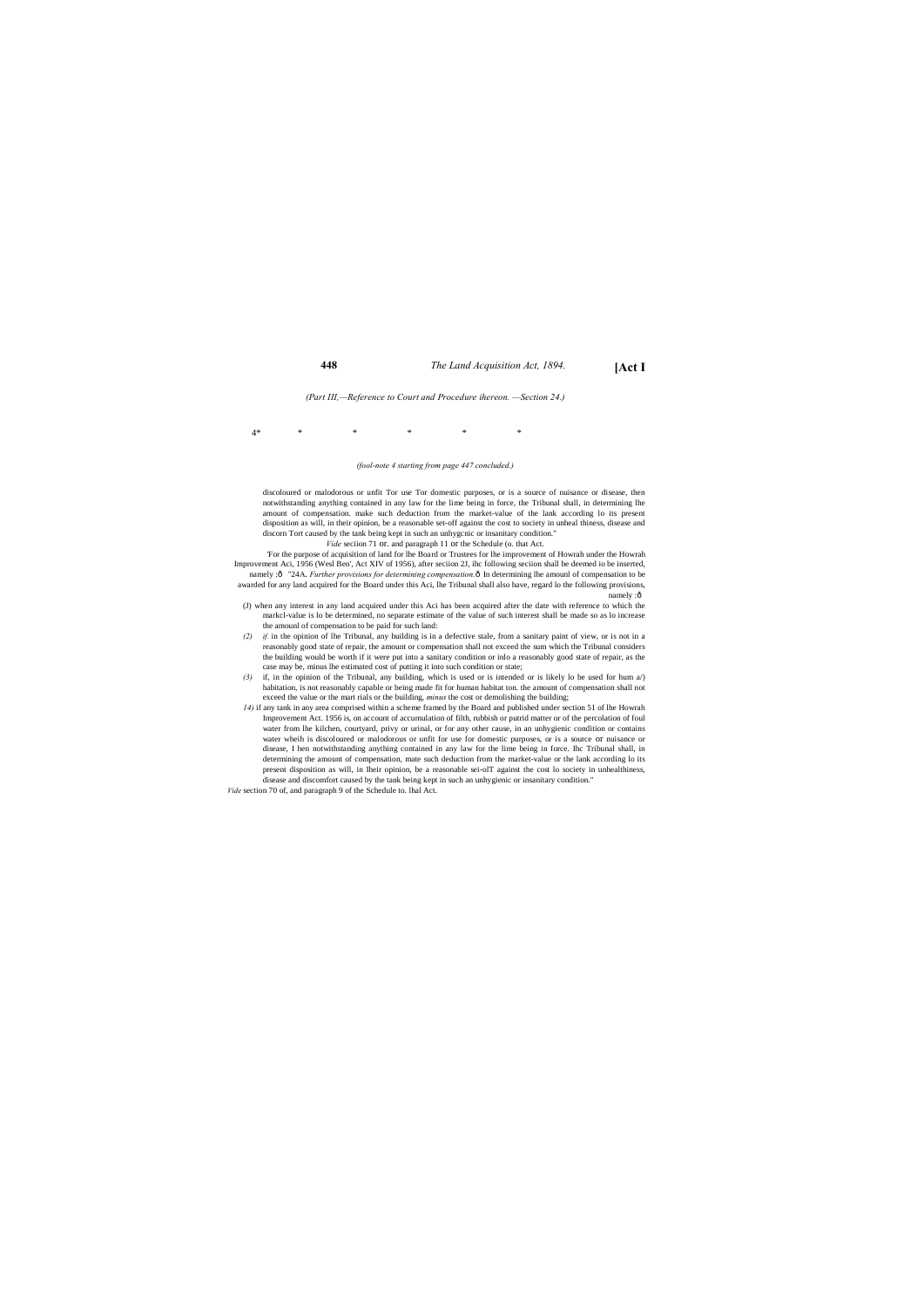# **448** *The Land Acquisition Act, 1894.* **[Act I**

*(Part III,—Reference to Court and Procedure ihereon. —Section 24.)*

### 4\* \* \* \* \* \*

### *(fool-note 4 starting from page 447 concluded.)*

'For the purpose of acquisition of land for lhe Board or Trustees for lhe improvement of Howrah under the Howrah Improvement Aci, 1956 (Wesl Ben', Act XIV of 1956), after seciion 2J, ihc following seciion shall be deemed io be inserted, namely : ô "24A. *Further provisions for determining compensation*. Ô In determining lhe amounl of compensation to be awarded for any land acquired for the Board under this Aci, lhe Tribunal shall also have, regard lo the following provisions, namely :ô

discoloured or malodorous or unfit Tor use Tor domestic purposes, or is a source of nuisance or disease, then notwithstanding anything contained in any law for the lime being in force, the Tribunal shall, in determining lhe amount of compensation. make such deduction from the market-value of the lank according lo its present disposition as will, in their opinion, be a reasonable set-off against the cost to society in unheal thiness, disease and discorn Tort caused by the tank being kept in such an unhygcnic or insanitary condition."

*Vide* seciion 71 or. and paragraph 11 or the Schedule (o. that Act.

- (J) when any interest in any land acquired under this Aci has been acquired after the date with reference to which the markcl-value is lo be determined, no separate estimate of the value of such interest shall be made so as lo increase the amounl of compensation to be paid for such land:
- *(2) if.* in the opinion of lhe Tribunal, any building is in a defective stale, from a sanitary paint of view, or is not in a reasonably good state of repair, the amount or compensation shall not exceed the sum which the Tribunal considers the building would be worth if it were put into a sanitary condition or inlo a reasonably good state of repair, as the case may be, minus lhe estimated cost of putting it into such condition or state;
- *(3)* if, in the opinion of the Tribunal, any building, which is used or is intended or is likely lo be used for hum a/) habitation, is not reasonably capable or being made fit for human habitat ton. the amount of compensation shall not exceed the value or the mart rials or the building, *minus* the cost or demolishing the building;
- *14)* if any tank in any area comprised within a scheme framed by the Board and published under section 51 of lhe Howrah Improvement Act. 1956 is, on account of accumulation of filth, rubbish or putrid matter or of the percolation of foul water from lhe kilchen, courtyard, privy or urinal, or for any other cause, in an unhygienic condition or contains water wheih is discoloured or malodorous or unfit for use for domestic purposes, or is a source or nuisance or disease, I hen notwithstanding anything contained in any law for the lime being in force. Ihc Tribunal shall, in determining the amount of compensation, mate such deduction from the market-value or the lank according lo its present disposition as will, in Iheir opinion, be a reasonable sei-olT against the cost lo society in unhealthiness, disease and discomfort caused by the tank being kept in such an unhygienic or insanitary condition."

*Vide* section 70 of, and paragraph 9 of the Schedule to. lhal Act.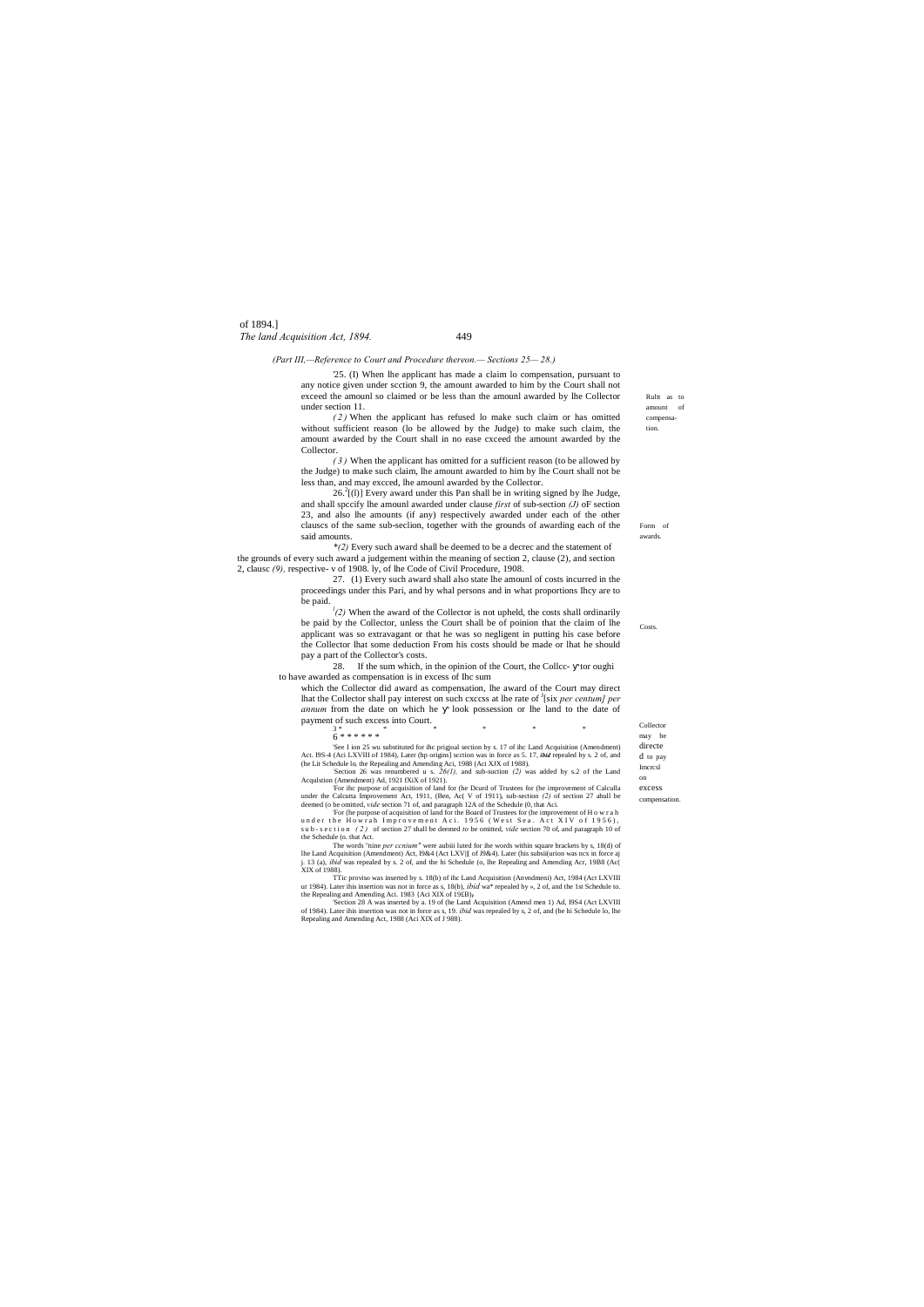Rultt as to amount of compensation.

Form of awards.

**Costs** 

Collector

Imcrcsl on

excess compensation.

of 1894.] *The land Acquisition Act, 1894.* 449

*(Part III,—Reference to Court and Procedure thereon.— Sections 25— 28.)*

'25. (I) When lhe applicant has made a claim lo compensation, pursuant to any notice given under scction 9, the amount awarded to him by the Court shall not exceed the amounl so claimed or be less than the amounl awarded by lhe Collector under section 11.

*( 2 )* When the applicant has refused lo make such claim or has omitted without sufficient reason (lo be allowed by the Judge) to make such claim, the amount awarded by the Court shall in no ease cxceed the amount awarded by the Collector.

 $26.<sup>2</sup>$ [(l)] Every award under this Pan shall be in writing signed by lhe Judge, and shall spccify lhe amounl awarded under clause *first* of sub-section *(J)* oF section 23, and also lhe amounts (if any) respectively awarded under each of the other clauscs of the same sub-seclion, together with the grounds of awarding each of the said amounts.

*( 3 )* When the applicant has omitted for a sufficient reason (to be allowed by the Judge) to make such claim, lhe amount awarded to him by lhe Court shall not be less than, and may excced, lhe amounl awarded by the Collector.

 $(2)$  When the award of the Collector is not upheld, the costs shall ordinarily be paid by the Collector, unless the Court shall be of poinion that the claim of lhe applicant was so extravagant or that he was so negligent in putting his case before the Collector lhat some deduction From his costs should be made or lhat he should pay a part of the Collector's costs.

|                                                                                                                        |  |  | CONGUOI   |  |
|------------------------------------------------------------------------------------------------------------------------|--|--|-----------|--|
| 6******                                                                                                                |  |  | be<br>may |  |
| 'See I ion 25 wu substituted for ihc prigioal section by s. 17 of ihc Land Acquisition (Amendment)                     |  |  | directe   |  |
| ct. I9S-4 (Aci LXVIII of 1984), Later (hp origins) scction was in force as 5. 17, <i>ibid</i> repealed by s. 2 of, and |  |  | d to pay  |  |

Act. I9S-4 (Aci LXVIII of 1984), Later (hp origins) scction was in force as 5. 17, *ibid* repealed by s. 2 of, and (he Lit Schedule lo, the Repealing and Amending Aci, 1988 (Aci XJX of 1988).<br>
"Section 26 was renumbered u

For ihc purpose of acquisition of land for (he Dcurd of Trustees for (be improvement of Calculla<br>under the Calcutta Improvement Act, 1911, (Ben, Ac( V of 1911), sub-section (2) of section 27 ahull be<br>deemed (o be omitted,

*\*(2)* Every such award shall be deemed to be a decrec and the statement of the grounds of every such award a judgement within the meaning of section 2, clause (2), and section 2, clausc *(9),* respective- v of 1908. ly, of lhe Code of Civil Procedure, 1908.

27. (1) Every such award shall also state lhe amounl of costs incurred in the proceedings under this Pari, and by whal persons and in what proportions Ihcy are to be paid. *<sup>l</sup>*

'For (he purpose of acquisition of land for the Board of Trustees for (he improvement of H o w r a h<br>u n d e r th e H o w r a h Improvement A c i . 1956 (We s t Sea . A c t XIV of 1956), s u b - s e c t i o n (2) of section 27 shall be deemed *to* be omitted, *vide* section 70 of, and paragraph 10 of the Schedule (o. that Act.

The words "nine *per ccnium"* were aubiii luted for ihe words within square brackets by s, 18(d) of lhe Land Acquisition (Amendment) Act, I9&4 (Act LXV||[ of J9&4). Later (his subsii(urion was ncx in force aj j. 13 (a), *ibid* was repealed by s. 2 of, and the hi Schedule (o, lhe Repealing and Amending Acr, 19B8 (Ac( XIX of 1988).

TTic proviso was inserted by s. 18(b) of ihc Land Acquisition (Anvndmeni) Act, 1984 (Act LXVIII ur 1984). Later ihis insertion was not in force as s, 18(b), *ibid* wa\* repealed by », 2 of, and the 1st Schedule to. the Repealing and Amending Aci. 1983 {Aci XIX of 19£B}<sub>P</sub><br>'Section 28 A was inserted by a. 19 of (he Land Acquisition (Amend men 1) Ad, I9S4 (Act LXVIII)

28. If the sum which, in the opinion of the Court, the Collcc- tor oughi to have awarded as compensation is in excess of Ihc sum

which the Collector did award as compensation, lhe award of the Court may direct lhat the Collector shall pay interest on such cxccss at lhe rate of <sup>J</sup>[six *per centum] per annum* from the date on which he look possession or lhe land to the date of payment of such excess into Court.

of 1984). Later ihis insertion was not in force as s, 19. *ibid* was repealed by s, 2 of, and (be hi Schedule lo, lhe Repealing and Amending Act, 1988 (Aci XIX of J 988).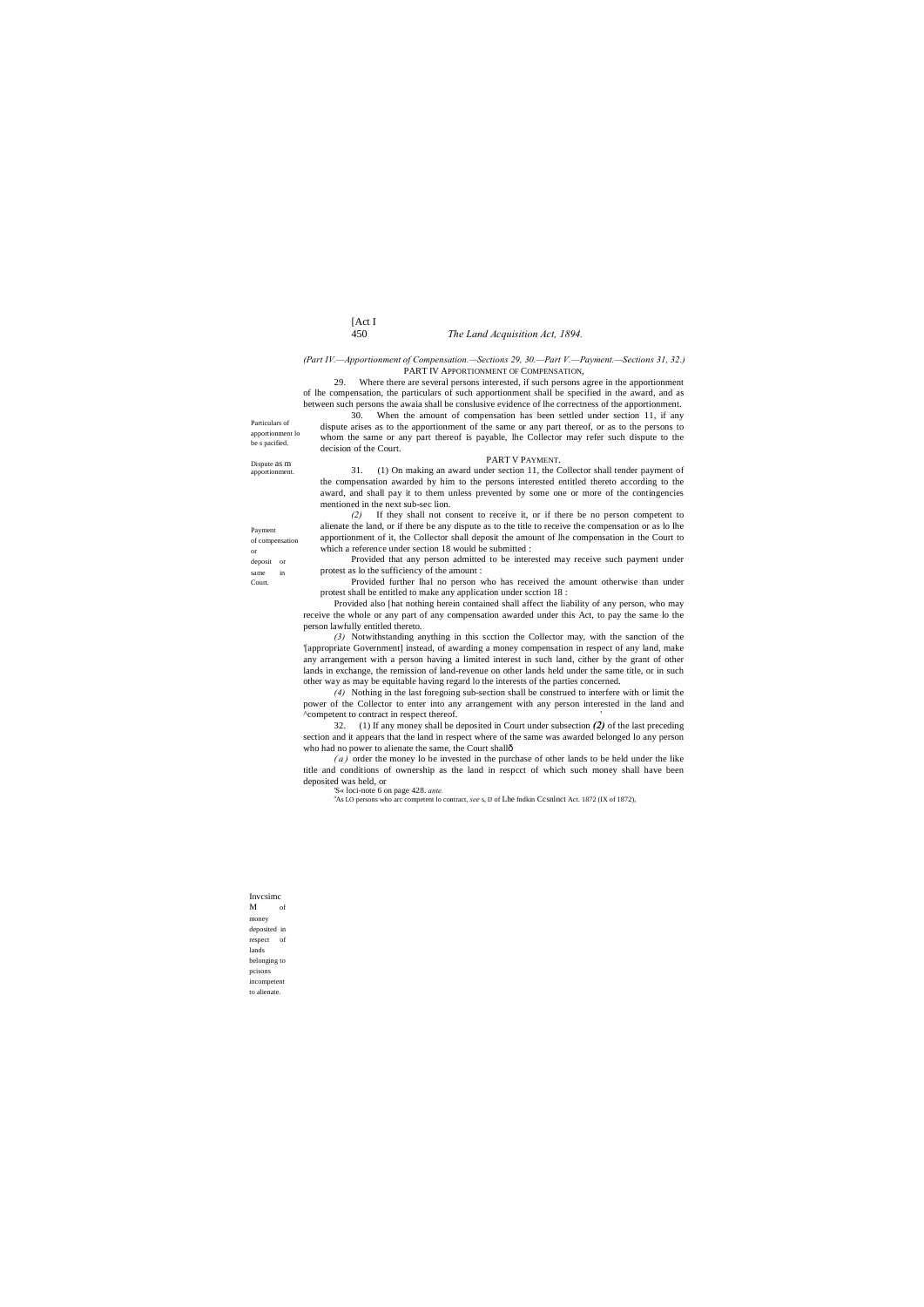# [Act I 450 *The Land Acquisition Act, 1894.*

Particulars of apportionment lo be s pacified.

Invcsimc M of money deposited in respect of lands belonging to pcisons incompetent

Dispute as m apportionment.

Payment of compensation or deposit or same in Court.

to alienate.

### *(Part IV.—Apportionment of Compensation.—Sections 29, 30.—Part V.—Payment.—Sections 31, 32.)* PART IV APPORTIONMENT OF COMPENSATION,

29. Where there are several persons interested, if such persons agree in the apportionment of lhe compensation, the particulars of such apportionment shall be specified in the award, and as between such persons the awaia shall be conslusive evidence of lhe correctness of the apportionment.

30. When the amount of compensation has been settled under section 11, if any dispute arises as to the apportionment of the same or any part thereof, or as to the persons to whom the same or any part thereof is payable, lhe Collector may refer such dispute to the decision of the Court.

PART V PAYMENT.

31. (1) On making an award under section 11, the Collector shall tender payment of the compensation awarded by him to the persons interested entitled thereto according to the award, and shall pay it to them unless prevented by some one or more of the contingencies mentioned in the next sub-sec lion.

32. (1) If any money shall be deposited in Court under subsection *(2)* of the last preceding section and it appears that the land in respect where of the same was awarded belonged lo any person who had no power to alienate the same, the Court shallô

*(2)* If they shall not consent to receive it, or if there be no person competent to alienate the land, or if there be any dispute as to the title to receive the compensation or as lo lhe apportionment of it, the Collector shall deposit the amount of lhe compensation in the Court to which a reference under section 18 would be submitted :

Provided that any person admitted to be interested may receive such payment under protest as lo the sufficiency of the amount :

Provided further lhal no person who has received the amount otherwise than under protest shall be entitled to make any application under scction 18 :

Provided also [hat nothing herein contained shall affect the liability of any person, who may receive the whole or any part of any compensation awarded under this Act, to pay the same lo the person lawfully entitled thereto.

*(3)* Notwithstanding anything in this scction the Collector may, with the sanction of the '[appropriate Government] instead, of awarding a money compensation in respect of any land, make any arrangement with a person having a limited interest in such land, cither by the grant of other lands in exchange, the remission of land-revenue on other lands held under the same title, or in such other way as may be equitable having regard lo the interests of the parties concerned.

*(4)* Nothing in the last foregoing sub-section shall be construed to interfere with or limit the power of the Collector to enter into any arrangement with any person interested in the land and ^competent to contract in respect thereof. '

*( a )* order the money lo be invested in the purchase of other lands to be held under the like title and conditions of ownership as the land in respcct of which such money shall have been deposited was held, or

'S« loci-note 6 on page 428. *ante.*

<sup>a</sup>As LO persons who arc competent lo contract, see s, IJ of Lhe fndkin Ccsnlnct Act. 1872 (IX of 1872),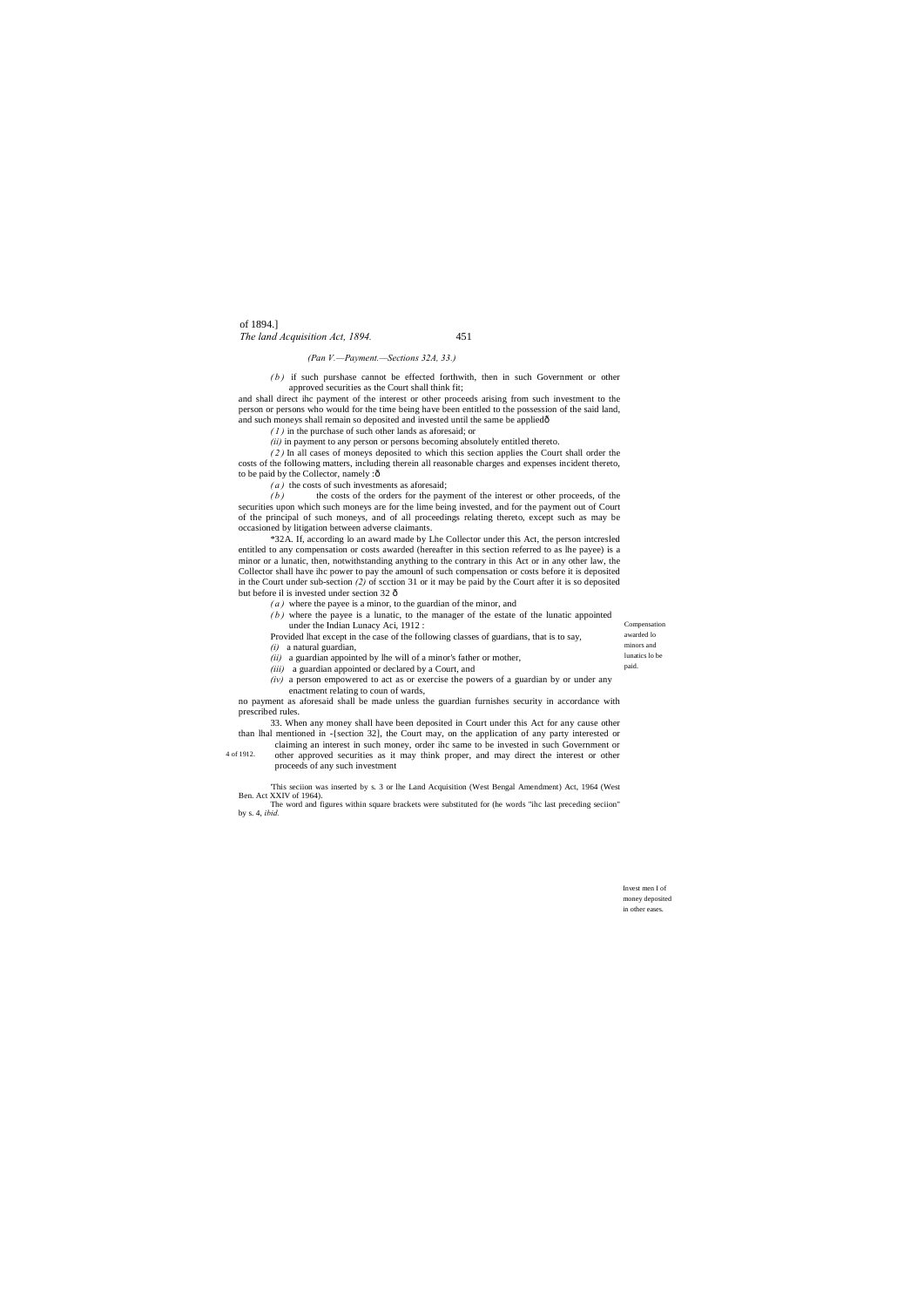Compensation awarded lo minors and

lunatics lo be paid.

Invest men I of money deposited in other eases.

and shall direct ihc payment of the interest or other proceeds arising from such investment to the person or persons who would for the time being have been entitled to the possession of the said land, and such moneys shall remain so deposited and invested until the same be appliedô

of 1894.] *The land Acquisition Act, 1894.* 451

### *(Pan V.—Payment.—Sections 32A, 33.)*

*( b )* if such purshase cannot be effected forthwith, then in such Government or other approved securities as the Court shall think fit;

*( 2 )* In all cases of moneys deposited to which this section applies the Court shall order the costs of the following matters, including therein all reasonable charges and expenses incident thereto, to be paid by the Collector, namely :ô

*( 1 )* in the purchase of such other lands as aforesaid; or

\*32A. If, according lo an award made by Lhe Collector under this Act, the person intcresled entitled to any compensation or costs awarded (hereafter in this section referred to as lhe payee) is a minor or a lunatic, then, notwithstanding anything to the contrary in this Act or in any other law, the Collector shall have ihc power to pay the amounl of such compensation or costs before it is deposited in the Court under sub-section *(2)* of scction 31 or it may be paid by the Court after it is so deposited but before il is invested under section 32 ô

*(ii)* in payment to any person or persons becoming absolutely entitled thereto.

*( a )* the costs of such investments as aforesaid;

*( b )* the costs of the orders for the payment of the interest or other proceeds, of the securities upon which such moneys are for the lime being invested, and for the payment out of Court of the principal of such moneys, and of all proceedings relating thereto, except such as may be occasioned by litigation between adverse claimants.

4 of 1912. other approved securities as it may think proper, and may direct the interest or other proceeds of any such investment

- *( a )* where the payee is a minor, to the guardian of the minor, and
- $(b)$  where the payee is a lunatic, to the manager of the estate of the lunatic appointed under the Indian Lunacy Aci, 1912 :
- Provided lhat except in the case of the following classes of guardians, that is to say, *(i)* a natural guardian,
- *(ii)* a guardian appointed by lhe will of a minor's father or mother,
- *(iii)* a guardian appointed or declared by a Court, and

*(iv)* a person empowered to act as or exercise the powers of a guardian by or under any enactment relating to coun of wards,

no payment as aforesaid shall be made unless the guardian furnishes security in accordance with prescribed rules.

33. When any money shall have been deposited in Court under this Act for any cause other than lhal mentioned in -{section 32], the Court may, on the application of any party interested or claiming an interest in such money, order ihc same to be invested in such Government or

'This seciion was inserted by s. 3 or lhe Land Acquisition (West Bengal Amendment) Act, 1964 (West Ben. Act XXIV of 1964).

The word and figures within square brackets were substituted for (he words "ihc last preceding seciion" by s. 4, *ibid.*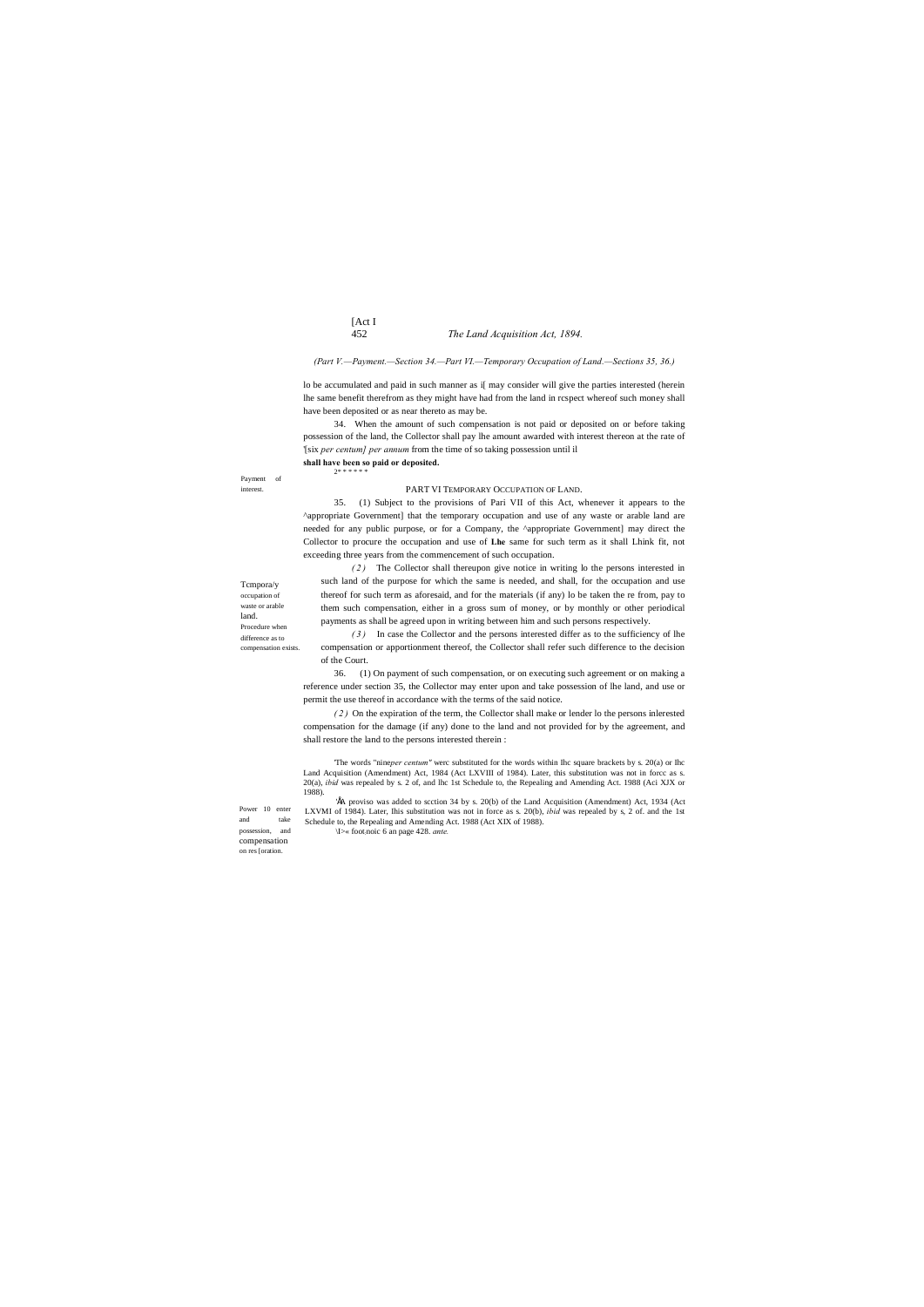# [Act I 452 *The Land Acquisition Act, 1894.*

Payment of interest.

Tcmpora/y occupation of waste or arable land.

Procedure when difference as to compensation exists.

Power 10 enter and take possession, and compensation on res [oration.

### *(Part V.—Payment.—Section 34.—Part VI.—Temporary Occupation of Land.—Sections 35, 36.)*

lo be accumulated and paid in such manner as i[ may consider will give the parties interested (herein lhe same benefit therefrom as they might have had from the land in rcspect whereof such money shall have been deposited or as near thereto as may be.

34. When the amount of such compensation is not paid or deposited on or before taking possession of the land, the Collector shall pay lhe amount awarded with interest thereon at the rate of '[six *per centum] per annum* from the time of so taking possession until il **shall have been so paid or deposited.**

2\* \* \* \* \* \*

### PART VI TEMPORARY OCCUPATION OF LAND.

35. (1) Subject to the provisions of Pari VII of this Act, whenever it appears to the ^appropriate Government] that the temporary occupation and use of any waste or arable land are needed for any public purpose, or for a Company, the ^appropriate Government] may direct the Collector to procure the occupation and use of **Lhe** same for such term as it shall Lhink fit, not exceeding three years from the commencement of such occupation.

'ÉA proviso was added to scction 34 by s. 20(b) of the Land Acquisition (Amendment) Act, 1934 (Act LXVMI of 1984). Later, Ihis substitution was not in force as s. 20(b), *ibid* was repealed by s, 2 of. and the 1st Schedule to, the Repealing and Amending Act. 1988 (Act XIX of 1988). \I>« foot:noic 6 an page 428. *ante.*

*( 2 )* The Collector shall thereupon give notice in writing lo the persons interested in such land of the purpose for which the same is needed, and shall, for the occupation and use thereof for such term as aforesaid, and for the materials (if any) lo be taken the re from, pay to them such compensation, either in a gross sum of money, or by monthly or other periodical payments as shall be agreed upon in writing between him and such persons respectively.

*( 3 )* In case the Collector and the persons interested differ as to the sufficiency of lhe compensation or apportionment thereof, the Collector shall refer such difference to the decision of the Court.

36. (1) On payment of such compensation, or on executing such agreement or on making a reference under section 35, the Collector may enter upon and take possession of lhe land, and use or permit the use thereof in accordance with the terms of the said notice.

*( 2 )* On the expiration of the term, the Collector shall make or lender lo the persons inlerested compensation for the damage (if any) done to the land and not provided for by the agreement, and shall restore the land to the persons interested therein :

'The words "nine*per centum"* werc substituted for the words within Ihc square brackets by s. 20(a) or Ihc Land Acquisition (Amendment) Act, 1984 (Act LXVIII of 1984). Later, this substitution was not in forcc as s. 20(a), *ibid* was repealed by s. 2 of, and lhc 1st Schedule to, the Repealing and Amending Act. 1988 (Aci XJX or 1988).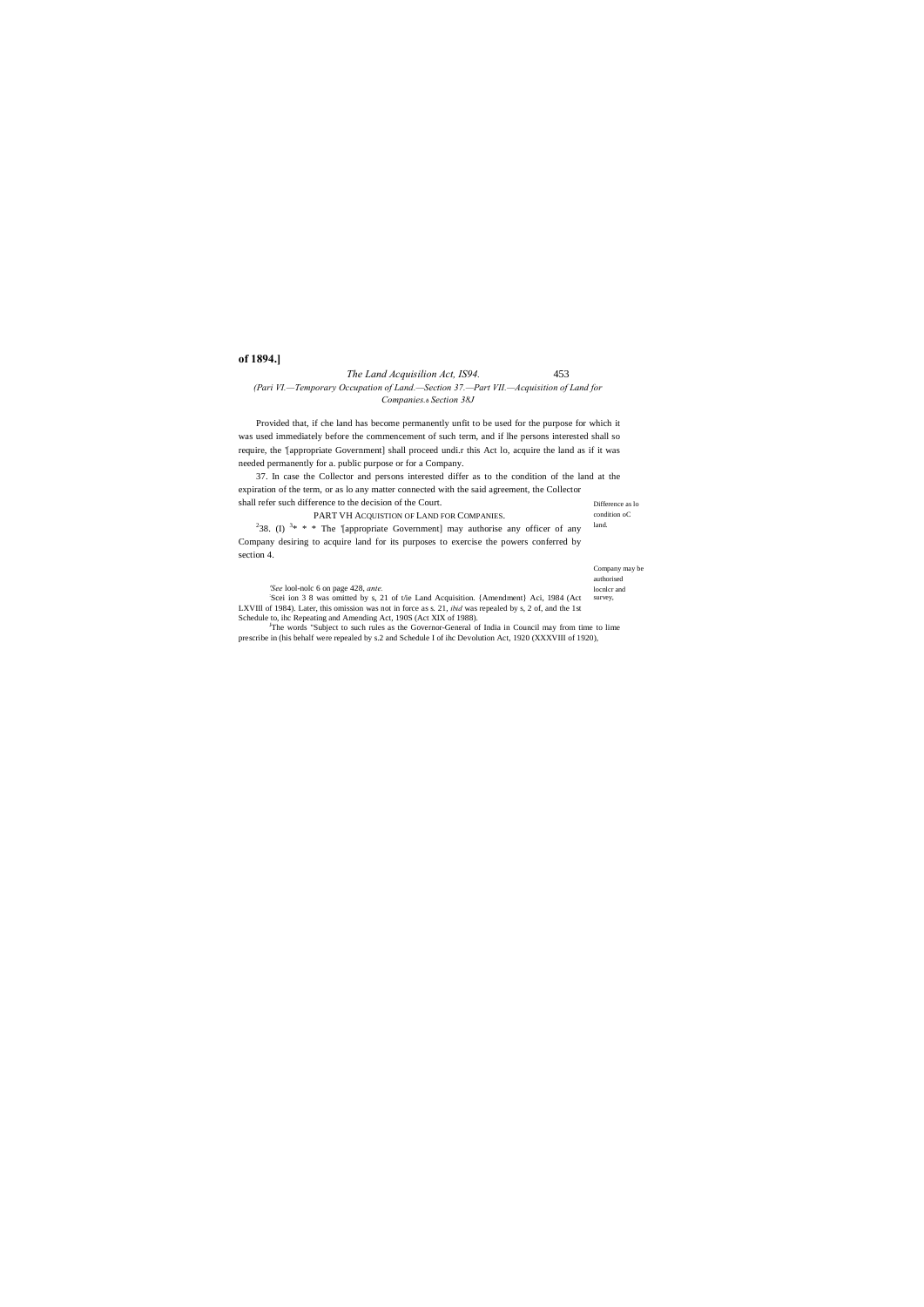authorised locnlcr and survey, *'See* lool-nolc 6 on page 428, *ante.* : Scei ion 3 8 was omitted by s, 21 of t/ie Land Acquisition. {Amendment} Aci, 1984 (Act LXVIIl of 1984). Later, this omission was not in force as s. 21, *ibid* was repealed by s, 2 of, and the 1st Schedule to, ihc Repeating and Amending Act, 190S (Act XIX of 1988).

condition oC land.

Company may be

# *The Land Acquisilion Act, IS94.* 453 *(Pari VI.—Temporary Occupation of Land.—Section 37.—Part VII.—Acquisition of Land for Companies.*—*Section 38J*

# **of 1894.]**

Provided that, if che land has become permanently unfit to be used for the purpose for which it was used immediately before the commencement of such term, and if lhe persons interested shall so require, the '[appropriate Government] shall proceed undi.r this Act lo, acquire the land as if it was needed permanently for a. public purpose or for a Company.

Difference as lo 37. In case the Collector and persons interested differ as to the condition of the land at the expiration of the term, or as lo any matter connected with the said agreement, the Collector shall refer such difference to the decision of the Court.

<sup>2</sup>38. (I) <sup>3\*</sup> \* \* The '[appropriate Government] may authorise any officer of any Company desiring to acquire land for its purposes to exercise the powers conferred by section 4.

| PART VH ACQUISTION OF LAND FOR COMPANIES. |
|-------------------------------------------|
|-------------------------------------------|

The words "Subject to such rules as the Governor-General of India in Council may from time to lime prescribe in (his behalf were repealed by s.2 and Schedule I of ihc Devolution Act, 1920 (XXXVIII of 1920),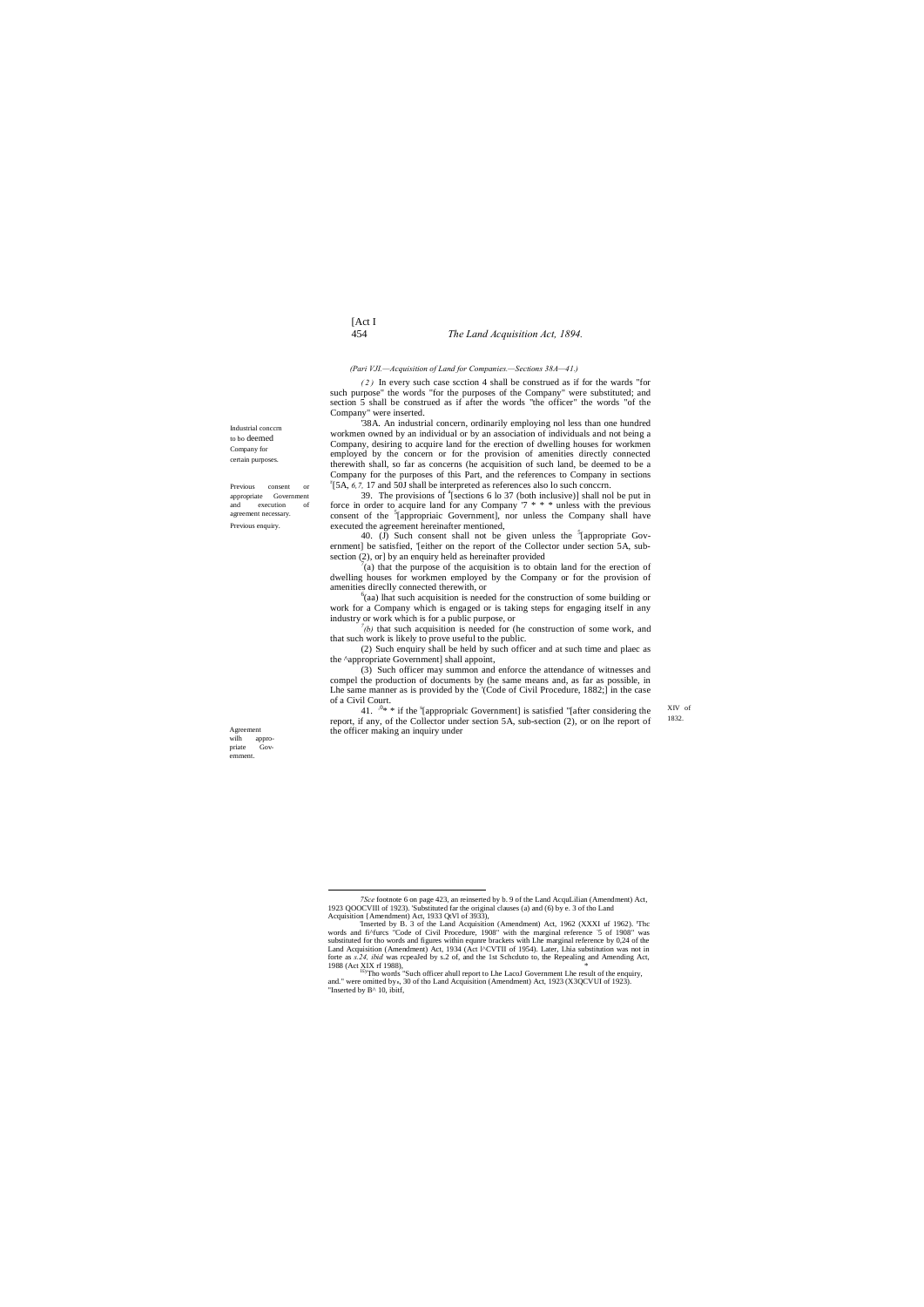# [Act I 454 *The Land Acquisition Act, 1894.*

Industrial conccrn to bo deemed Company for certain purposes.

Previous consent or appropriate Government and execution of agreement necessary. Previous enquiry.

> XIV of 1832.

Agreement wilh appropriate Government.

'38A. An industrial concern, ordinarily employing nol less than one hundred workmen owned by an individual or by an association of individuals and not being a Company, desiring to acquire land for the erection of dwelling houses for workmen employed by the concern or for the provision of amenities directly connected therewith shall, so far as concerns (he acquisition of such land, be deemed to be a Company for the purposes of this Part, and the references to Company in sections <sup>r</sup>[5A, 6,7, 17 and 50J shall be interpreted as references also lo such conccrn.

### *(Pari VJI.—Acquisition of Land for Companies.—Sections 38A—41.)*

*( 2 )* In every such case scction 4 shall be construed as if for the wards "for such purpose" the words "for the purposes of the Company" were substituted; and section 5 shall be construed as if after the words "the officer" the words "of the Company" were inserted.

39. The provisions of  $a$ <sup>s</sup>[sections 6 lo 37 (both inclusive)] shall nol be put in force in order to acquire land for any Company  $7$  \* \* \* unless with the previous consent of the <sup>5</sup>[appropriaic Government], nor unless the Company shall have executed the agreement hereinafter mentioned,

40. (J) Such consent shall not be given unless the  $5$ [appropriate Government] be satisfied, '[either on the report of the Collector under section 5A, subsection (2), or] by an enquiry held as hereinafter provided

 $f(a)$  that the purpose of the acquisition is to obtain land for the erection of dwelling houses for workmen employed by the Company or for the provision of amenities direclly connected therewith, or <sup>6</sup>

 $^{\circ}$ (aa) lhat such acquisition is needed for the construction of some building or work for a Company which is engaged or is taking steps for engaging itself in any industry or work which is for a public purpose, or

41.  $\sqrt{0^*}$  \* if the <sup>s</sup>[approprialc Government] is satisfied "[after considering the report, if any, of the Collector under section 5A, sub-section (2), or on lhe report of the officer making an inquiry under

*7 (b)* that such acquisition is needed for (he construction of some work, and that such work is likely to prove useful to the public.

(2) Such enquiry shall be held by such officer and at such time and plaec as the ^appropriate Government] shall appoint,

(3) Such officer may summon and enforce the attendance of witnesses and compel the production of documents by (he same means and, as far as possible, in Lhe same manner as is provided by the '(Code of Civil Procedure, 1882;] in the case of a Civil Court.

<sup>7</sup>Sce footnote 6 on page 423, an reinserted by b. 9 of the Land AcquLilian (Amendment) Act, 1923 QOOCVIII of 1923). 'Substituted far the original clauses (a) and (6) by e. 3 of tho Land Acquisition {Amendment) Act, 1933 QtV

Inserted by B. 3 of the Land Acquisition (Amendment) Act, 1962 (XXXI uf 1962). The words and fi^furcs "Code of Civil Procedure, 1908" with the marginal reference -5 of 1908" was substituted for tho words and figures within equnre brackets with Lhe marginal reference by 0,24 of the Land Acquisition (Amendment) Act, 1934 (Act l^CVTII of 1954). Later, Lhia substitution was not in forte as *s.24, ibid* was repealed by *s.2* of, and the 1st Scheduto to, the Repealing and Amending Act, 1988 (Act XIX rf 1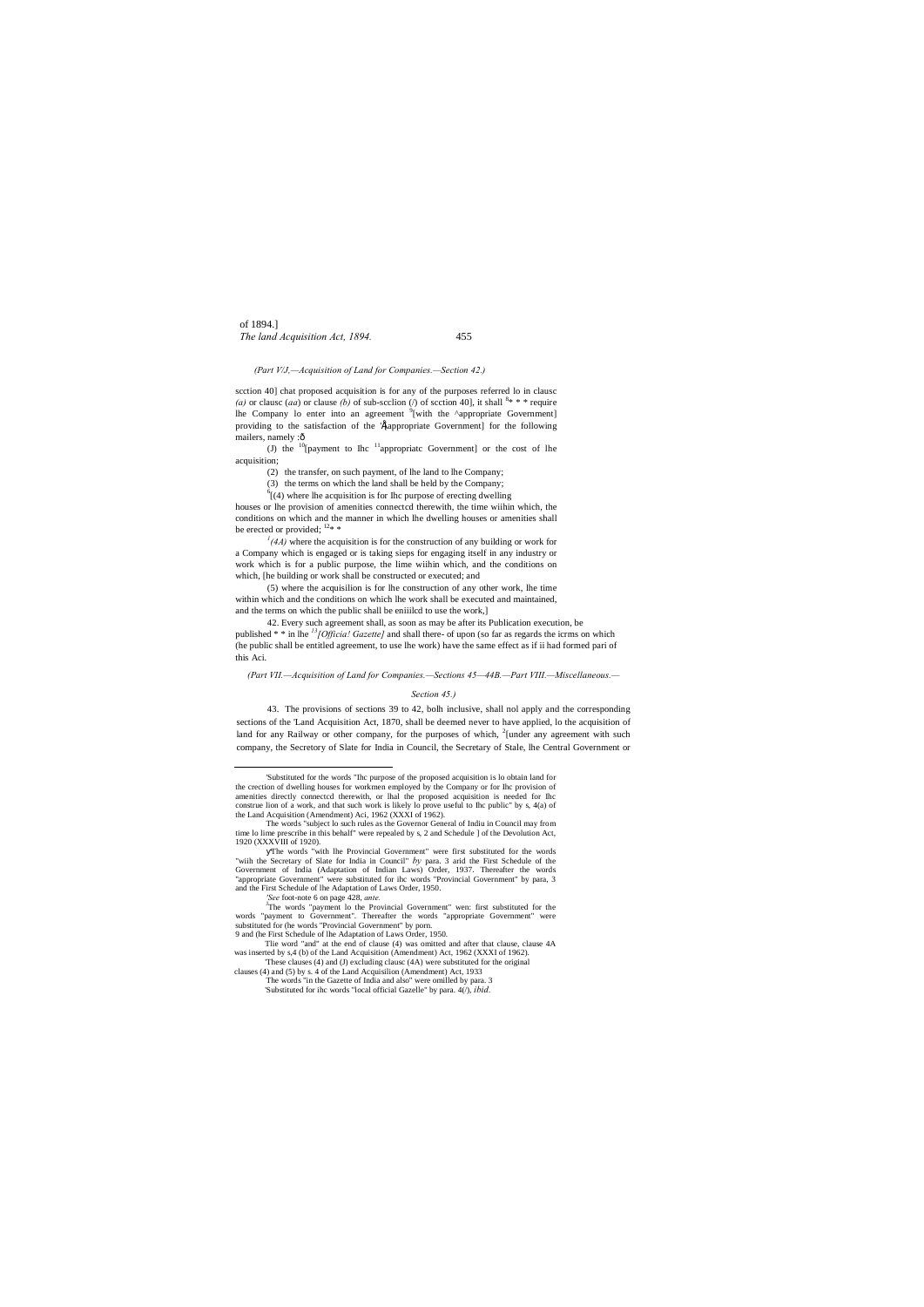of 1894.] *The land Acquisition Act, 1894.* 455

scction 40] chat proposed acquisition is for any of the purposes referred lo in clausc (a) or clause (aa) or clause (b) of sub-section (/) of section 40], it shall  $8* * *$  require lhe Company lo enter into an agreement <sup>9</sup>[with the ^appropriate Government] providing to the satisfaction of the 'Étappropriate Government] for the following mailers, namely :ô

*(Part V/J,—Acquisition of Land for Companies.—Section 42.)*

(J) the  $10$ [payment to Ihc  $11$ <sup>1</sup>appropriatc Government] or the cost of lhe acquisition;

houses or lhe provision of amenities connectcd therewith, the time wiihin which, the conditions on which and the manner in which lhe dwelling houses or amenities shall be erected or provided;  $12*$ 

(2) the transfer, on such payment, of lhe land to lhe Company;

 $\int$ <sup>1</sup>(4A) where the acquisition is for the construction of any building or work for a Company which is engaged or is taking sieps for engaging itself in any industry or work which is for a public purpose, the lime wiihin which, and the conditions on which, [he building or work shall be constructed or executed; and

(3) the terms on which the land shall be held by the Company;

 $^{6}$ [(4) where lhe acquisition is for Ihc purpose of erecting dwelling

(5) where the acquisilion is for lhe construction of any other work, lhe time within which and the conditions on which lhe work shall be executed and maintained, and the terms on which the public shall be eniiilcd to use the work,]

42. Every such agreement shall, as soon as may be after its Publication execution, be published \* \* in lhe <sup>13</sup>[Officia! Gazette] and shall there- of upon (so far as regards the icrms on which (he public shall be entitled agreement, to use lhe work) have the same effect as if ii had formed pari of this Aci.

*(Part VII.—Acquisition of Land for Companies.—Sections 45—44B.—Part VIII.—Miscellaneous.—*

### *Section 45.)*

43. The provisions of sections 39 to 42, bolh inclusive, shall nol apply and the corresponding sections of the 'Land Acquisition Act, 1870, shall be deemed never to have applied, lo the acquisition of land for any Railway or other company, for the purposes of which,  $2$ [under any agreement with such company, the Secretory of Slate for India in Council, the Secretary of Stale, lhe Central Government or

'Substituted for ihc words "local official Gazelle" by para. 4(/), *ibid.*

 <sup>&#</sup>x27;Substituted for the words "Ihc purpose of the proposed acquisition is lo obtain land for the crection of dwelling houses for workmen employed by the Company or for Ihc provision of amenities directly connectcd therewith, or lhal the proposed acquisition is needed for Ihc construe lion of a work, and that such work is likely lo prove useful to Ihc public" by s, 4(a) of the Land Acquisition (Amendment) Aci, 1962 (XXXI of 1962).

The words "subject lo such rules as the Governor General of Indiu in Council may from time lo lime prescribe in this behalf" were repealed by s, 2 and Schedule ] of the Devolution Act, 1920 (XXXVIII of 1920).

The words "with lhe Provincial Government" were first substituted for the words "wiih the Secretary of Slate for India in Council" *by* para. 3 arid the First Schedule of the Government of India (Adaptation of Indian Laws) Order, 1937. Thereafter the words "appropriate Government" were substituted for ihc words "Provincial Government" by para, 3 and the First Schedule of lhe Adaptation of Laws Order, 1950.

*<sup>&#</sup>x27;See* foot-note 6 on page 428, *ante.* <sup>J</sup>

The words "payment lo the Provincial Government" wen: first substituted for the words "payment to Government". Thereafter the words "appropriate Government" were substituted for (he words "Provincial Government" by porn. 9 and (he First Schedule of lhe Adaptation of Laws Order, 1950.

Tlie word "and" at the end of clause (4) was omitted and after that clause, clause 4A

was inserted by s,4 (b) of the Land Acquisition (Amendment) Act, 1962 (XXXI of 1962).

<sup>&#</sup>x27;These clauses (4) and (J) excluding clausc (4A) were substituted for the original clauses (4) and (5) by s. 4 of the Land Acquisilion (Amendment) Act, 1933

The words "in the Gazette of India and also" were omilled by para. 3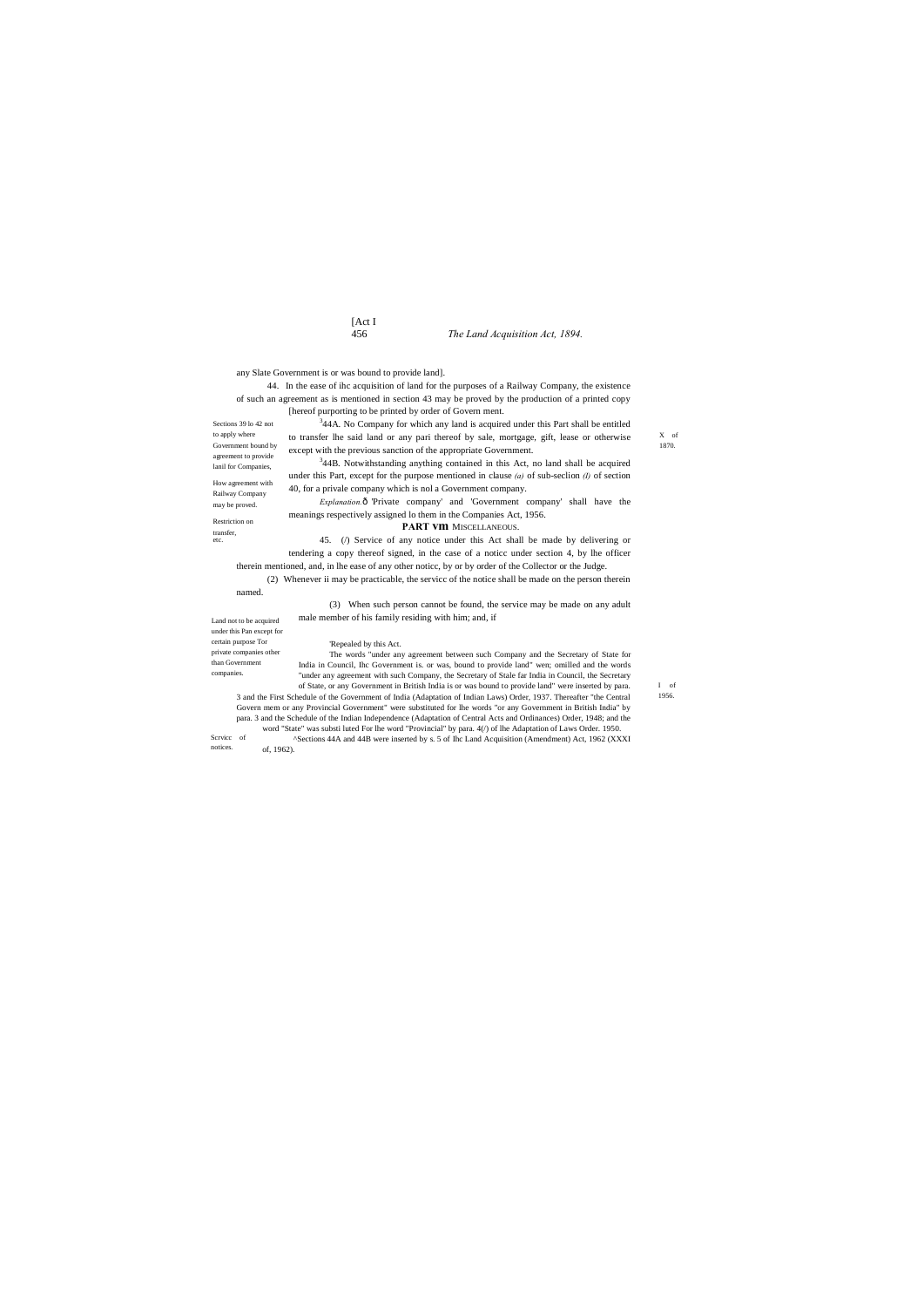# [Act I

# 456 *The Land Acquisition Act, 1894.*

to apply where

How agreement with Railway Company may be proved. Restriction on transfer, etc.

X of 1870.

Land not to be acquired under this Pan except for certain purpose Tor private companies other than Government companies.

> I of 1956.

any Slate Government is or was bound to provide land].

Sections 39 lo 42 not Government bound by agreement to provide lanil for Companies, <sup>3</sup>44A. No Company for which any land is acquired under this Part shall be entitled to transfer lhe said land or any pari thereof by sale, mortgage, gift, lease or otherwise except with the previous sanction of the appropriate Government.

44. In the ease of ihc acquisition of land for the purposes of a Railway Company, the existence of such an agreement as is mentioned in section 43 may be proved by the production of a printed copy [hereof purporting to be printed by order of Govern ment.

> $344B$ . Notwithstanding anything contained in this Act, no land shall be acquired under this Part, except for the purpose mentioned in clause *(a)* of sub-seclion *(I)* of section 40, for a privale company which is nol a Government company.

> *Explanation.* $\hat{o}$  Private company' and 'Government company' shall have the meanings respectively assigned lo them in the Companies Act, 1956.

### **PART vm** MISCELLANEOUS.

45. (/) Service of any notice under this Act shall be made by delivering or tendering a copy thereof signed, in the case of a noticc under section 4, by lhe officer therein mentioned, and, in lhe ease of any other noticc, by or by order of the Collector or the Judge.

Scrvicc of Govern mem or any Provincial Government" were substituted for lhe words "or any Government in British India" by para. 3 and the Schedule of the Indian Independence (Adaptation of Central Acts and Ordinances) Order, 1948; and the word "State" was substi luted For lhe word "Provincial" by para. 4(/) of lhe Adaptation of Laws Order. 1950. ^Sections 44A and 44B were inserted by s. 5 of Ihc Land Acquisition (Amendment) Act, 1962 (XXXI

(2) Whenever ii may be practicable, the servicc of the notice shall be made on the person therein named.

> (3) When such person cannot be found, the service may be made on any adult male member of his family residing with him; and, if

### 'Repealed by this Act.

The words "under any agreement between such Company and the Secretary of State for India in Council, Ihc Government is. or was, bound to provide land" wen; omilled and the words "under any agreement with such Company, the Secretary of Stale far India in Council, the Secretary of State, or any Government in British India is or was bound to provide land" were inserted by para. 3 and the First Schedule of the Government of India (Adaptation of Indian Laws) Order, 1937. Thereafter "the Central

notices. of, 1962).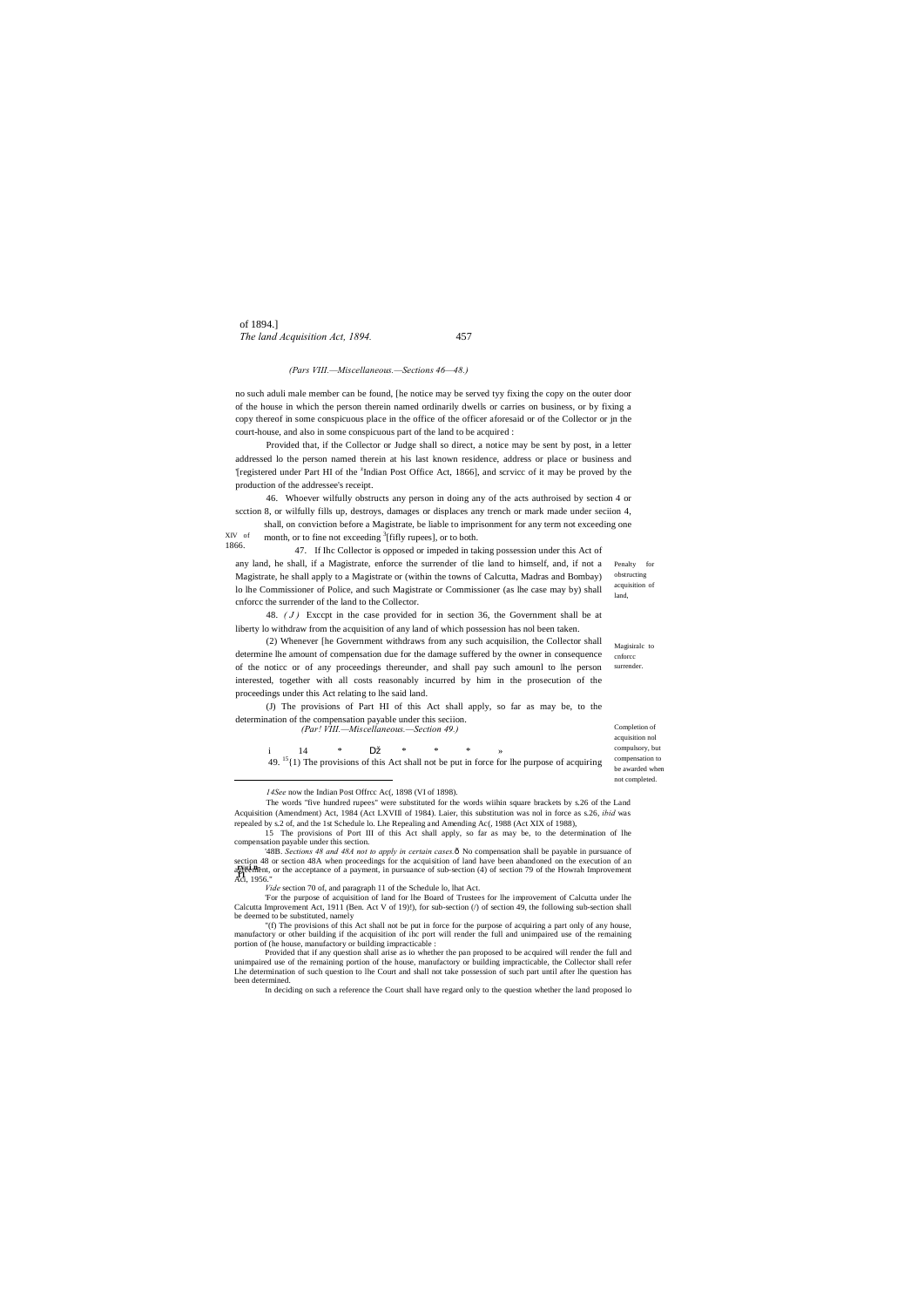of 1894.] *The land Acquisition Act, 1894.* 457

XIV of 1866. shall, on conviction before a Magistrate, be liable to imprisonment for any term not exceeding one month, or to fine not exceeding <sup>3</sup>[fifly rupees], or to both.

Penalty for obstructing acquisition of land,

Magisiralc to cnforcc surrender

### *(Pars VIII.—Miscellaneous.—Sections 46—48.)*

no such aduli male member can be found, [he notice may be served tyy fixing the copy on the outer door of the house in which the person therein named ordinarily dwells or carries on business, or by fixing a copy thereof in some conspicuous place in the office of the officer aforesaid or of the Collector or jn the court-house, and also in some conspicuous part of the land to be acquired :

Provided that, if the Collector or Judge shall so direct, a notice may be sent by post, in a letter addressed lo the person named therein at his last known residence, address or place or business and Tregistered under Part HI of the <sup>z</sup>Indian Post Office Act, 1866], and scrvicc of it may be proved by the production of the addressee's receipt.

46. Whoever wilfully obstructs any person in doing any of the acts authroised by section 4 or scction 8, or wilfully fills up, destroys, damages or displaces any trench or mark made under seciion 4,

| (Par! VIII.—Miscellaneous.—Section 49.) |                                                                                                           |   |   |   |  |  |  | Completion of   |
|-----------------------------------------|-----------------------------------------------------------------------------------------------------------|---|---|---|--|--|--|-----------------|
|                                         |                                                                                                           |   |   |   |  |  |  | acquisition nol |
|                                         |                                                                                                           | ∗ | * | ∗ |  |  |  | compulsory, but |
|                                         | $49.$ <sup>15</sup> {1} The provisions of this Act shall not be put in force for lhe purpose of acquiring |   |   |   |  |  |  | compensation to |
|                                         |                                                                                                           |   |   |   |  |  |  | be awarded when |
|                                         |                                                                                                           |   |   |   |  |  |  | not completed.  |

47. If Ihc Collector is opposed or impeded in taking possession under this Act of any land, he shall, if a Magistrate, enforce the surrender of tlie land to himself, and, if not a Magistrate, he shall apply to a Magistrate or (within the towns of Calcutta, Madras and Bombay) lo lhe Commissioner of Police, and such Magistrate or Commissioner (as lhe case may by) shall cnforcc the surrender of the land to the Collector.

**reflection** or the acceptance of a payment, in pursuance of sub-section (4) of section 79 of the Howrah Improvement<br>**Agreement**, or the acceptance of a payment, in pursuance of sub-section (4) of section 79 of the Howrah '48B. Sections 48 and 48A not to apply in certain cases.<sup>6</sup> No compensation shall be payable in pursuance of section 48 or section 48A when proceedings for the acquisition of land have been abandoned on the execution of an Aci, 1956."

48. *( J )* Exccpt in the case provided for in section 36, the Government shall be at liberty lo withdraw from the acquisition of any land of which possession has nol been taken.

Provided that if any question shall arise as io whether the pan proposed to be acquired will render the full and unimpaired use of the remaining portion of the house, manufactory or building impracticable, the Collector shall refer Lhe determination of such question to lhe Court and shall not take possession of such part until after lhe question has been determined

(2) Whenever [he Government withdraws from any such acquisilion, the Collector shall determine lhe amount of compensation due for the damage suffered by the owner in consequence of the noticc or of any proceedings thereunder, and shall pay such amounl to lhe person interested, together with all costs reasonably incurred by him in the prosecution of the proceedings under this Act relating to lhe said land.

(J) The provisions of Part HI of this Act shall apply, so far as may be, to the determination of the compensation payable under this seciion.

*14See* now the Indian Post Offrcc Ac(, 1898 (VI of 1898).

 $\overline{a}$ 

The words "five hundred rupees" were substituted for the words wiihin square brackets by s.26 of the Land Acquisition (Amendment) Act, 1984 (Act LXVIIl of 1984). Laier, this substitution was nol in force as s.26, *ibid* was repealed by s.2 of, and the 1st Schedule lo. Lhe Repealing and Amending Ac(, 1988 (Act XIX of 1988),

15 The provisions of Port III of this Act shall apply, so far as may be, to the determination of lhe compensation payable under this section.

*Vide* section 70 of, and paragraph 11 of the Schedule lo, lhat Act.

'For the purpose of acquisition of land for lhe Board of Trustees for lhe improvement of Calcutta under lhe Calcutta Improvement Act, 1911 (Ben. Act V of 19)!), for sub-section (/) of section 49, the following sub-section shall be deemed to be substituted, namely

"(f) The provisions of this Act shall not be put in force for the purpose of acquiring a part only of any house, manufactory or other building if the acquisition of ihc port will render the full and unimpaired use of the remaining portion of (he house, manufactory or building impracticable :

In deciding on such a reference the Court shall have regard only to the question whether the land proposed lo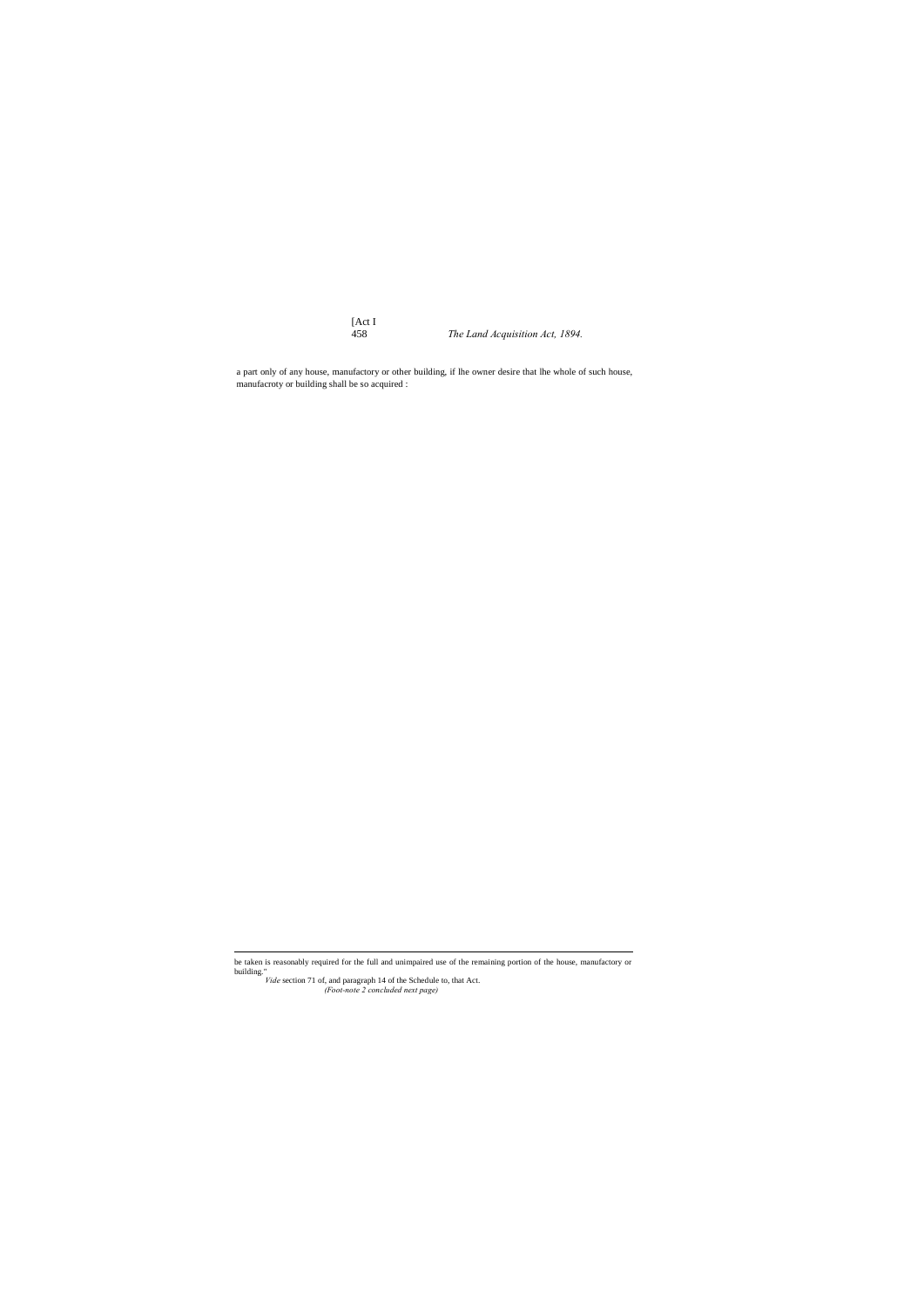[Act I

458 *The Land Acquisition Act, 1894.*

a part only of any house, manufactory or other building, if lhe owner desire that lhe whole of such house, manufacroty or building shall be so acquired :

*(Foot-note 2 concluded next page)*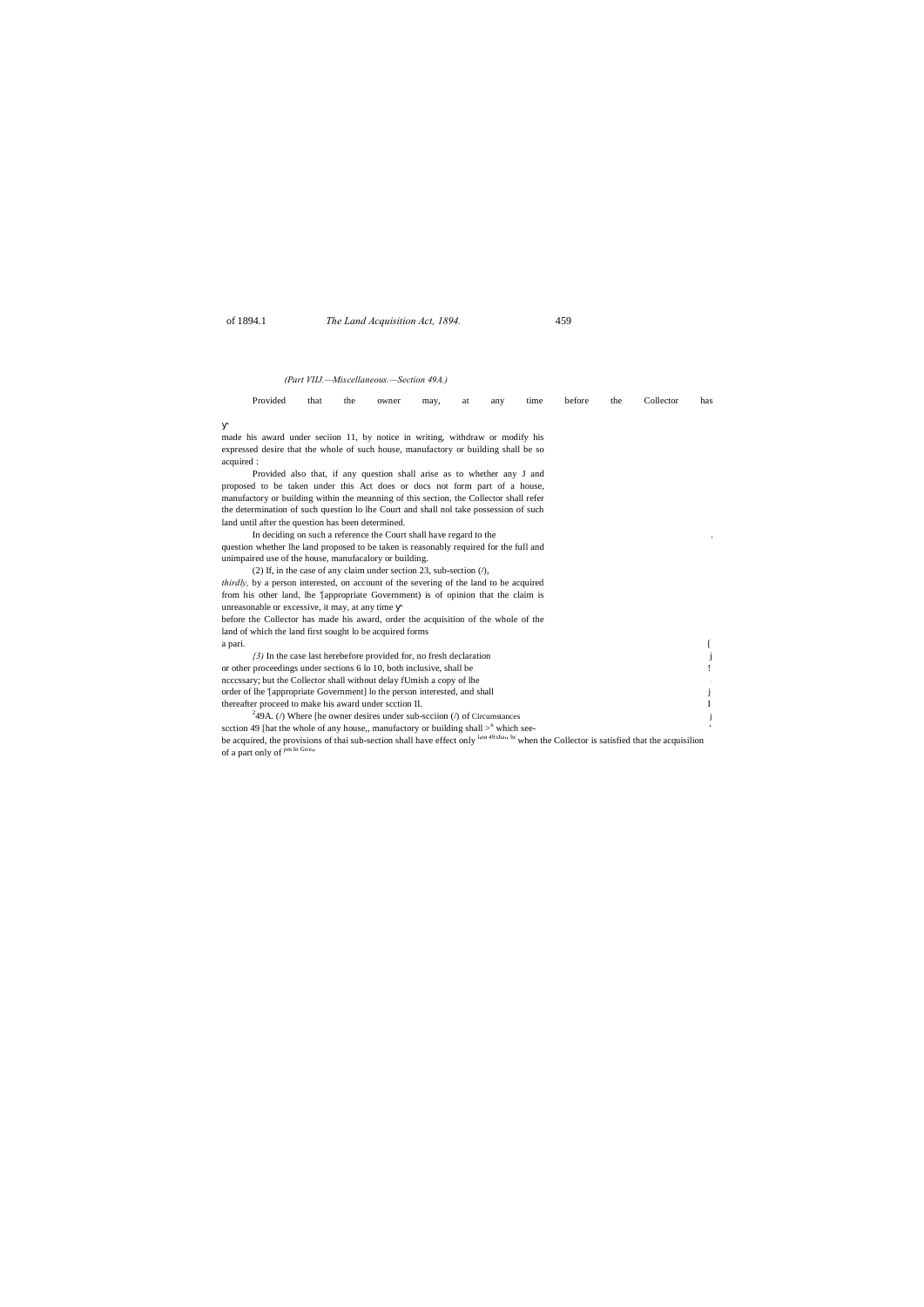of 1894.1 *The Land Acquisition Act, 1894.* 459

# *(Part VIIJ.—Miscellaneous.—Section 49A.)*

| Provided                                                                                               | that | the | owner | may, | at | any | time | before | the | Collector | has |
|--------------------------------------------------------------------------------------------------------|------|-----|-------|------|----|-----|------|--------|-----|-----------|-----|
|                                                                                                        |      |     |       |      |    |     |      |        |     |           |     |
| made his award under section 11, by notice in writing, withdraw or modify his                          |      |     |       |      |    |     |      |        |     |           |     |
| expressed desire that the whole of such house, manufactory or building shall be so                     |      |     |       |      |    |     |      |        |     |           |     |
|                                                                                                        |      |     |       |      |    |     |      |        |     |           |     |
| acquired :                                                                                             |      |     |       |      |    |     |      |        |     |           |     |
| Provided also that, if any question shall arise as to whether any J and                                |      |     |       |      |    |     |      |        |     |           |     |
| proposed to be taken under this Act does or docs not form part of a house,                             |      |     |       |      |    |     |      |        |     |           |     |
| manufactory or building within the meanning of this section, the Collector shall refer                 |      |     |       |      |    |     |      |        |     |           |     |
| the determination of such question lo lhe Court and shall nol take possession of such                  |      |     |       |      |    |     |      |        |     |           |     |
| land until after the question has been determined.                                                     |      |     |       |      |    |     |      |        |     |           |     |
| In deciding on such a reference the Court shall have regard to the                                     |      |     |       |      |    |     |      |        |     |           |     |
| question whether lhe land proposed to be taken is reasonably required for the full and                 |      |     |       |      |    |     |      |        |     |           |     |
| unimpaired use of the house, manufacalory or building.                                                 |      |     |       |      |    |     |      |        |     |           |     |
| (2) If, in the case of any claim under section 23, sub-section $(1)$ ,                                 |      |     |       |      |    |     |      |        |     |           |     |
| <i>thirdly</i> , by a person interested, on account of the severing of the land to be acquired         |      |     |       |      |    |     |      |        |     |           |     |
| from his other land, lhe 'appropriate Government) is of opinion that the claim is                      |      |     |       |      |    |     |      |        |     |           |     |
| unreasonable or excessive, it may, at any time                                                         |      |     |       |      |    |     |      |        |     |           |     |
| before the Collector has made his award, order the acquisition of the whole of the                     |      |     |       |      |    |     |      |        |     |           |     |
| land of which the land first sought lo be acquired forms                                               |      |     |       |      |    |     |      |        |     |           |     |
| a pari.                                                                                                |      |     |       |      |    |     |      |        |     |           |     |
| $(3)$ In the case last herebefore provided for, no fresh declaration                                   |      |     |       |      |    |     |      |        |     |           |     |
| or other proceedings under sections 6 lo 10, both inclusive, shall be                                  |      |     |       |      |    |     |      |        |     |           |     |
| nccessary; but the Collector shall without delay fUmish a copy of lhe                                  |      |     |       |      |    |     |      |        |     |           |     |
| order of the '[appropriate Government] to the person interested, and shall                             |      |     |       |      |    |     |      |        |     |           |     |
| thereafter proceed to make his award under scction II.                                                 |      |     |       |      |    |     |      |        |     |           |     |
| <sup>2</sup> 49A. ( $\theta$ ) Where [he owner desires under sub-scciion ( $\theta$ ) of Circumstances |      |     |       |      |    |     |      |        |     |           |     |
| scction 49 [hat the whole of any house,, manufactory or building shall $>^n$ which see-                |      |     |       |      |    |     |      |        |     |           |     |
|                                                                                                        |      |     |       |      |    |     |      |        |     |           |     |

be acquired, the provisions of thai sub-section shall have effect only  $^{\text{lon 49 sha}}$  bc when the Collector is satisfied that the acquisilion of a part only of <sup>pm In Grce</sup>"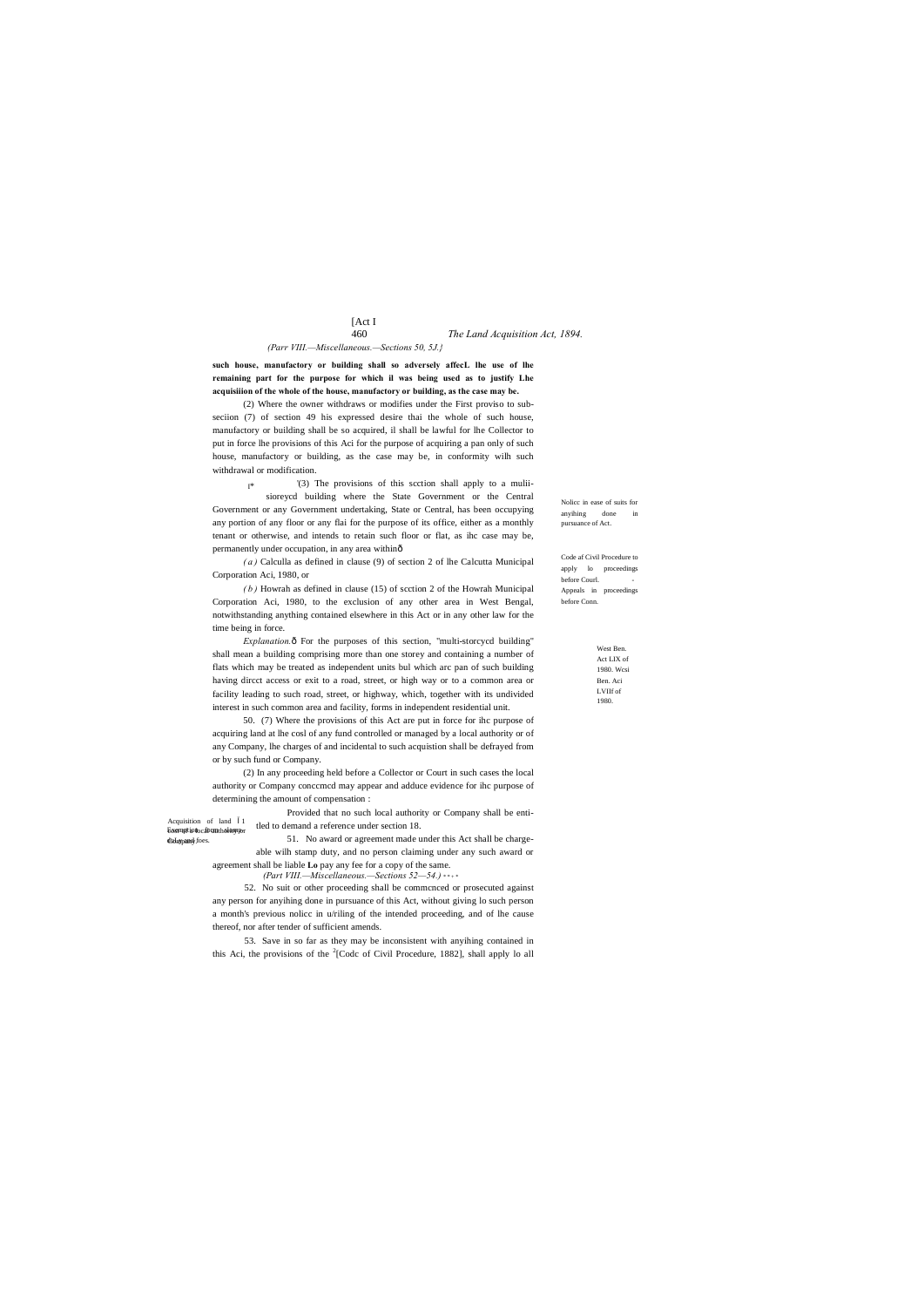# [Act I

West Ben. Act LIX of 1980. Wcsi Ben. Aci LVIIf of 1980.

Acquisition of land 1

dulmpand foes.

# 460 *The Land Acquisition Act, 1894. (Parr VIII.—Miscellaneous.—Sections 50, 5J.}*

Nolicc in ease of suits for anyihing done in pursuance of Act.

Code af Civil Procedure to apply lo proceedings before Courl. Appeals in proceedings before Conn.

**such house, manufactory or building shall so adversely affecL lhe use of lhe remaining part for the purpose for which il was being used as to justify Lhe acquisiiion of the whole of the house, manufactory or building, as the case may be.**

I\* '(3) The provisions of this scction shall apply to a muliisioreycd building where the State Government or the Central Government or any Government undertaking, State or Central, has been occupying any portion of any floor or any flai for the purpose of its office, either as a monthly tenant or otherwise, and intends to retain such floor or flat, as ihc case may be, permanently under occupation, in any area within—

(2) Where the owner withdraws or modifies under the First proviso to subseciion (7) of section 49 his expressed desire thai the whole of such house, manufactory or building shall be so acquired, il shall be lawful for lhe Collector to put in force lhe provisions of this Aci for the purpose of acquiring a pan only of such house, manufactory or building, as the case may be, in conformity wilh such withdrawal or modification.

*Explanation.* $\hat{\text{o}}$  For the purposes of this section, "multi-storcycd building" shall mean a building comprising more than one storey and containing a number of flats which may be treated as independent units bul which arc pan of such building having dircct access or exit to a road, street, or high way or to a common area or facility leading to such road, street, or highway, which, together with its undivided interest in such common area and facility, forms in independent residential unit.

*( a )* Calculla as defined in clause (9) of section 2 of lhe Calcutta Municipal Corporation Aci, 1980, or

Exemption cabuntholomper 51. No award or agreement made under this Act shall be chargeable wilh stamp duty, and no person claiming under any such award or agreement shall be liable **Lo** pay any fee for a copy of the same.

> 53. Save in so far as they may be inconsistent with anyihing contained in this Aci, the provisions of the  ${}^{2}$ [Codc of Civil Procedure, 1882], shall apply lo all

> *( b )* Howrah as defined in clause (15) of scction 2 of the Howrah Municipal Corporation Aci, 1980, to the exclusion of any other area in West Bengal, notwithstanding anything contained elsewhere in this Act or in any other law for the time being in force.

> 50. (7) Where the provisions of this Act are put in force for ihc purpose of acquiring land at lhe cosl of any fund controlled or managed by a local authority or of any Company, lhe charges of and incidental to such acquistion shall be defrayed from or by such fund or Company.

> (2) In any proceeding held before a Collector or Court in such cases the local authority or Company conccmcd may appear and adduce evidence for ihc purpose of determining the amount of compensation :

> > Provided that no such local authority or Company shall be entitled to demand a reference under section 18.

*(Part VIII.—Miscellaneous.—Sections 52—54.)* \* \* + \*

52. No suit or other proceeding shall be commcnced or prosecuted against any person for anyihing done in pursuance of this Act, without giving lo such person a month's previous nolicc in u/riling of the intended proceeding, and of lhe cause thereof, nor after tender of sufficient amends.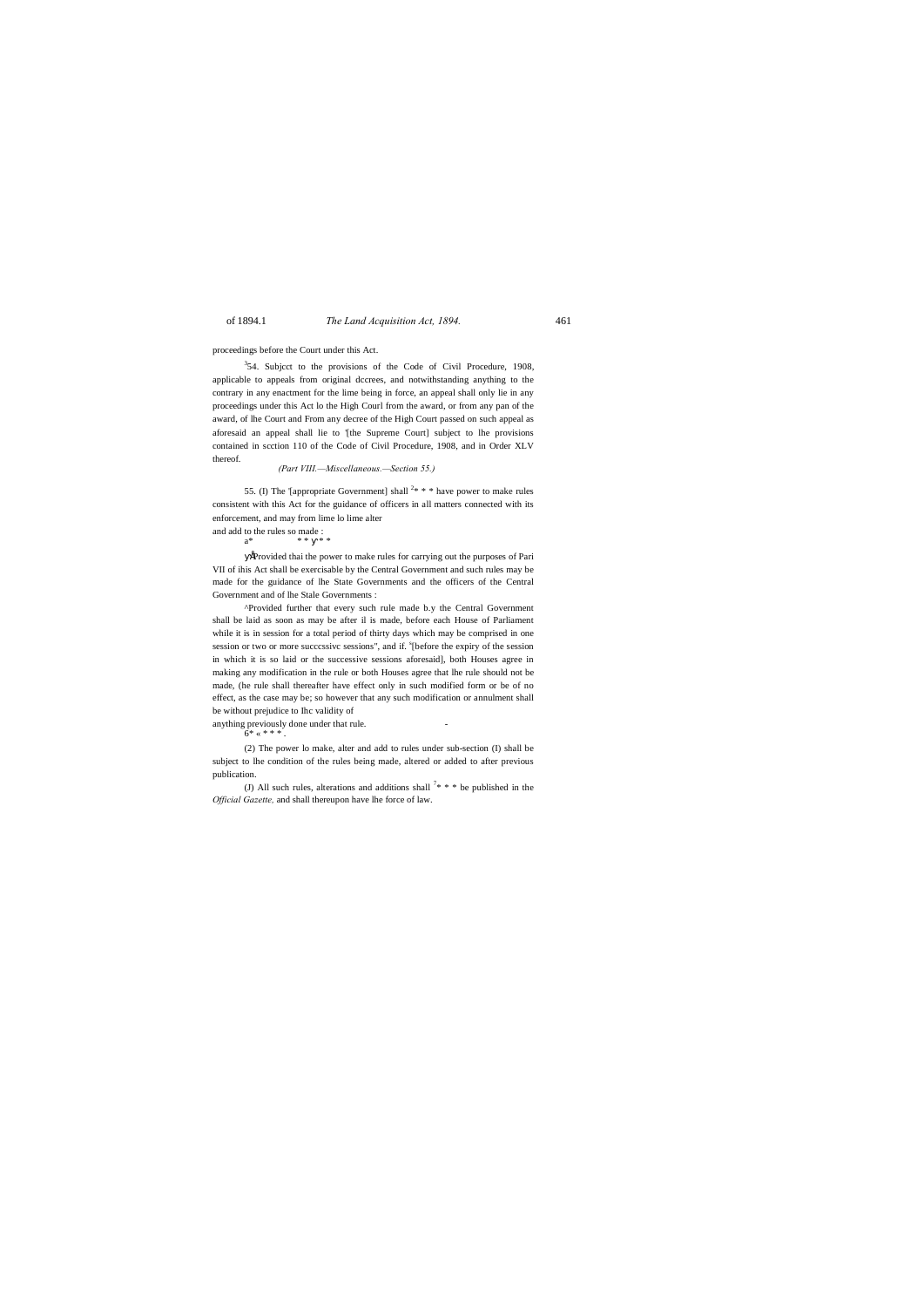of 1894.1 *The Land Acquisition Act, 1894.* 461

### proceedings before the Court under this Act.

 $354$ . Subject to the provisions of the Code of Civil Procedure, 1908, applicable to appeals from original dccrees, and notwithstanding anything to the contrary in any enactment for the lime being in force, an appeal shall only lie in any proceedings under this Act lo the High Courl from the award, or from any pan of the award, of lhe Court and From any decree of the High Court passed on such appeal as aforesaid an appeal shall lie to '[the Supreme Court] subject to lhe provisions contained in scction 110 of the Code of Civil Procedure, 1908, and in Order XLV thereof.

55. (I) The '[appropriate Government] shall  $2* * *$  have power to make rules consistent with this Act for the guidance of officers in all matters connected with its enforcement, and may from lime lo lime alter and add to the rules so made :

### *(Part VIII.—Miscellaneous.—Section 55.)*

a\* \* \* \* \*

•Provided thai the power to make rules for carrying out the purposes of Pari VII of ihis Act shall be exercisable by the Central Government and such rules may be made for the guidance of lhe State Governments and the officers of the Central Government and of lhe Stale Governments :

(J) All such rules, alterations and additions shall  $7$ \* \* \* be published in the *Official Gazette,* and shall thereupon have lhe force of law.

^Provided further that every such rule made b.y the Central Government shall be laid as soon as may be after il is made, before each House of Parliament while it is in session for a total period of thirty days which may be comprised in one session or two or more successive sessions", and if. <sup>s</sup>[before the expiry of the session in which it is so laid or the successive sessions aforesaid], both Houses agree in making any modification in the rule or both Houses agree that lhe rule should not be made, (he rule shall thereafter have effect only in such modified form or be of no effect, as the case may be; so however that any such modification or annulment shall be without prejudice to Ihc validity of

anything previously done under that rule.

 $6* * * * *$ 

(2) The power lo make, alter and add to rules under sub-section (I) shall be subject to lhe condition of the rules being made, altered or added to after previous publication.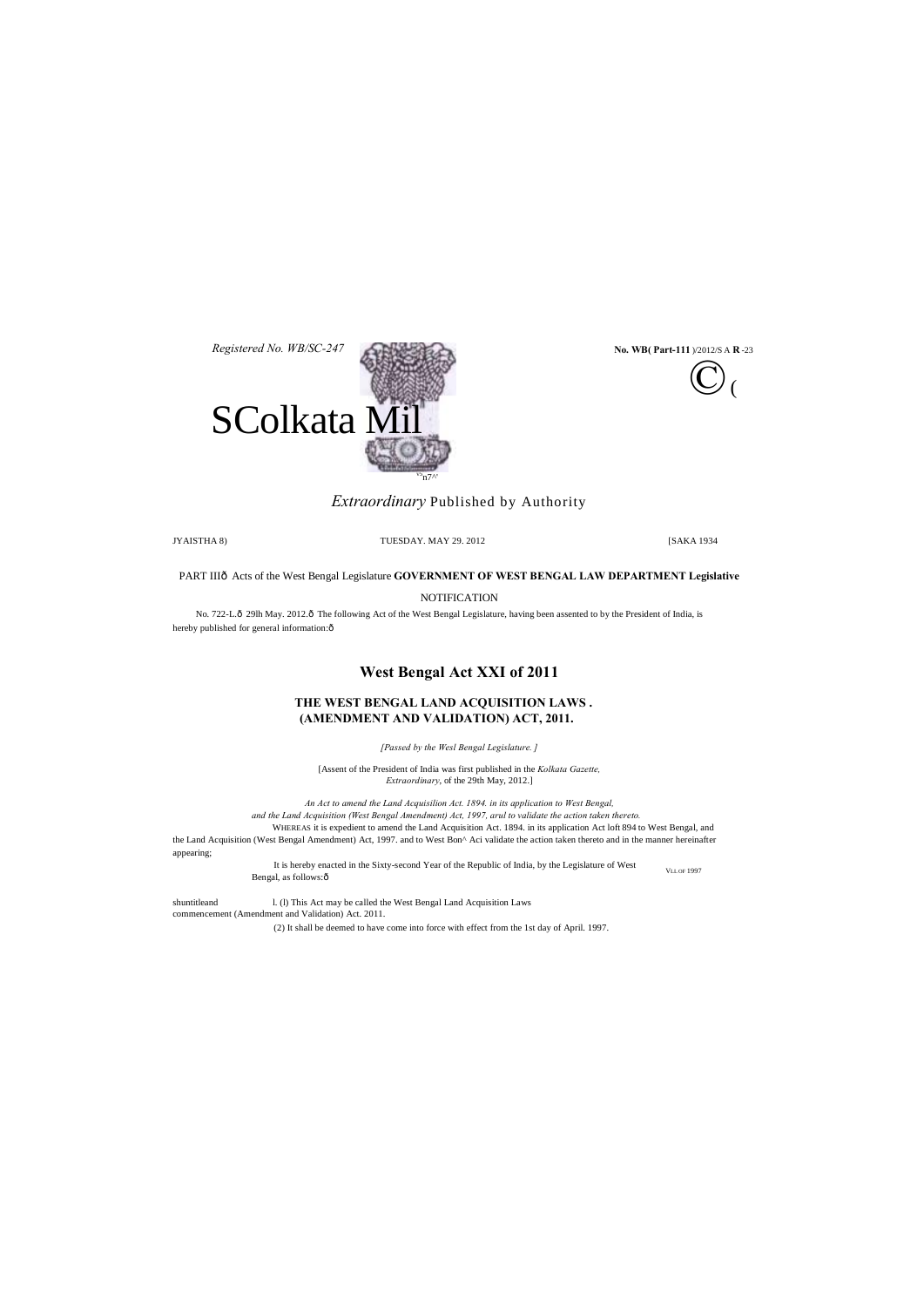VLL OF 1997 It is hereby enacted in the Sixty-second Year of the Republic of India, by the Legislature of West Bengal, as follows: $\hat{o}$ 



# *Extraordinary* Published by Authority

JYAISTHA 8) TUESDAY. MAY 29. 2012 [SAKA 1934

PART IIIô Acts of the West Bengal Legislature **GOVERNMENT OF WEST BENGAL LAW DEPARTMENT Legislative** 

**NOTIFICATION** 

No. 722-L.ô 29lh May. 2012.ô The following Act of the West Bengal Legislature, having been assented to by the President of India, is hereby published for general information: $\hat{o}$ 

# **West Bengal Act XXI of 2011**

# **THE WEST BENGAL LAND ACQUISITION LAWS . (AMENDMENT AND VALIDATION) ACT, 2011.**

*[Passed by the Wesl Bengal Legislature. ]*

[Assent of the President of India was first published in the *Kolkata Gazette, Extraordinary*, of the 29th May, 2012.]

shuntitleand 1. (1) This Act may be called the West Bengal Land Acquisition Laws commencement (Amendment and Validation) Act. 2011.



*An Act to amend the Land Acquisilion Act. 1894. in its application to West Bengal, and the Land Acquisition (West Bengal Amendment) Act, 1997, arul to validate the action taken thereto.*

WHEREAS it is expedient to amend the Land Acquisition Act. 1894. in its application Act loft 894 to West Bengal, and the Land Acquisition (West Bengal Amendment) Act, 1997. and to West Bon^ Aci validate the action taken thereto and in the manner hereinafter appearing;

(2) It shall be deemed to have come into force with effect from the 1st day of April. 1997.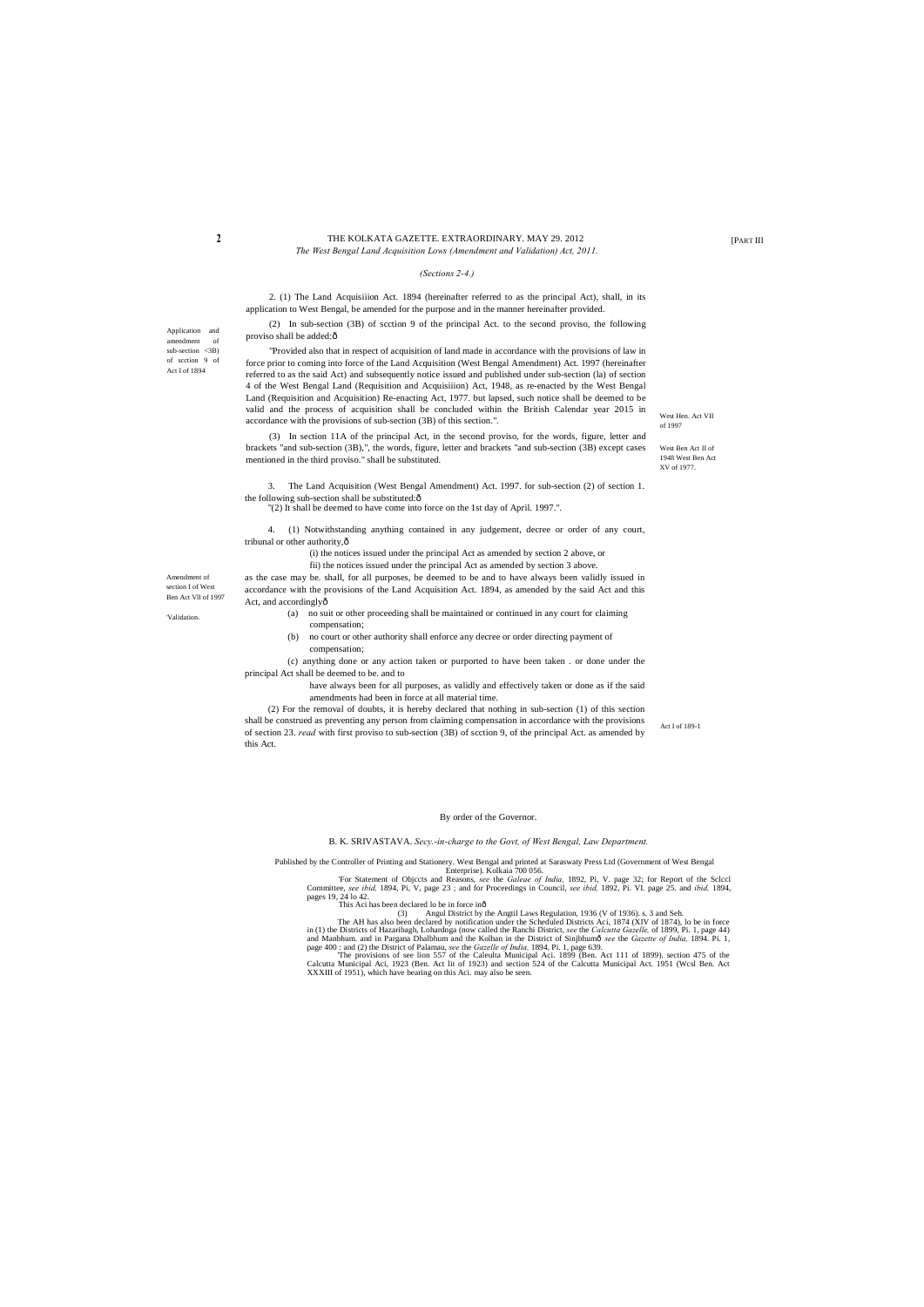Application and amendment of  $sub-section < 3B$ ) of scction 9 of Act I of 1894

> West Hen. Act VII of 1997

West Ben Act II of 1948 West Ben Act XV of 1977.

### **2 Example 1 THE KOLKATA GAZETTE. EXTRAORDINARY. MAY 29. 2012 Example 2012 Example 2013** *The West Bengal Land Acquisition Lows (Amendment and Validation) Act, 2011.*

Amendment of section I of West Ben Act Vll of 1997

'Validation.

Act I of 189-1

(2) In sub-section (3B) of scction 9 of the principal Act. to the second proviso, the following proviso shall be added:ô

### *(Sections 2-4.)*

2. (1) The Land Acquisiiion Act. 1894 (hereinafter referred to as the principal Act), shall, in its application to West Bengal, be amended for the purpose and in the manner hereinafter provided.

3. The Land Acquisition (West Bengal Amendment) Act. 1997. for sub-section (2) of section 1. the following sub-section shall be substituted: $\hat{o}$ 

4. (1) Notwithstanding anything contained in any judgement, decree or order of any court, tribunal or other authority, $\hat{o}$ 

"Provided also that in respect of acquisition of land made in accordance with the provisions of law in force prior to coming into force of the Land Acquisition (West Bengal Amendment) Act. 1997 (hereinafter referred to as the said Act) and subsequently notice issued and published under sub-section (la) of section 4 of the West Bengal Land (Requisition and Acquisiiion) Act, 1948, as re-enacted by the West Bengal Land (Requisition and Acquisition) Re-enacting Act, 1977. but lapsed, such notice shall be deemed to be valid and the process of acquisition shall be concluded within the British Calendar year 2015 in accordance with the provisions of sub-section (3B) of this section.".

as the case may be. shall, for all purposes, be deemed to be and to have always been validly issued in accordance with the provisions of the Land Acquisition Act. 1894, as amended by the said Act and this Act, and accordinglyô

(3) In section 11A of the principal Act, in the second proviso, for the words, figure, letter and brackets "and sub-section (3B),", the words, figure, letter and brackets "and sub-section (3B) except cases mentioned in the third proviso." shall be substituted.

"(2) It shall be deemed to have come into force on the 1st day of April. 1997.".

Enterprise). Kolkaia 700 056.<br>For Statement of Objccts and Reasons, *see* the *Galeae of India*, 1892, Pi, V. page 32; for Report of the Sclecl<br>Committee, *see ibid*, 1894, Pi, V, page 23; and for Proceedings in Council, pages 19, 24 lo 42.

(i) the notices issued under the principal Act as amended by section 2 above, or

fii) the notices issued under the principal Act as amended by section 3 above.

- (a) no suit or other proceeding shall be maintained or continued in any court for claiming compensation;
- (b) no court or other authority shall enforce any decree or order directing payment of compensation;

(c) anything done or any action taken or purported to have been taken . or done under the principal Act shall be deemed to be. and to

> have always been for all purposes, as validly and effectively taken or done as if the said amendments had been in force at all material time.

(2) For the removal of doubts, it is hereby declared that nothing in sub-section (1) of this section shall be construed as preventing any person from claiming compensation in accordance with the provisions of section 23. *read* with first proviso to sub-section (3B) of scction 9, of the principal Act. as amended by this Act.

By order of the Governor.

B. K. SRIVASTAVA. *Secy.-in-charge to the Govt, of West Bengal, Law Department.*

Published by the Controller of Printing and Stationery. West Bengal and printed at Saraswaty Press Ltd (Government of West Bengal

This Aci has been declared lo be in force in—

(3) Angul District by the Angtil Laws Regulation, 1936 (V of 1936). s. 3 and Seh. The AH has also been declared by notification under the Scheduled Districts Aci, 1874 (XIV of 1874), lo be in force in (1) the Districts of Hazaribagh, Lohardnga (now called the Ranchi District, see the Calcutta Gazelle, of 1899, Pi. 1, page 44)<br>and Manbhum. and in Pargana Dhalbhum and the Kolhan in the District of Sinjbhumô see the Gaz page 400 : and (2) the District of Palamau, *see* the *Gazelle of India,* 1894, Pi. 1, page 639.

The provisions of see lion 557 of the Caleulta Municipal Aci. 1899 (Ben. Act 111 of 1899). section 475 of the Calcutta Municipal Aci, 1923 (Ben. Act lit of 1923) and section 524 of the Calcutta Municipal Act. 1951 (Wcsl Be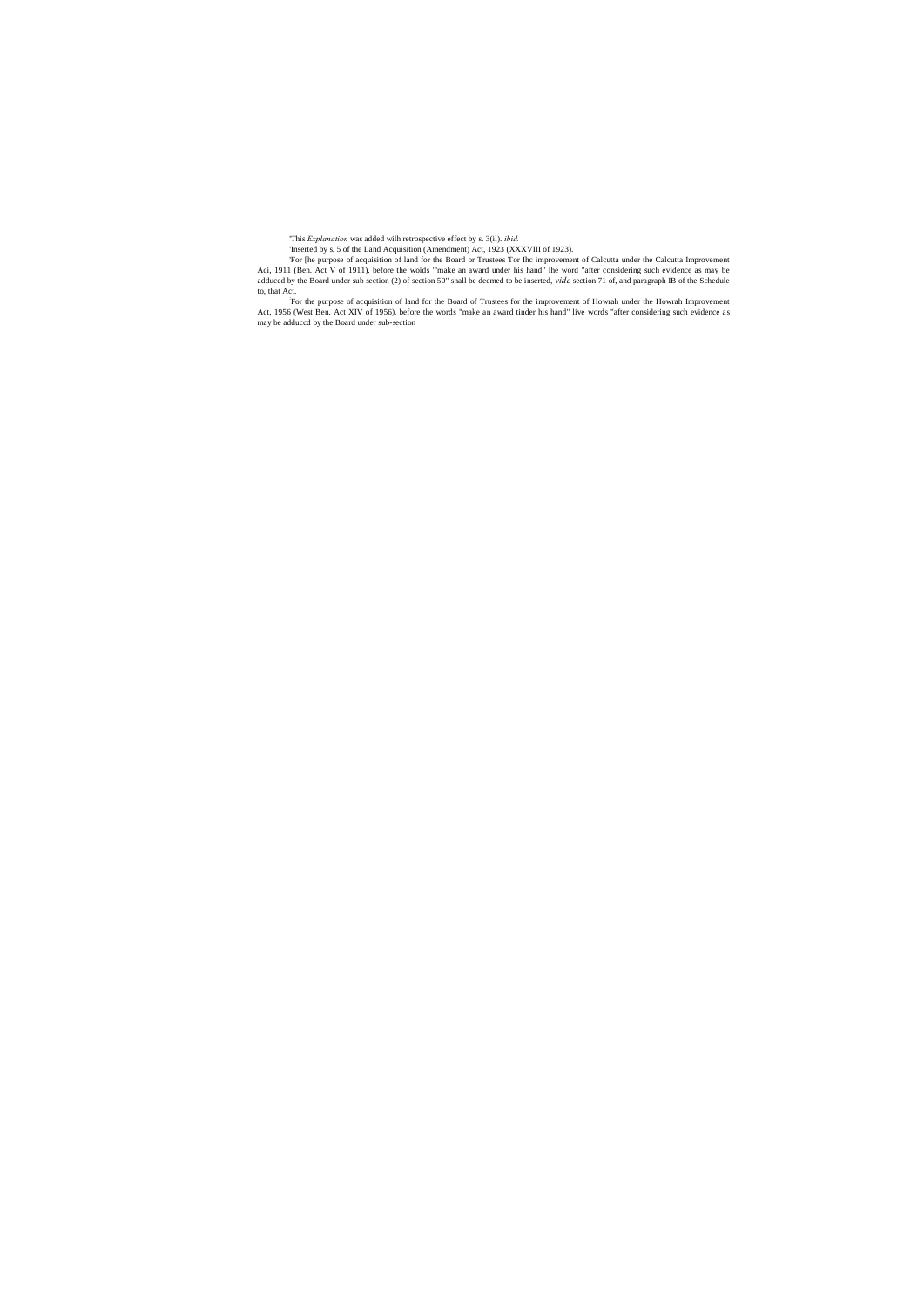'This *Explanation* was added wilh retrospective effect by s. 3(il). *ibid.*

'Inserted by s. 5 of the Land Acquisition (Amendment) Act, 1923 (XXXVIII of 1923).

'For [he purpose of acquisition of land for the Board or Trustees Tor Ihc improvement of Calcutta under the Calcutta Improvement Aci, 1911 (Ben. Act V of 1911). before the woids "'make an award under his hand" lhe word "after considering such evidence as may be adduced by the Board under sub section (2) of section 50" shall be deemed to be inserted, *vide* section 71 of, and paragraph IB of the Schedule to, that Act.

: For the purpose of acquisition of land for the Board of Trustees for the improvement of Howrah under the Howrah Improvement Act, 1956 (West Ben. Act XIV of 1956), before the words "make an award tinder his hand" live words "after considering such evidence as may be adduccd by the Board under sub-section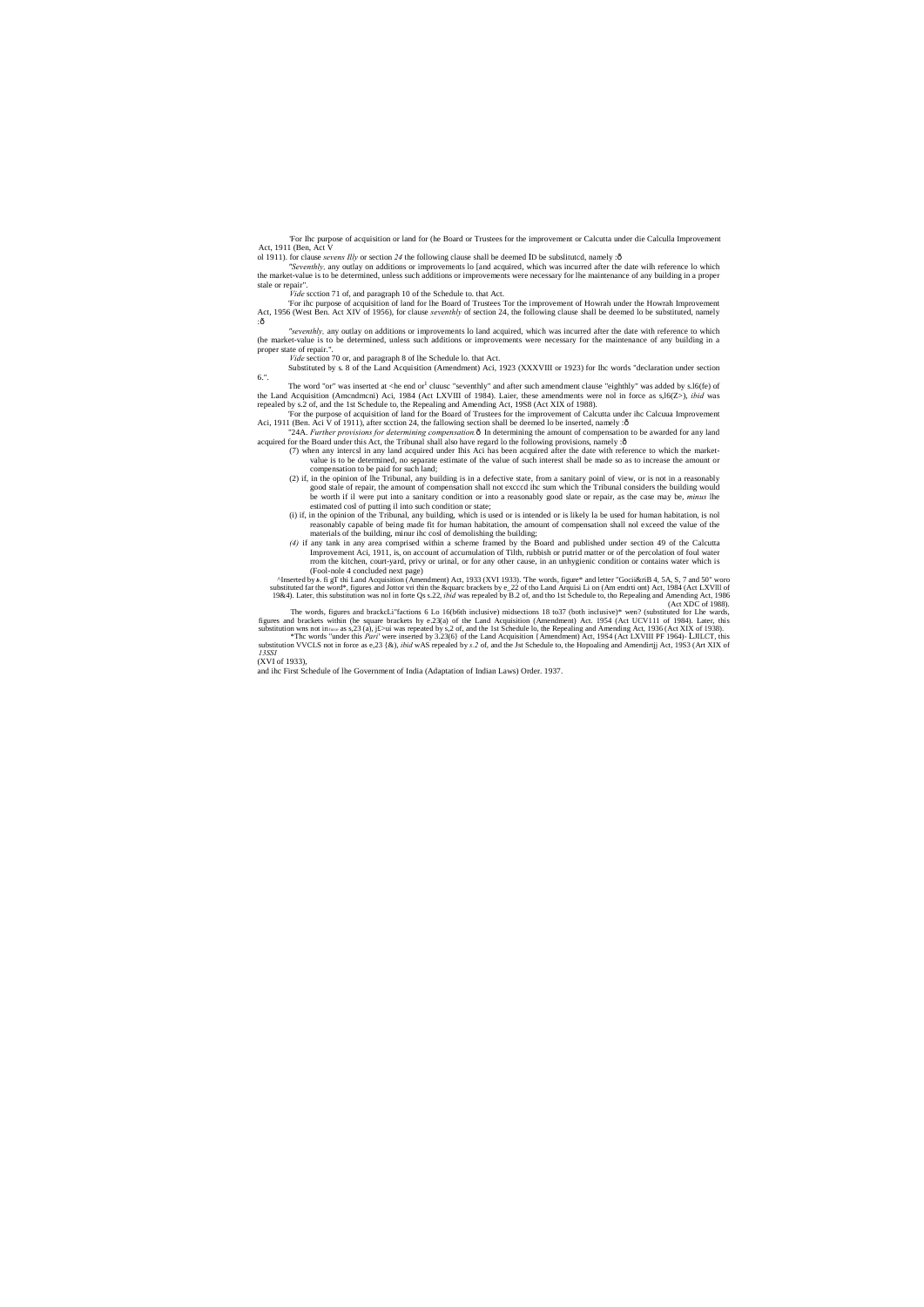'For Ihc purpose of acquisition or land for (he Board or Trustees for the improvement or Calcutta under die Calculla Improvement Act, 1911 (Ben, Act V

ol 1911). for clause *sevens Illy* or section 24 the following clause shall be deemed ID be subslituted, namely :ô

'For ihc purpose of acquisition of land for lhe Board of Trustees Tor the improvement of Howrah under the Howrah Improvement Act, 1956 (West Ben. Act XIV of 1956), for clause *seventhly* of section 24, the following clause shall be deemed lo be substituted, namely  $:\hat{0}$ 

*"Seventhly,* any outlay on additions or improvements lo [and acquired, which was incurred after the date wilh reference lo which the market-value is to be determined, unless such additions or improvements were necessary for lhe maintenance of any building in a proper stale or repair".

*"seventhly,* any outlay on additions or improvements lo land acquired, which was incurred after the date with reference to which (he market-value is to be determined, unless such additions or improvements were necessary for the maintenance of any building in a proper state of repair.

*Vide* scction 71 of, and paragraph 10 of the Schedule to. that Act.

Substituted by s. 8 of the Land Acquisition (Amendment) Aci, 1923 (XXXVIII or 1923) for Ihc words "declaration under section 6.".

The word "or" was inserted at  $\langle$ he end or<sup>1</sup> cluusc "seventhly" and after such amendment clause "eighthly" was added by s.l6(fe) of the Land Acquisition (Amcndmcni) Aci, 1984 (Act LXVIII of 1984). Laier, these amendments were nol in force as s,l6(Z>), *ibid* was repealed by s.2 of, and the 1st Schedule to, the Repealing and Amending Act, 19S8 (Act XIX of 1988).

'For the purpose of acquisition of land for the Board of Trustees for the improvement of Calcutta under ihc Calcuua Improvement Aci, 1911 (Ben. Aci V of 1911), after scction 24, the fallowing section shall be deemed lo be inserted, namely :ô

"24A. *Further provisions for determining compensation*.<sup>5</sup> In determining the amount of compensation to be awarded for any land acquired for the Board under this Act, the Tribunal shall also have regard lo the following provisions, namely :ô

*Vide* section 70 or, and paragraph 8 of lhe Schedule lo. that Act.

The words, figures and brackcLi"factions 6 Lo 16(b6th inclusive) midsections 18 to37 (both inclusive)\* wen? (substituted for Lhe wards, figures and brackets within (he square brackets hy e.23(a) of the Land Acquisition (Amendment) Act. 1954 (Act UCV111 of 1984). Later, this substitution wns not inforce as s,23 (a), j£>ui was repeated by s,2 of, and the 1s

\*The words "under this Pari' were inserted by 3.23(6) of the Land Acquisition {Amendment) Act, 1984 (Act LXVIII PF 1964)- LJILCT, this substitution VVCLS not in force as e,23 {&), *ibid* wAS repealed by *s*.2 of, and the J *13SSI*

- (7) when any intercsl in any land acquired under Ihis Aci has been acquired after the date with reference to which the marketvalue is to be determined, no separate estimate of the value of such interest shall be made so as to increase the amount or compensation to be paid for such land;
- (2) if, in the opinion of lhe Tribunal, any building is in a defective state, from a sanitary poinl of view, or is not in a reasonably good stale of repair, the amount of compensation shall not excccd ihc sum which the Tribunal considers the building would be worth if il were put into a sanitary condition or into a reasonably good slate or repair, as the case may be, *minus* lhe estimated cosl of putting il into such condition or state;
- (i) if, in the opinion of the Tribunal, any building, which is used or is intended or is likely la be used for human habitation, is nol reasonably capable of being made fit for human habitation, the amount of compensation shall nol exceed the value of the materials of the building, minur ihc cosl of demolishing the building;
- *(4)* if any tank in any area comprised within a scheme framed by the Board and published under section 49 of the Calcutta Improvement Aci, 1911, is, on account of accumulation of Tilth, rubbish or putrid matter or of the percolation of foul water rrom the kitchen, court-yard, privy or urinal, or for any other cause, in an unhygienic condition or contains water which is

(Fool-nole 4 concluded next page) ^Inserted by *b*. fi gT thi Land Acquisition (Amendment) Act, 1933 (XVI 1933). 'The words, figure\* and letter "Gocii&riB 4, 5A, S, 7 and 50" woro substituted far the word\*, figures and Jottor vri thin the &quarc brackets by e\_22 of tho Land Arquisi Li on (Am endrti ont) Act, 1984 (Act LXVIII of 1984). Later, this substitution was nol in forte Qs s.22, *ibid* was rep (Act XDC of 1988).

(XVI of 1933),

and ihc First Schedule of lhe Government of India (Adaptation of Indian Laws) Order. 1937.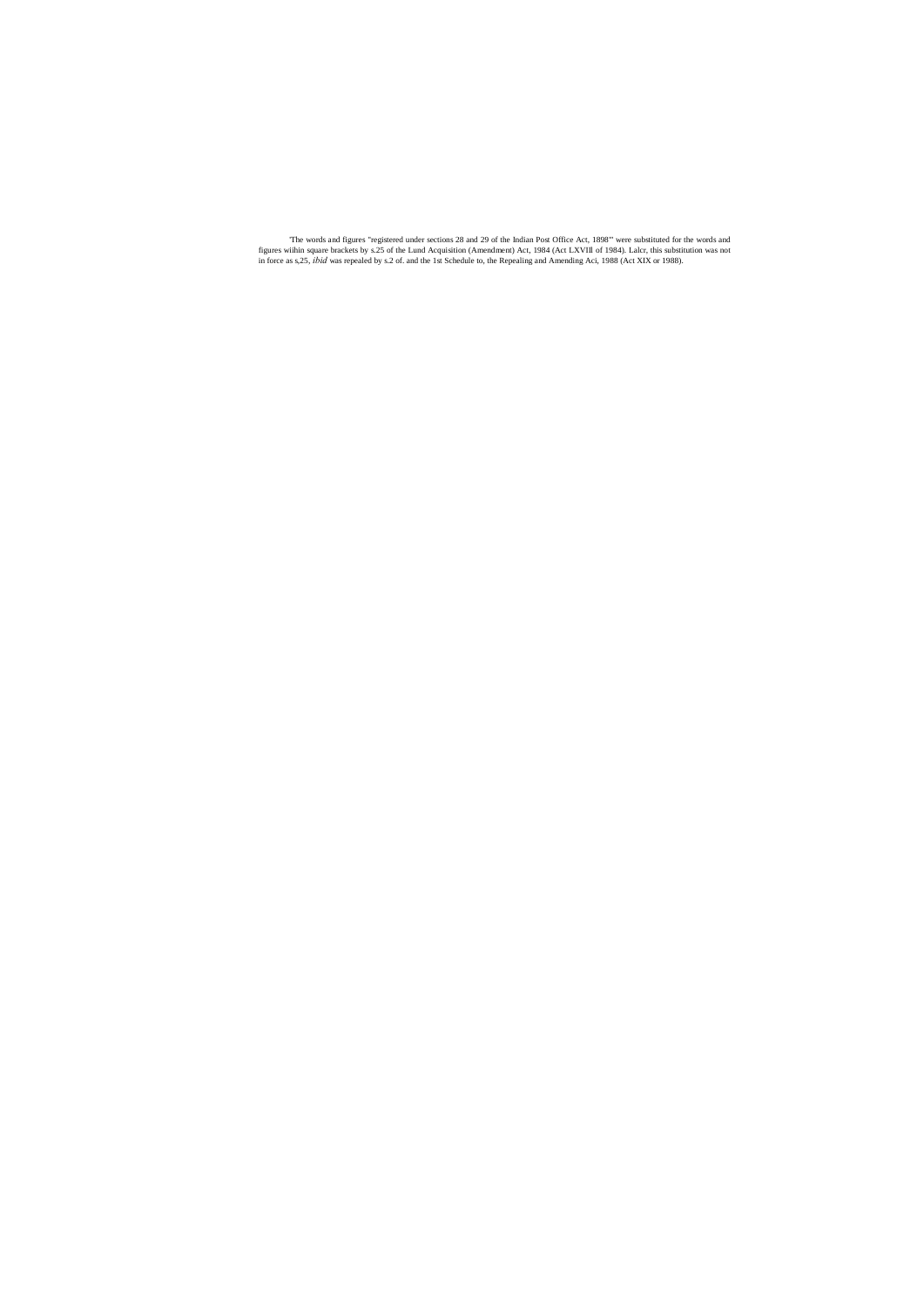'The words and figures "registered under sections 28 and 29 of the Indian Post Office Act, 1898"' were substituted for the words and figures wiihin square brackets by s.25 of the Lund Acquisition (Amendment) Act, 1984 (Act LXVIIl of 1984). Lalcr, this substitution was not in force as s,25, *ibid* was repealed by s.2 of. and the 1st Schedule to, the Repealing and Amending Aci, 1988 (Act XIX or 1988).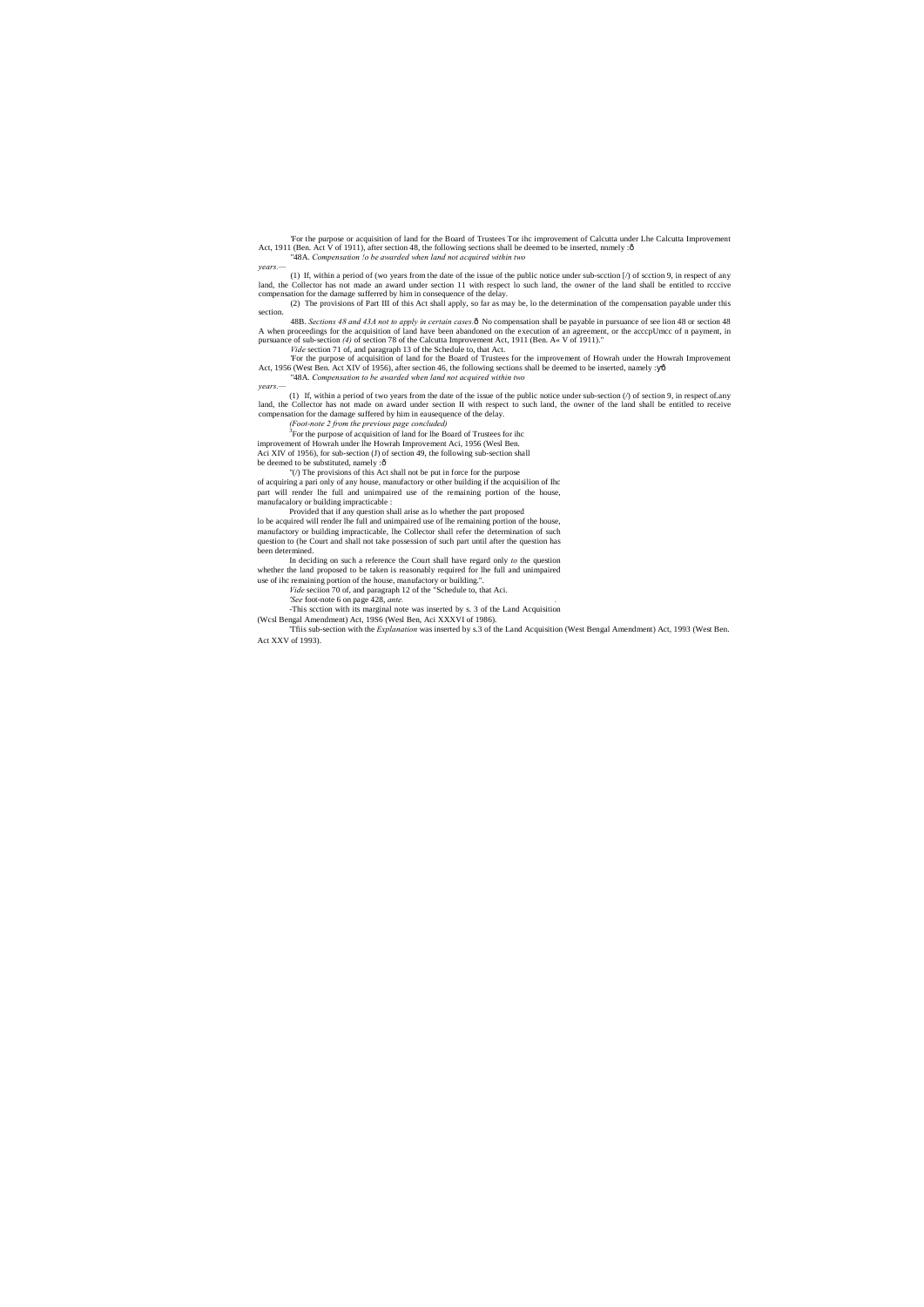'For the purpose or acquisition of land for the Board of Trustees Tor ihc improvement of Calcutta under Lhe Calcutta Improvement Act, 1911 (Ben. Act V of 1911), after section 48, the following sections shall be deemed to be inserted, nnmely : ô "48A. *Compensation !o be awarded when land not acquired within two*

*years.—*

(1) If, within a period of (wo years from the date of the issue of the public notice under sub-scction [/) of scction 9, in respect of any land, the Collector has not made an award under section 11 with respect lo such land, the owner of the land shall be entitled to rcccive compensation for the damage sufferred by him in consequence of the delay.

48B. Sections 48 and 43A not to apply in certain cases. $\hat{o}$  No compensation shall be payable in pursuance of see lion 48 or section 48 A when proceedings for the acquisition of land have been abandoned on the execution of an agreement, or the acccpUmcc of n payment, in pursuance of sub-section *(4)* of section 78 of the Calcutta Improvement Act, 1911 (Ben. A« V of 1911)."

(2) The provisions of Part III of this Act shall apply, so far as may be, lo the determination of the compensation payable under this section.

*Vide* section 71 of, and paragraph 13 of the Schedule to, that Act.

'For the purpose of acquisition of land for the Board of Trustees for the improvement of Howrah under the Howrah Improvement Act, 1956 (West Ben. Act XIV of 1956), after section 46, the following sections shall be deemed to be inserted, namely :  $\hat{o}$ "48A. *Compensation to be awarded when land not acquired within two*

In deciding on such a reference the Court shall have regard only *to* the question whether the land proposed to be taken is reasonably required for lhe full and unimpaired use of ihc remaining portion of the house, manufactory or building."

*years.—*

(1) If, within a period of two years from the date of the issue of the public notice under sub-section (/) of section 9, in respect of.any land, the Collector has not made on award under section II with respect to such land, the owner of the land shall be entitled to receive compensation for the damage suffered by him in eausequence of the delay.

*(Foot-note 2 from the previous page concluded)* <sup>3</sup>

 $3$ For the purpose of acquisition of land for lhe Board of Trustees for ihc improvement of Howrah under lhe Howrah Improvement Aci, 1956 (Wesl Ben. Aci XIV of 1956), for sub-section (J) of section 49, the following sub-section shall be deemed to be substituted, namely :ô

"(/) The provisions of this Act shall not be put in force for the purpose

of acquiring a pari only of any house, manufactory or other building if the acquisilion of Ihc part will render lhe full and unimpaired use of the remaining portion of the house, manufacalory or building impracticable :

Provided that if any question shall arise as lo whether the part proposed lo be acquired will render lhe full and unimpaired use of lhe remaining portion of the house, manufactory or building impracticable, lhe Collector shall refer the determination of such question to (he Court and shall not take possession of such part until after the question has been determined.

*Vide* seciion 70 of, and paragraph 12 of the "Schedule to, that Aci.

*'See* foot-note 6 on page 428, *ante. .*

-This scction with its marginal note was inserted by s. 3 of the Land Acquisition

(Wcsl Bengal Amendment) Act, 19S6 (Wesl Ben, Aci XXXVI of 1986).

'Tfiis sub-section with the *Explanation* was inserted by s.3 of the Land Acquisition (West Bengal Amendment) Act, 1993 (West Ben. Act XXV of 1993).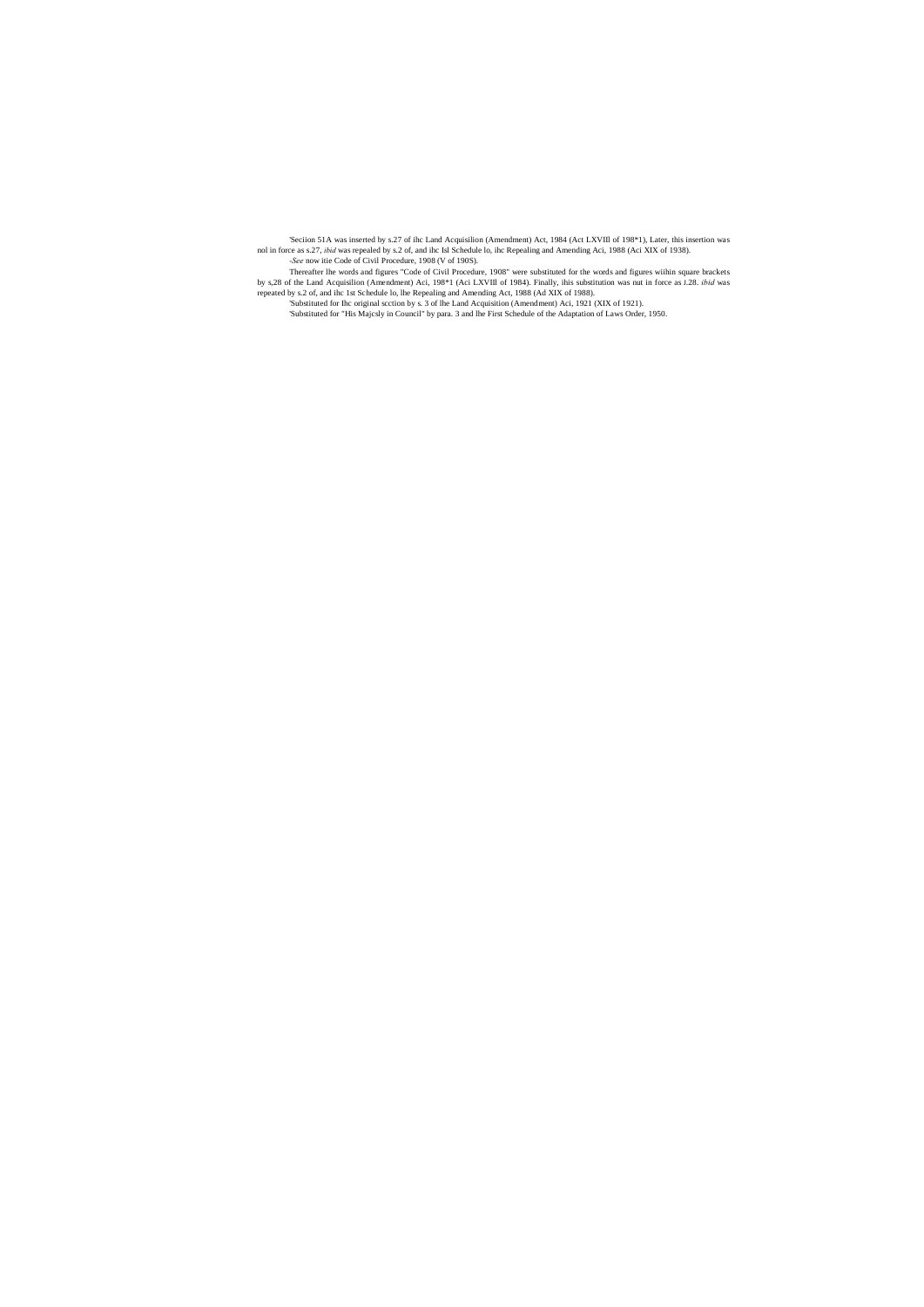'Seciion 51A was inserted by s.27 of ihc Land Acquisilion (Amendment) Act, 1984 (Act LXVIIl of 198\*1), Later, this insertion was nol in force as s.27, *ibid* was repealed by s.2 of, and ihc Isl Schedule lo, ihc Repealing and Amending Aci, 1988 (Aci XIX of 1938). *-See* now itie Code of Civil Procedure, 1908 (V of 190S).

Thereafter lhe words and figures "Code of Civil Procedure, 1908" were substituted for the words and figures wiihin square brackets by s,28 of the Land Acquisilion (Amendment) Aci, 198\*1 (Aci LXVIIl of 1984). Finally, ihis substitution was nut in force as J.28. *ibid* was repeated by s.2 of, and ihc 1st Schedule lo, lhe Repealing and Amending Act, 1988 (Ad XIX of 1988).

'Substituted for Ihc original scction by s. 3 of lhe Land Acquisition (Amendment) Aci, 1921 (XIX of 1921).

'Substituted for "His Majcsly in Council" by para. 3 and lhe First Schedule of the Adaptation of Laws Order, 1950.